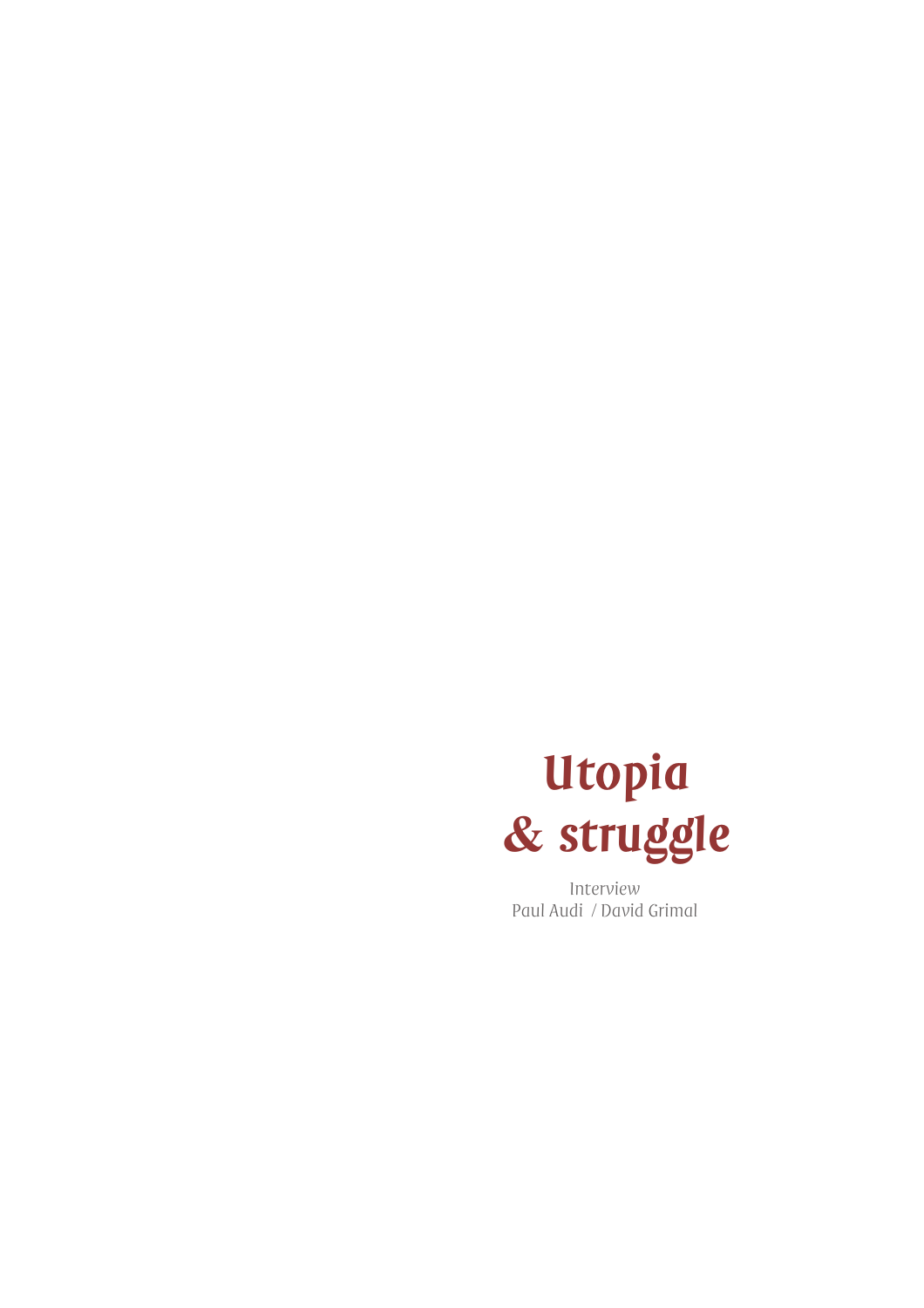

Interview Paul Audi / David Grimal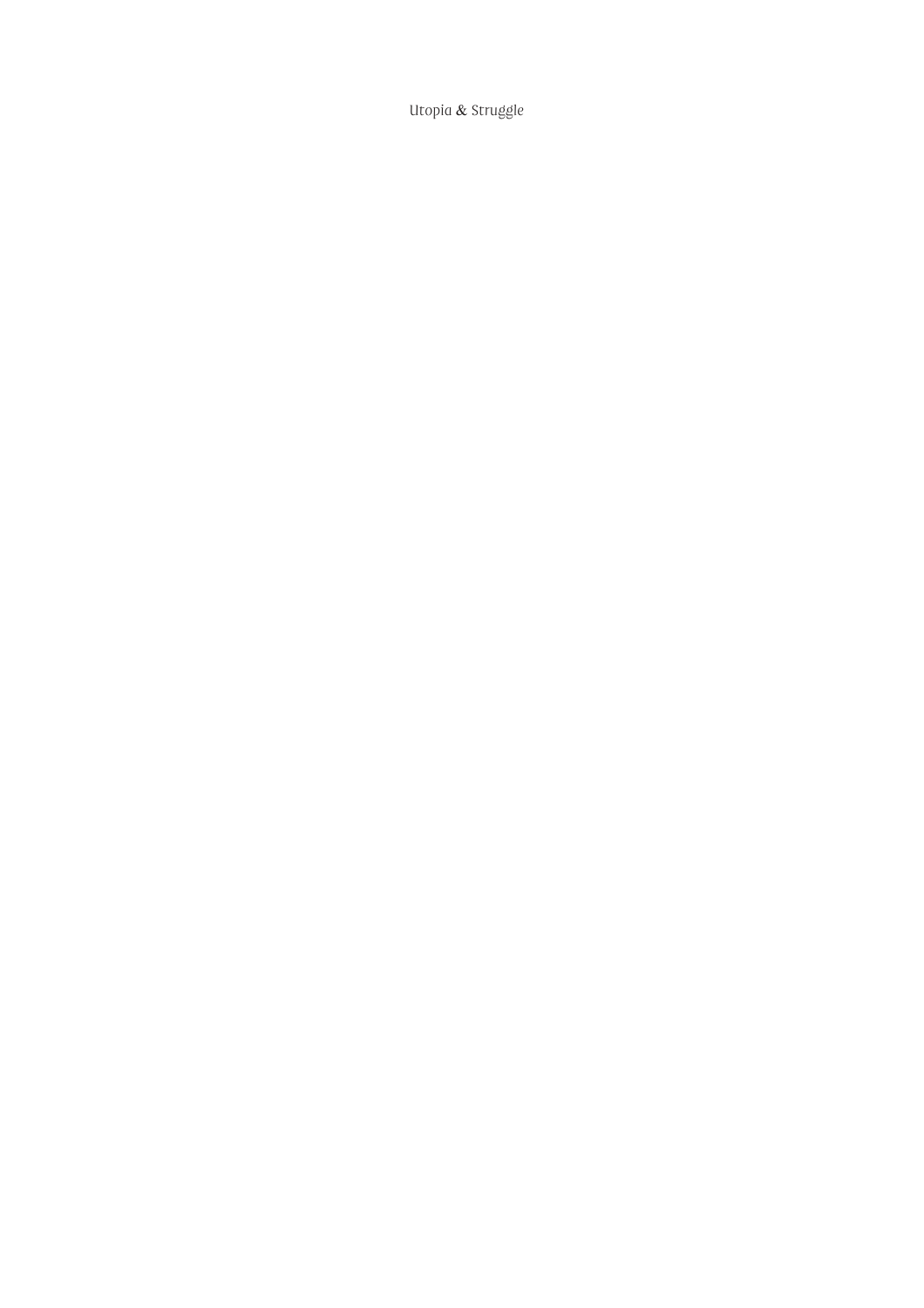Utopia & Struggle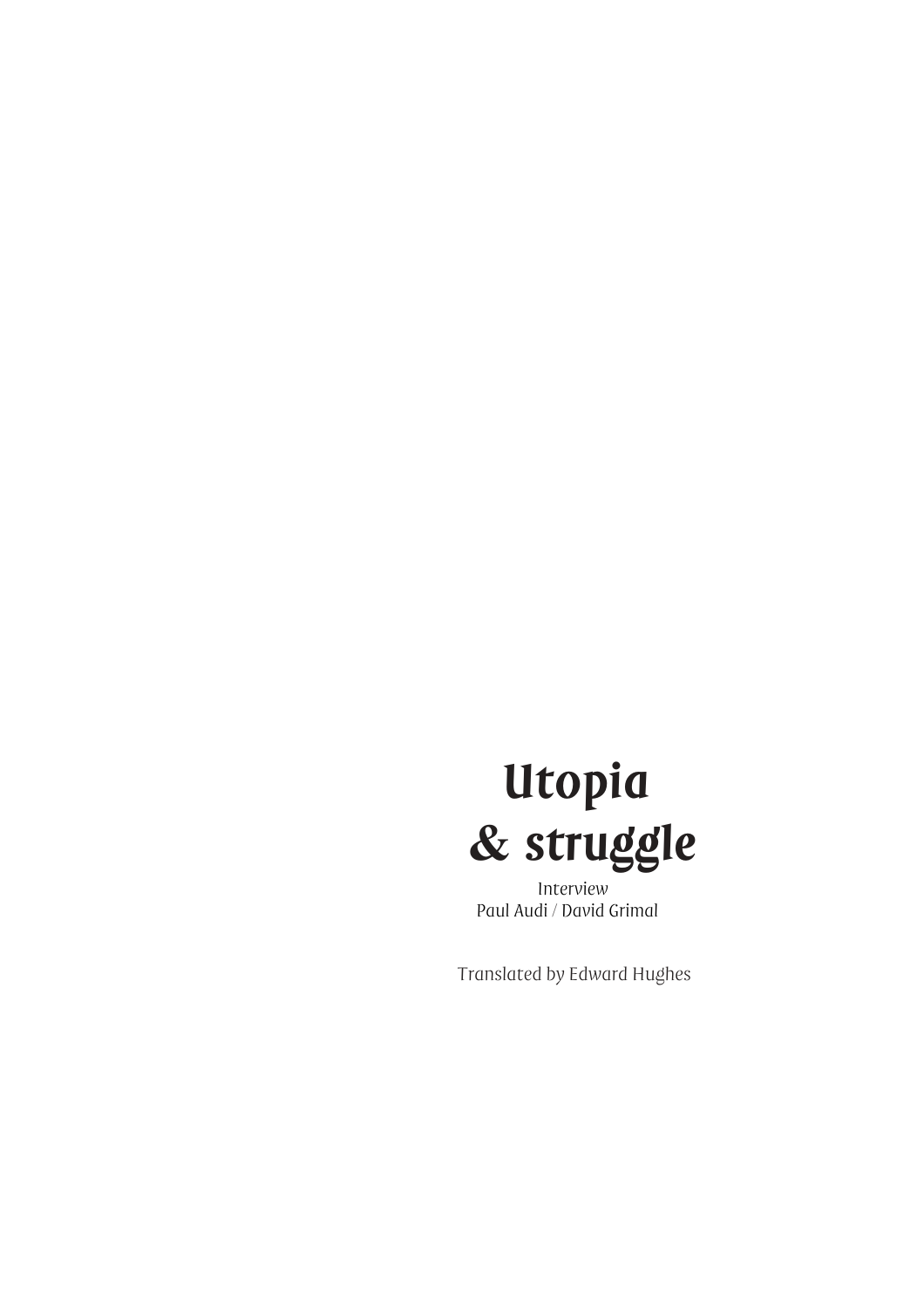

Translated by Edward Hughes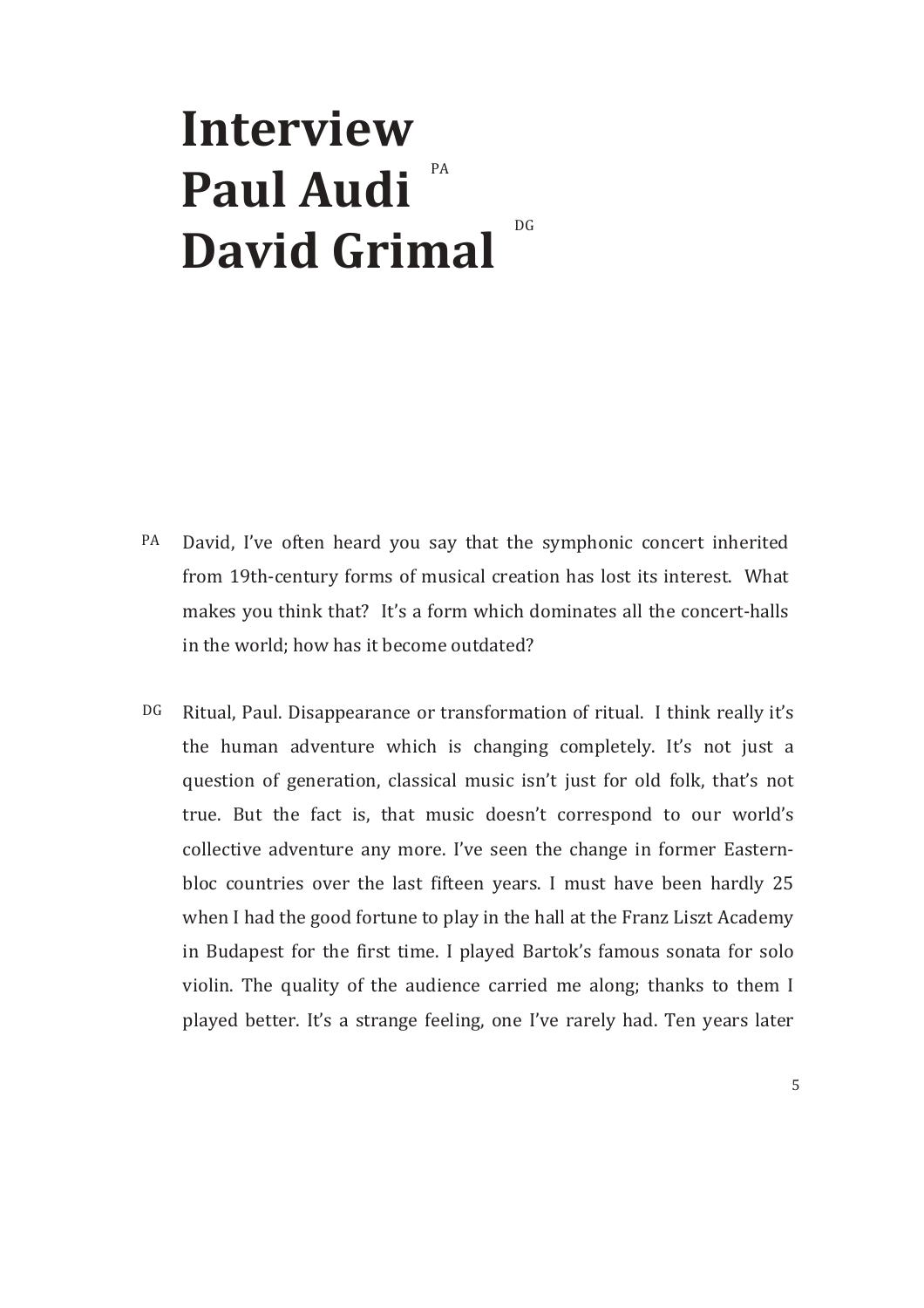# **Interview Paul Audi David Grimal** PA

DG

- PA David, I've often heard you say that the symphonic concert inherited from 19th-century forms of musical creation has lost its interest. What makes you think that? It's a form which dominates all the concert-halls in the world; how has it become outdated?
- Ritual, Paul. Disappearance or transformation of ritual. I think really it's the human adventure which is changing completely. It's not just a question of generation, classical music isn't just for old folk, that's not true. But the fact is, that music doesn't correspond to our world's collective adventure any more. I've seen the change in former Easternbloc countries over the last fifteen years. I must have been hardly 25 when I had the good fortune to play in the hall at the Franz Liszt Academy in Budapest for the first time. I played Bartok's famous sonata for solo violin. The quality of the audience carried me along; thanks to them I played better. It's a strange feeling, one I've rarely had. Ten years later DG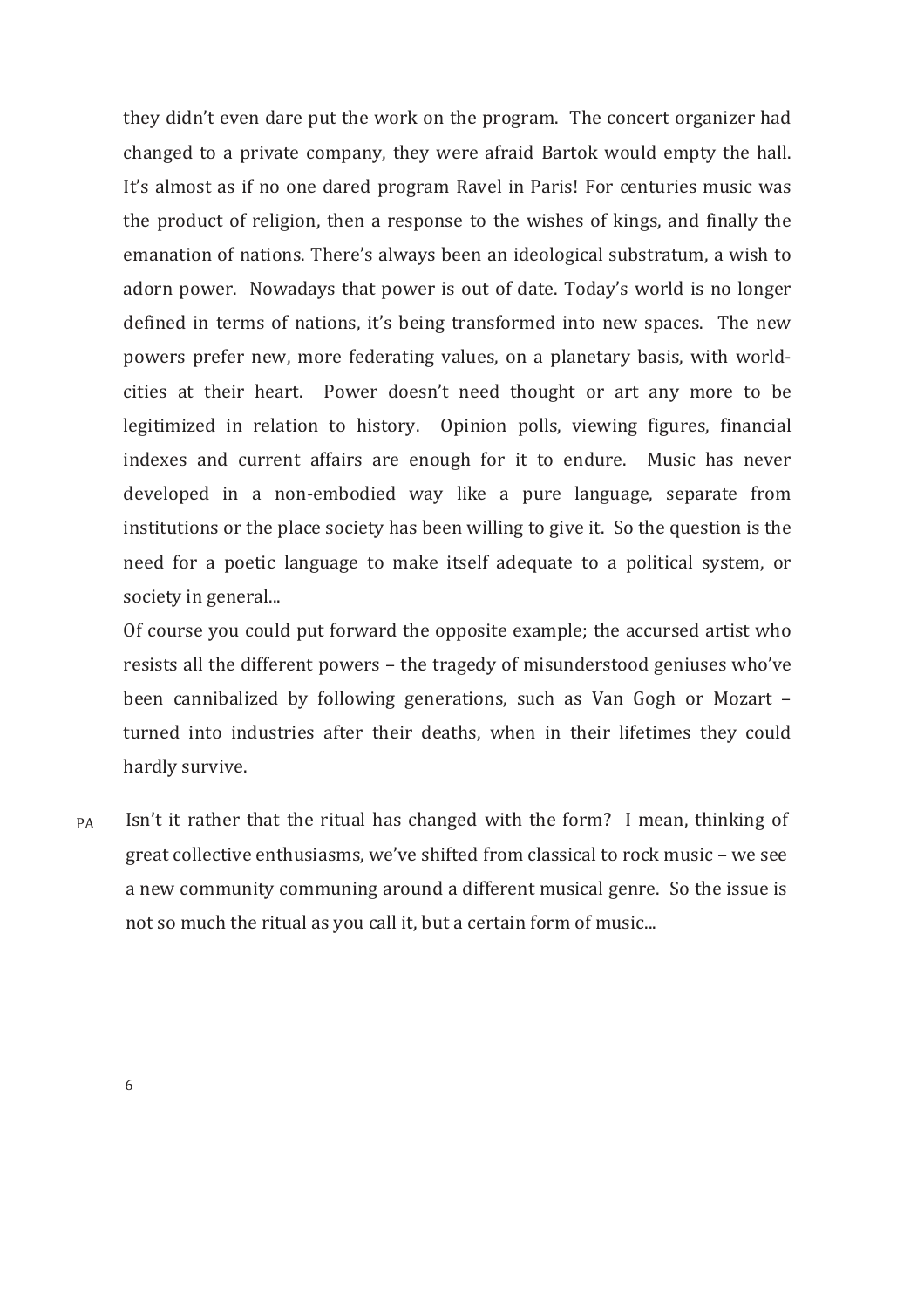they didn't even dare put the work on the program. The concert organizer had changed to a private company, they were afraid Bartok would empty the hall. It's almost as if no one dared program Ravel in Paris! For centuries music was the product of religion, then a response to the wishes of kings, and finally the emanation of nations. There's always been an ideological substratum, a wish to adorn power. Nowadays that power is out of date. Today's world is no longer defined in terms of nations, it's being transformed into new spaces. The new powers prefer new, more federating values, on a planetary basis, with worldcities at their heart. Power doesn't need thought or art any more to be legitimized in relation to history. Opinion polls, viewing figures, financial indexes and current affairs are enough for it to endure. Music has never developed in a non-embodied way like a pure language, separate from institutions or the place society has been willing to give it. So the question is the need for a poetic language to make itself adequate to a political system, or society in general...

Of course you could put forward the opposite example; the accursed artist who resists all the different powers - the tragedy of misunderstood geniuses who've been cannibalized by following generations, such as Van Gogh or Mozart turned into industries after their deaths, when in their lifetimes they could hardly survive.

 $P_A$  Isn't it rather that the ritual has changed with the form? I mean, thinking of great collective enthusiasms, we've shifted from classical to rock music – we see a new community communing around a different musical genre. So the issue is not so much the ritual as you call it, but a certain form of music...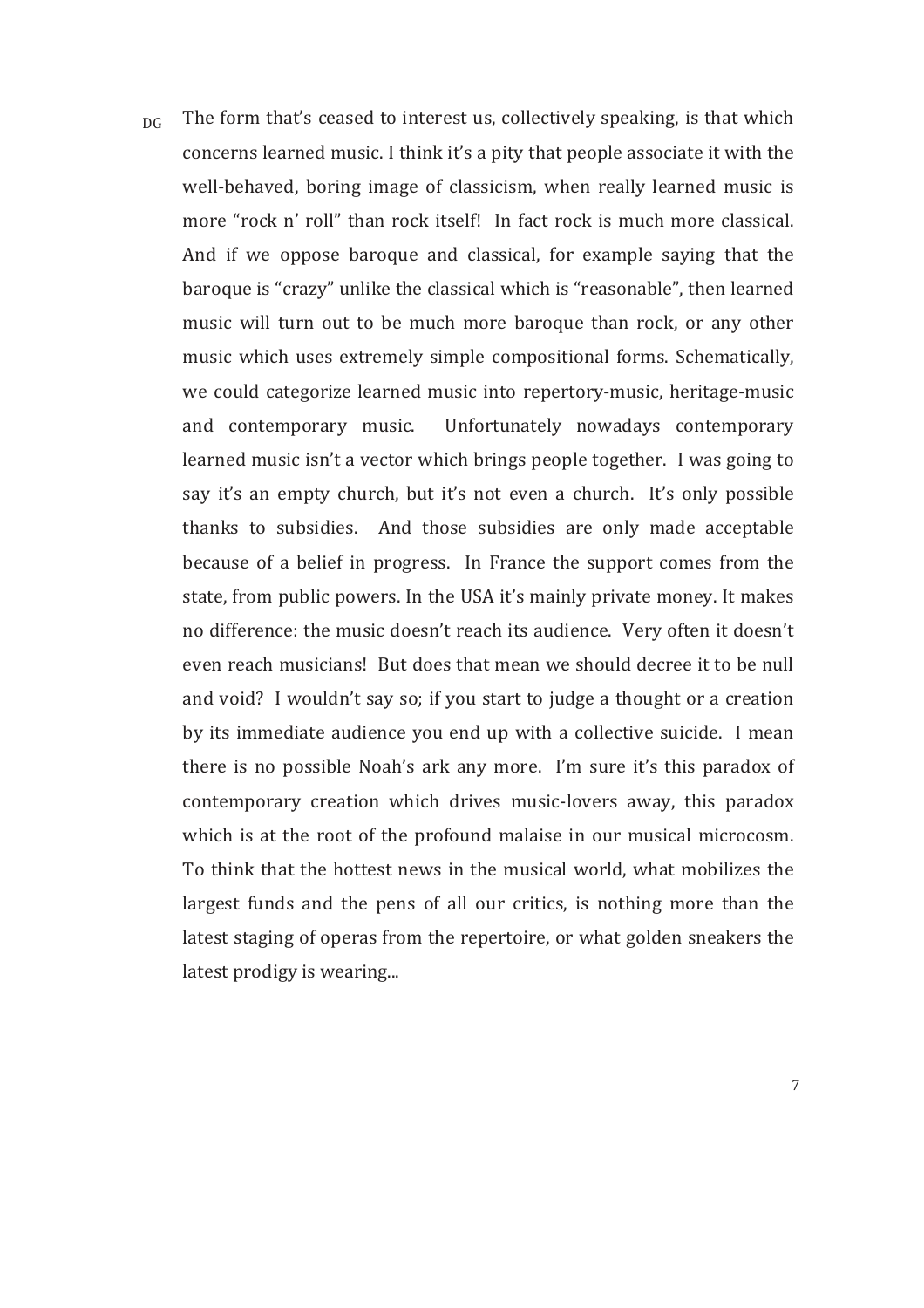$D<sub>G</sub>$  The form that's ceased to interest us, collectively speaking, is that which concerns learned music. I think it's a pity that people associate it with the well-behaved, boring image of classicism, when really learned music is more "rock n' roll" than rock itself! In fact rock is much more classical. And if we oppose baroque and classical, for example saying that the baroque is "crazy" unlike the classical which is "reasonable", then learned music will turn out to be much more baroque than rock, or any other music which uses extremely simple compositional forms. Schematically, we could categorize learned music into repertory-music, heritage-music and contemporary music. Unfortunately nowadays contemporary learned music isn't a vector which brings people together. I was going to say it's an empty church, but it's not even a church. It's only possible thanks to subsidies. And those subsidies are only made acceptable because of a belief in progress. In France the support comes from the state, from public powers. In the USA it's mainly private money. It makes no difference: the music doesn't reach its audience. Very often it doesn't even reach musicians! But does that mean we should decree it to be null and void? I wouldn't say so; if you start to judge a thought or a creation by its immediate audience you end up with a collective suicide. I mean there is no possible Noah's ark any more. I'm sure it's this paradox of contemporary creation which drives music-lovers away, this paradox which is at the root of the profound malaise in our musical microcosm. To think that the hottest news in the musical world, what mobilizes the largest funds and the pens of all our critics, is nothing more than the latest staging of operas from the repertoire, or what golden sneakers the latest prodigy is wearing...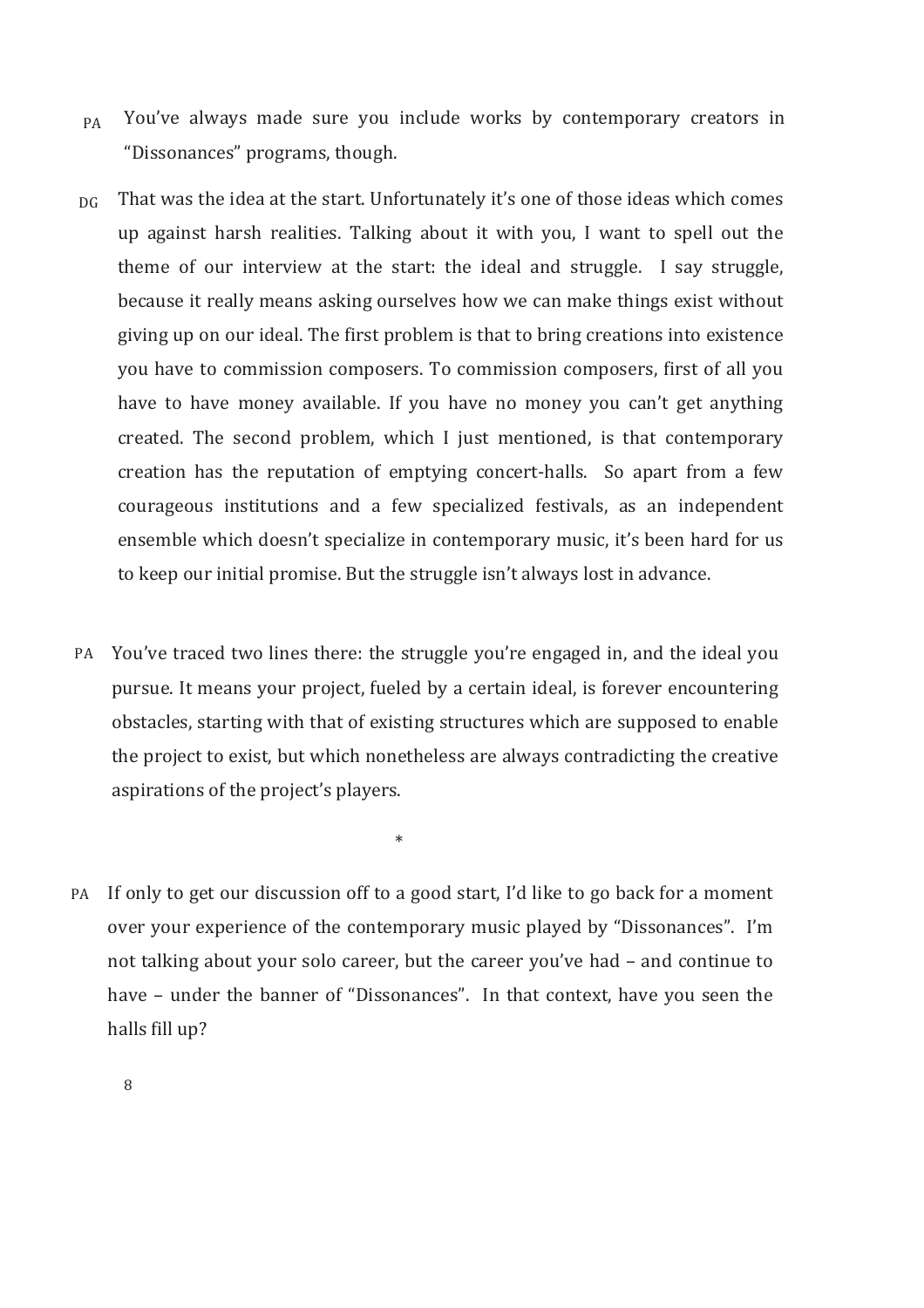- PA You've always made sure you include works by contemporary creators in "Dissonances" programs, though.
- That was the idea at the start. Unfortunately it's one of those ideas which comes up against harsh realities. Talking about it with you, I want to spell out the theme of our interview at the start: the ideal and struggle. I say struggle, because it really means asking ourselves how we can make things exist without giving up on our ideal. The first problem is that to bring creations into existence you have to commission composers. To commission composers, first of all you have to have money available. If you have no money you can't get anything created. The second problem, which I just mentioned, is that contemporary creation has the reputation of emptying concert-halls. So apart from a few courageous institutions and a few specialized festivals, as an independent ensemble which doesn't specialize in contemporary music, it's been hard for us to keep our initial promise. But the struggle isn't always lost in advance.  $\overline{D}G$
- PA You've traced two lines there: the struggle you're engaged in, and the ideal you pursue. It means your project, fueled by a certain ideal, is forever encountering obstacles, starting with that of existing structures which are supposed to enable the project to exist, but which nonetheless are always contradicting the creative aspirations of the project's players.

\*

PA If only to get our discussion off to a good start, I'd like to go back for a moment over your experience of the contemporary music played by "Dissonances". I'm not talking about your solo career, but the career you've had – and continue to have – under the banner of "Dissonances". In that context, have you seen the halls fill up?

8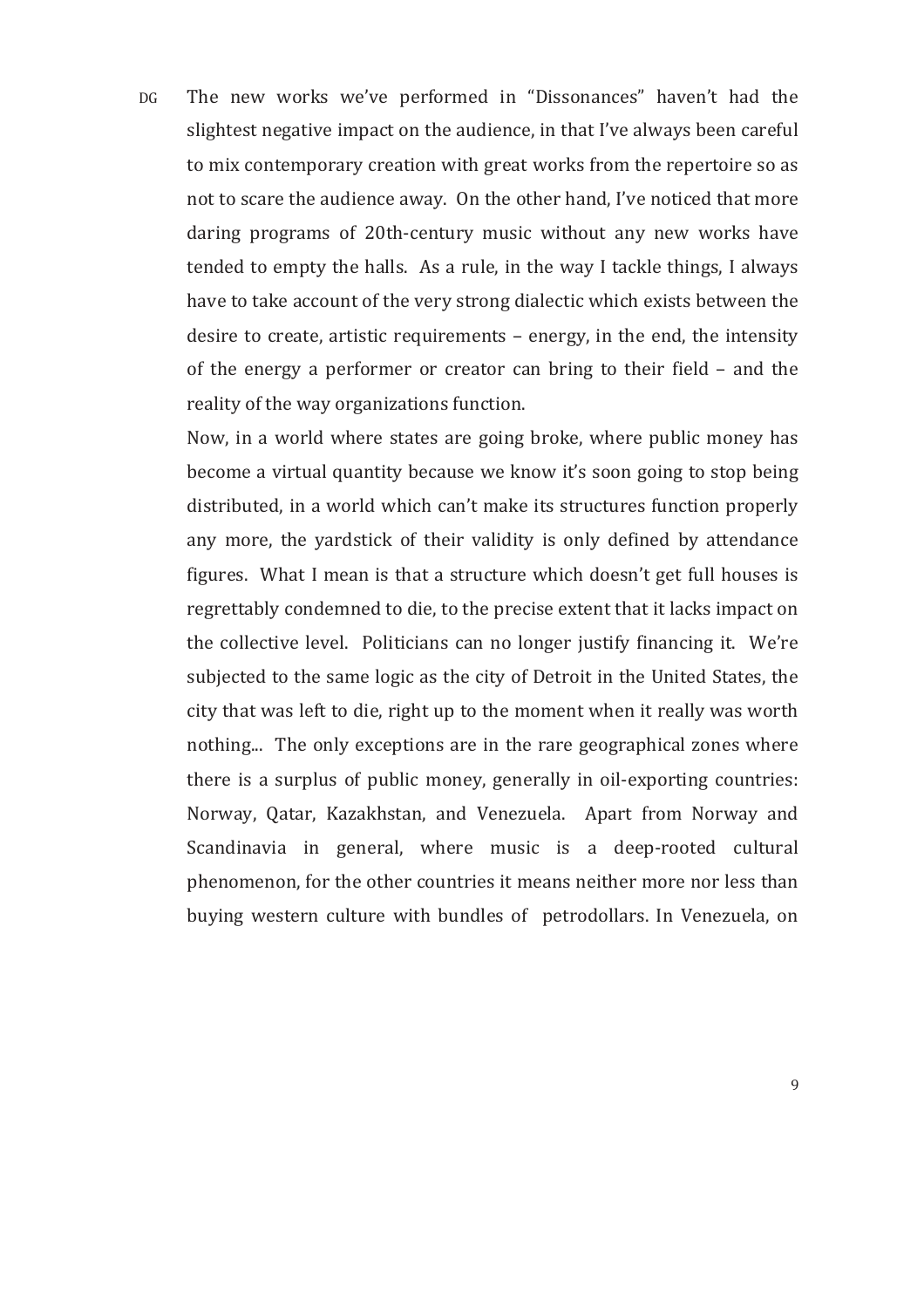DG The new works we've performed in "Dissonances" haven't had the slightest negative impact on the audience, in that I've always been careful to mix contemporary creation with great works from the repertoire so as not to scare the audience away. On the other hand, I've noticed that more daring programs of 20th-century music without any new works have tended to empty the halls. As a rule, in the way I tackle things, I always have to take account of the very strong dialectic which exists between the desire to create, artistic requirements  $-$  energy, in the end, the intensity of the energy a performer or creator can bring to their field  $-$  and the reality of the way organizations function.

Now, in a world where states are going broke, where public money has become a virtual quantity because we know it's soon going to stop being distributed, in a world which can't make its structures function properly any more, the yardstick of their validity is only defined by attendance figures. What I mean is that a structure which doesn't get full houses is regrettably condemned to die, to the precise extent that it lacks impact on the collective level. Politicians can no longer justify financing it. We're subjected to the same logic as the city of Detroit in the United States, the city that was left to die, right up to the moment when it really was worth nothing... The only exceptions are in the rare geographical zones where there is a surplus of public money, generally in oil-exporting countries: Norway, Qatar, Kazakhstan, and Venezuela. Apart from Norway and Scandinavia in general, where music is a deep-rooted cultural phenomenon, for the other countries it means neither more nor less than buying western culture with bundles of petrodollars. In Venezuela, on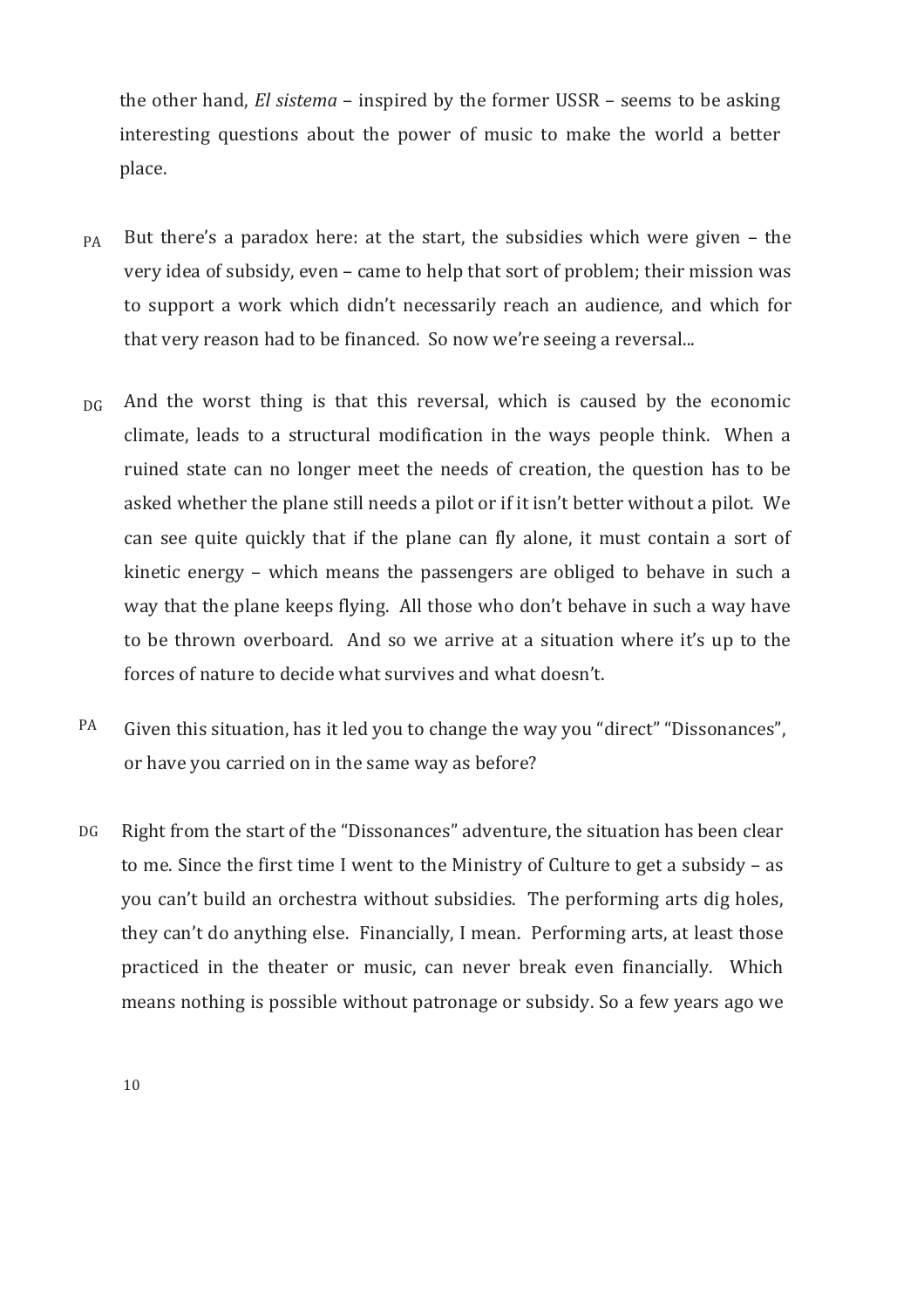the other hand, *El sistema* – inspired by the former USSR – seems to be asking interesting questions about the power of music to make the world a better place.

- $P_A$  But there's a paradox here: at the start, the subsidies which were given the very idea of subsidy, even – came to help that sort of problem; their mission was to support a work which didn't necessarily reach an audience, and which for that very reason had to be financed. So now we're seeing a reversal...
- And the worst thing is that this reversal, which is caused by the economic climate, leads to a structural modification in the ways people think. When a ruined state can no longer meet the needs of creation, the question has to be asked whether the plane still needs a pilot or if it isn't better without a pilot. We can see quite quickly that if the plane can fly alone, it must contain a sort of kinetic energy – which means the passengers are obliged to behave in such a way that the plane keeps flying. All those who don't behave in such a way have to be thrown overboard. And so we arrive at a situation where it's up to the forces of nature to decide what survives and what doesn't.  $\overline{D}G$
- Given this situation, has it led you to change the way you "direct" "Dissonances", or have you carried on in the same way as before? PA
- Right from the start of the "Dissonances" adventure, the situation has been clear to me. Since the first time I went to the Ministry of Culture to get a subsidy  $-$  as you can't build an orchestra without subsidies. The performing arts dig holes, they can't do anything else. Financially, I mean. Performing arts, at least those practiced in the theater or music, can never break even financially. Which means nothing is possible without patronage or subsidy. So a few years ago we DG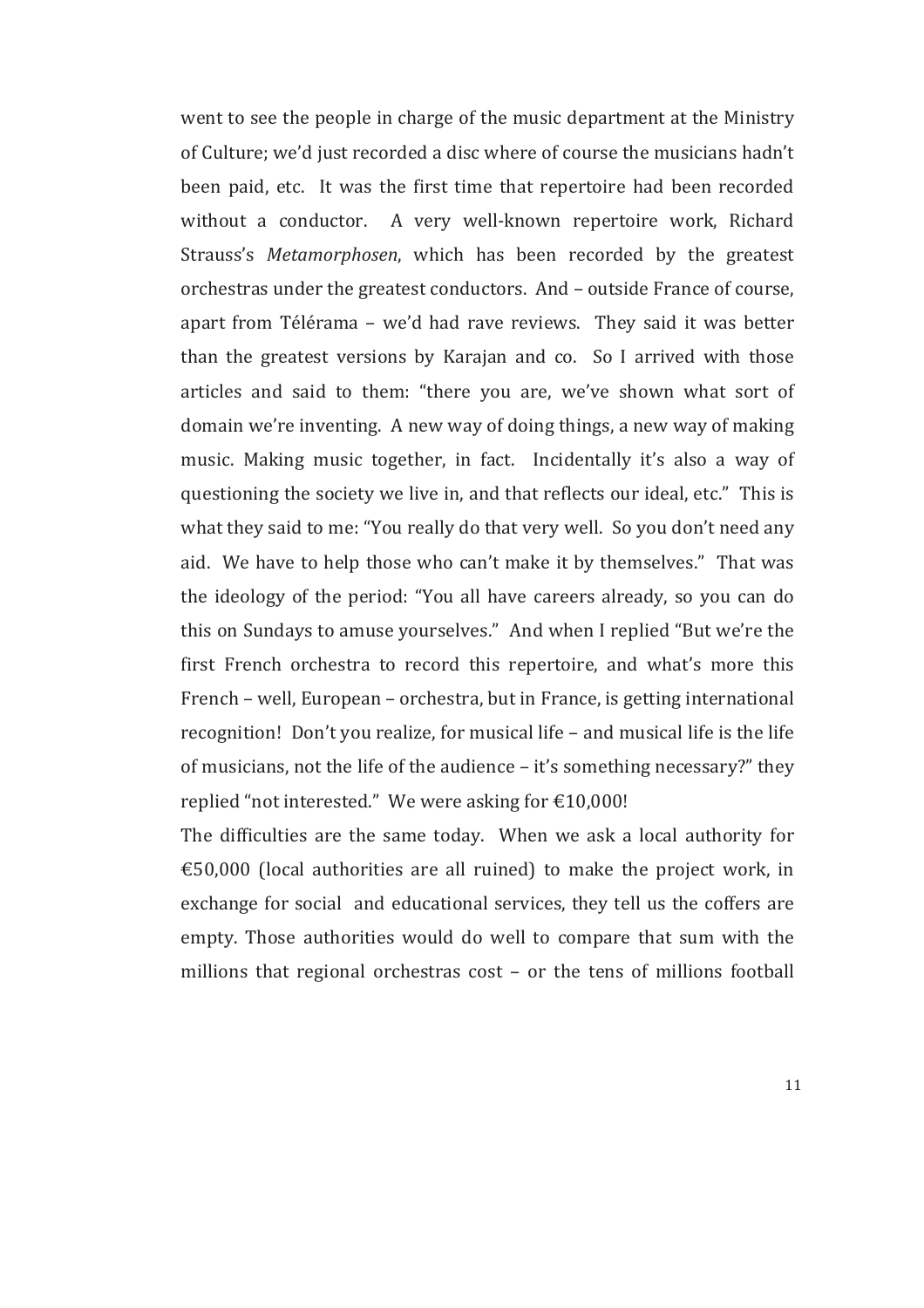went to see the people in charge of the music department at the Ministry of Culture; we'd just recorded a disc where of course the musicians hadn't been paid, etc. It was the first time that repertoire had been recorded without a conductor. A very well-known repertoire work, Richard Strauss's *Metamorphosen*, which has been recorded by the greatest orchestras under the greatest conductors. And – outside France of course, apart from Télérama - we'd had rave reviews. They said it was better than the greatest versions by Karajan and co. So I arrived with those articles and said to them: "there you are, we've shown what sort of domain we're inventing. A new way of doing things, a new way of making music. Making music together, in fact. Incidentally it's also a way of questioning the society we live in, and that reflects our ideal, etc." This is what they said to me: "You really do that very well. So you don't need any aid. We have to help those who can't make it by themselves." That was the ideology of the period: "You all have careers already, so you can do this on Sundays to amuse yourselves." And when I replied "But we're the first French orchestra to record this repertoire, and what's more this French – well, European – orchestra, but in France, is getting international recognition! Don't you realize, for musical life  $-$  and musical life is the life of musicians, not the life of the audience  $-$  it's something necessary?" they replied "not interested." We were asking for  $£10,000!$ 

The difficulties are the same today. When we ask a local authority for €50,000 (local authorities are all ruined) to make the project work, in exchange for social and educational services, they tell us the coffers are empty. Those authorities would do well to compare that sum with the millions that regional orchestras  $cost - or$  the tens of millions football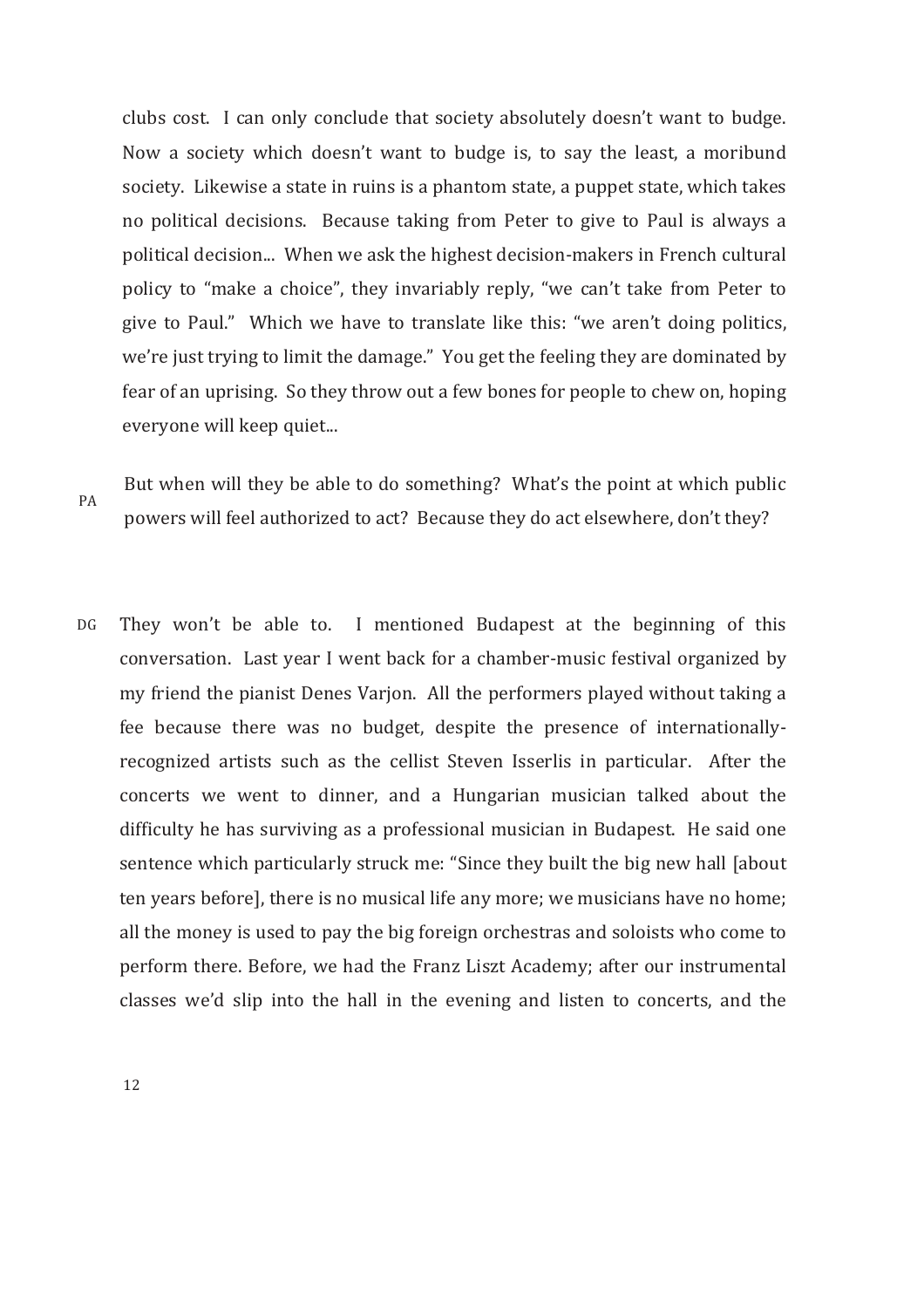clubs cost. I can only conclude that society absolutely doesn't want to budge. Now a society which doesn't want to budge is, to say the least, a moribund society. Likewise a state in ruins is a phantom state, a puppet state, which takes no political decisions. Because taking from Peter to give to Paul is always a political decision... When we ask the highest decision-makers in French cultural policy to "make a choice", they invariably reply, "we can't take from Peter to give to Paul." Which we have to translate like this: "we aren't doing politics, we're just trying to limit the damage." You get the feeling they are dominated by fear of an uprising. So they throw out a few bones for people to chew on, hoping everyone will keep quiet...

PA

But when will they be able to do something? What's the point at which public powers will feel authorized to act? Because they do act elsewhere, don't they?

They won't be able to. I mentioned Budapest at the beginning of this conversation. Last year I went back for a chamber-music festival organized by my friend the pianist Denes Varjon. All the performers played without taking a fee because there was no budget, despite the presence of internationallyrecognized artists such as the cellist Steven Isserlis in particular. After the concerts we went to dinner, and a Hungarian musician talked about the difficulty he has surviving as a professional musician in Budapest. He said one sentence which particularly struck me: "Since they built the big new hall [about] ten years before], there is no musical life any more; we musicians have no home; all the money is used to pay the big foreign orchestras and soloists who come to perform there. Before, we had the Franz Liszt Academy; after our instrumental classes we'd slip into the hall in the evening and listen to concerts, and the DG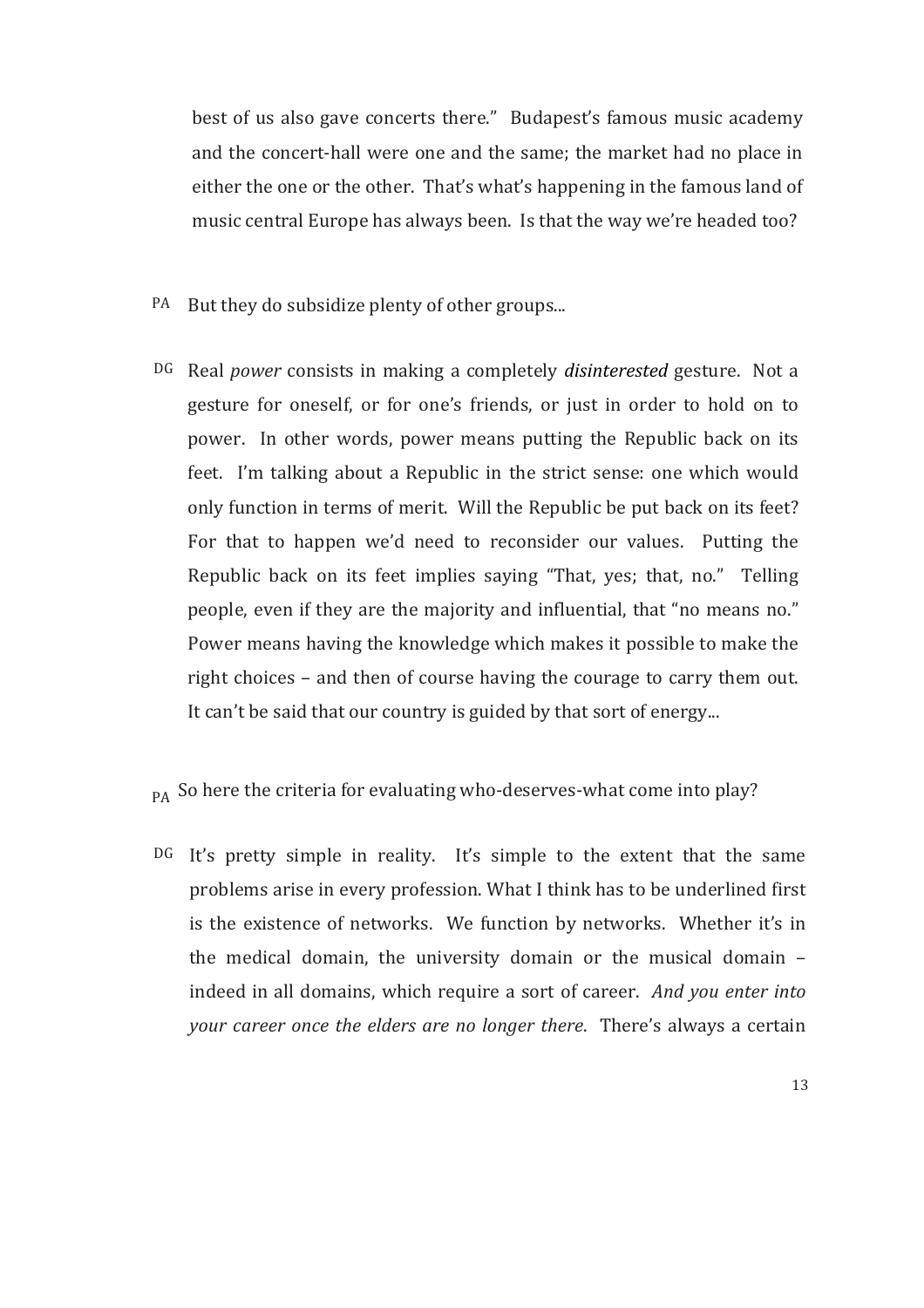best of us also gave concerts there." Budapest's famous music academy and the concert-hall were one and the same; the market had no place in either the one or the other. That's what's happening in the famous land of music central Europe has always been. Is that the way we're headed too?

- PA But they do subsidize plenty of other groups...
- DG Real *power* consists in making a completely *disinterested* gesture. Not a gesture for oneself, or for one's friends, or just in order to hold on to power. In other words, power means putting the Republic back on its feet. I'm talking about a Republic in the strict sense: one which would only function in terms of merit. Will the Republic be put back on its feet? For that to happen we'd need to reconsider our values. Putting the Republic back on its feet implies saying "That, yes; that, no." Telling people, even if they are the majority and influential, that "no means no." Power means having the knowledge which makes it possible to make the right choices – and then of course having the courage to carry them out. It can't be said that our country is guided by that sort of energy...

## $_{\rm PA}$  So here the criteria for evaluating who-deserves-what come into play?

DG It's pretty simple in reality. It's simple to the extent that the same problems arise in every profession. What I think has to be underlined first is the existence of networks. We function by networks. Whether it's in the medical domain, the university domain or the musical domain indeed in all domains, which require a sort of career. And you enter into *your* career once the elders are no longer there. There's always a certain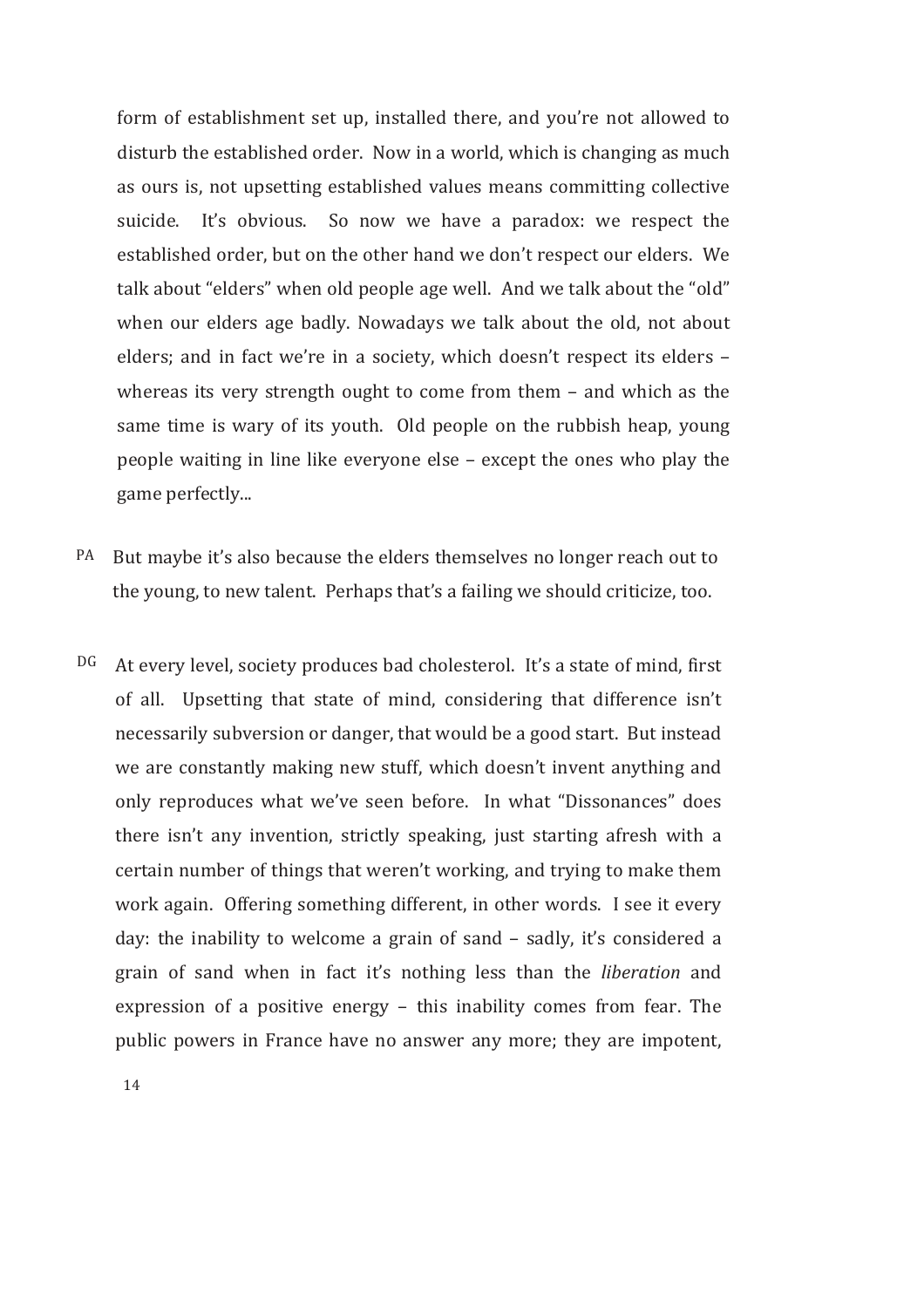form of establishment set up, installed there, and you're not allowed to disturb the established order. Now in a world, which is changing as much as ours is, not upsetting established values means committing collective suicide. It's obvious. So now we have a paradox: we respect the established order, but on the other hand we don't respect our elders. We talk about "elders" when old people age well. And we talk about the "old" when our elders age badly. Nowadays we talk about the old, not about elders; and in fact we're in a society, which doesn't respect its elders whereas its very strength ought to come from them  $-$  and which as the same time is wary of its youth. Old people on the rubbish heap, young people waiting in line like everyone else – except the ones who play the game perfectly...

- PA But maybe it's also because the elders themselves no longer reach out to the young, to new talent. Perhaps that's a failing we should criticize, too.
- At every level, society produces bad cholesterol. It's a state of mind, first of all. Upsetting that state of mind, considering that difference isn't necessarily subversion or danger, that would be a good start. But instead we are constantly making new stuff, which doesn't invent anything and only reproduces what we've seen before. In what "Dissonances" does there isn't any invention, strictly speaking, just starting afresh with a certain number of things that weren't working, and trying to make them work again. Offering something different, in other words. I see it every day: the inability to welcome a grain of sand  $-$  sadly, it's considered a grain of sand when in fact it's nothing less than the *liberation* and expression of a positive energy  $-$  this inability comes from fear. The public powers in France have no answer any more; they are impotent, DG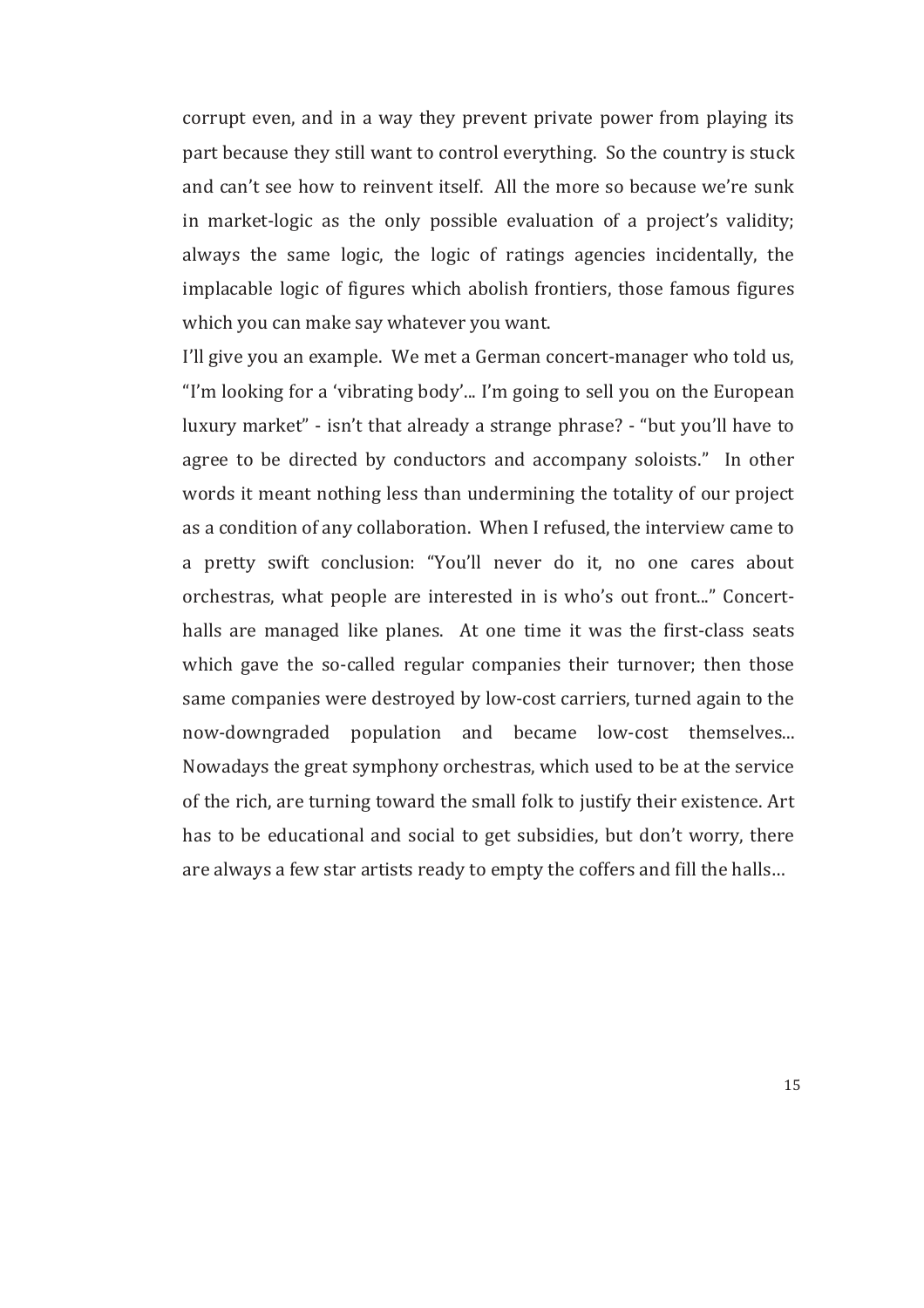corrupt even, and in a way they prevent private power from playing its part because they still want to control everything. So the country is stuck and can't see how to reinvent itself. All the more so because we're sunk in market-logic as the only possible evaluation of a project's validity; always the same logic, the logic of ratings agencies incidentally, the implacable logic of figures which abolish frontiers, those famous figures which you can make say whatever you want.

I'll give you an example. We met a German concert-manager who told us, "I'm looking for a 'vibrating body'... I'm going to sell you on the European luxury market" - isn't that already a strange phrase? - "but you'll have to agree to be directed by conductors and accompany soloists." In other words it meant nothing less than undermining the totality of our project as a condition of any collaboration. When I refused, the interview came to a pretty swift conclusion: "You'll never do it, no one cares about orchestras, what people are interested in is who's out front..." Concerthalls are managed like planes. At one time it was the first-class seats which gave the so-called regular companies their turnover; then those same companies were destroyed by low-cost carriers, turned again to the now-downgraded population and became low-cost themselves... Nowadays the great symphony orchestras, which used to be at the service of the rich, are turning toward the small folk to justify their existence. Art has to be educational and social to get subsidies, but don't worry, there are always a few star artists ready to empty the coffers and fill the halls...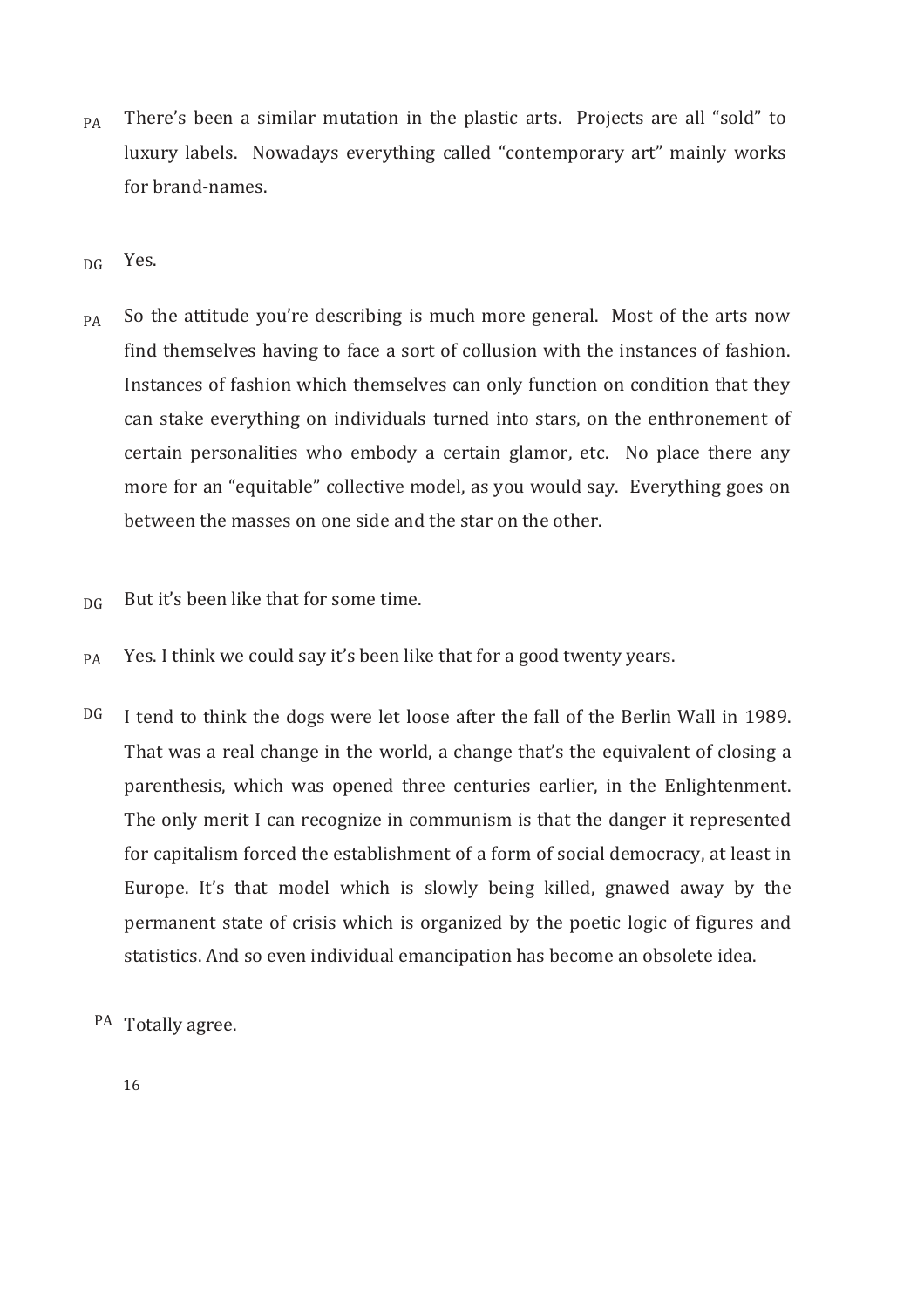- $p_A$  There's been a similar mutation in the plastic arts. Projects are all "sold" to luxury labels. Nowadays everything called "contemporary art" mainly works for brand-names
- Yes.  $\overline{D}G$
- So the attitude you're describing is much more general. Most of the arts now find themselves having to face a sort of collusion with the instances of fashion. Instances of fashion which themselves can only function on condition that they can stake everything on individuals turned into stars, on the enthronement of certain personalities who embody a certain glamor, etc. No place there any more for an "equitable" collective model, as you would say. Everything goes on between the masses on one side and the star on the other. PA
- But it's been like that for some time. DG
- Yes. I think we could say it's been like that for a good twenty years. PA
- I tend to think the dogs were let loose after the fall of the Berlin Wall in 1989. That was a real change in the world, a change that's the equivalent of closing a parenthesis, which was opened three centuries earlier, in the Enlightenment. The only merit I can recognize in communism is that the danger it represented for capitalism forced the establishment of a form of social democracy, at least in Europe. It's that model which is slowly being killed, gnawed away by the permanent state of crisis which is organized by the poetic logic of figures and statistics. And so even individual emancipation has become an obsolete idea. DG
	- PA Totally agree.

16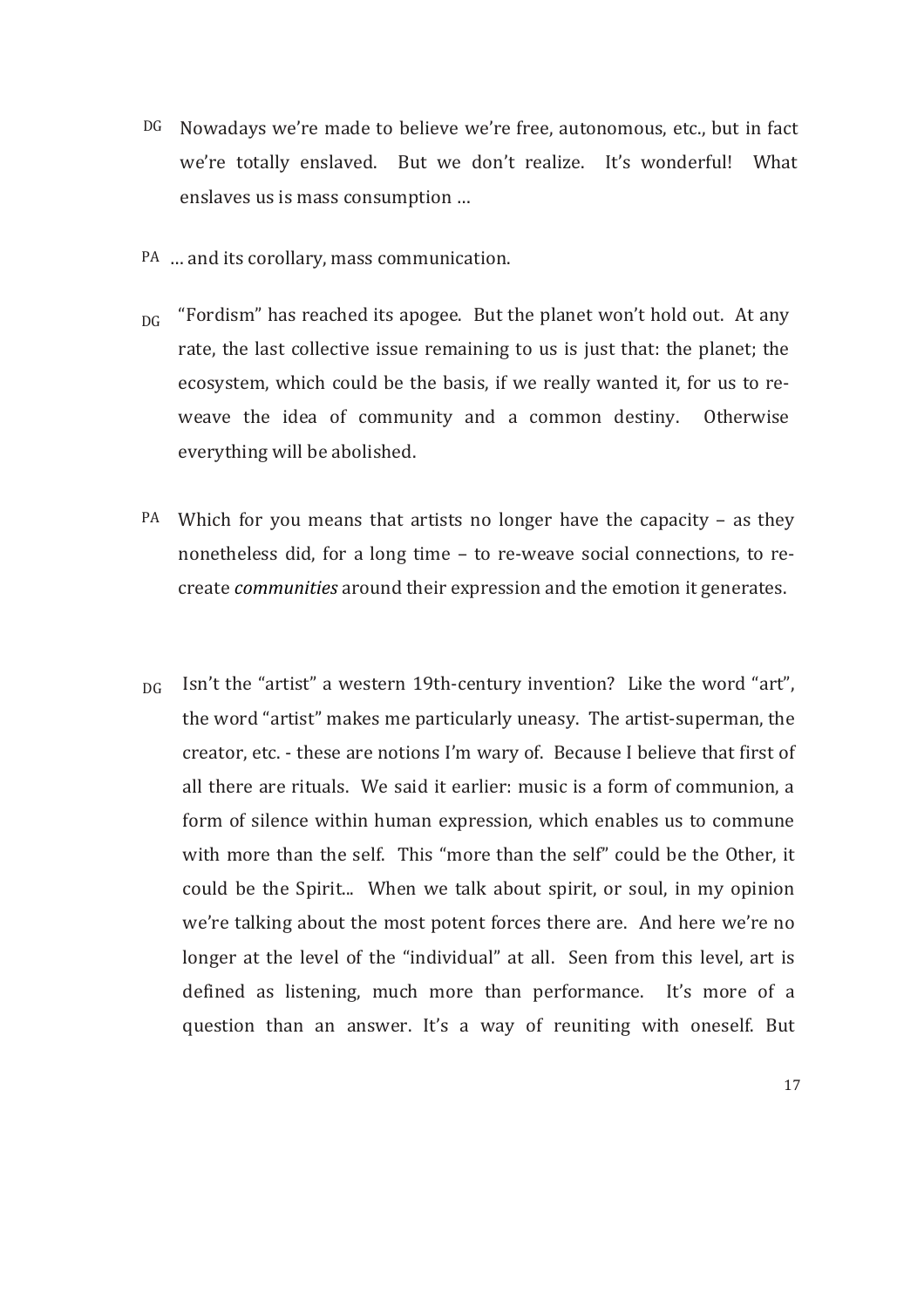- DG Nowadays we're made to believe we're free, autonomous, etc., but in fact we're totally enslaved. But we don't realize. It's wonderful! What enslaves us is mass consumption ...
- PA ... and its corollary, mass communication.
- "Fordism" has reached its apogee. But the planet won't hold out. At any rate, the last collective issue remaining to us is just that: the planet; the ecosystem, which could be the basis, if we really wanted it, for us to reweave the idea of community and a common destiny. Otherwise everything will be abolished.  $\overline{D}G$
- PA Which for you means that artists no longer have the capacity  $-$  as they nonetheless did, for a long time – to re-weave social connections, to recreate *communities* around their expression and the emotion it generates.
- Isn't the "artist" a western 19th-century invention? Like the word "art", the word "artist" makes me particularly uneasy. The artist-superman, the creator, etc. - these are notions I'm wary of. Because I believe that first of all there are rituals. We said it earlier: music is a form of communion, a form of silence within human expression, which enables us to commune with more than the self. This "more than the self" could be the Other, it could be the Spirit... When we talk about spirit, or soul, in my opinion we're talking about the most potent forces there are. And here we're no longer at the level of the "individual" at all. Seen from this level, art is defined as listening, much more than performance. It's more of a question than an answer. It's a way of reuniting with oneself. But  $\overline{D}G$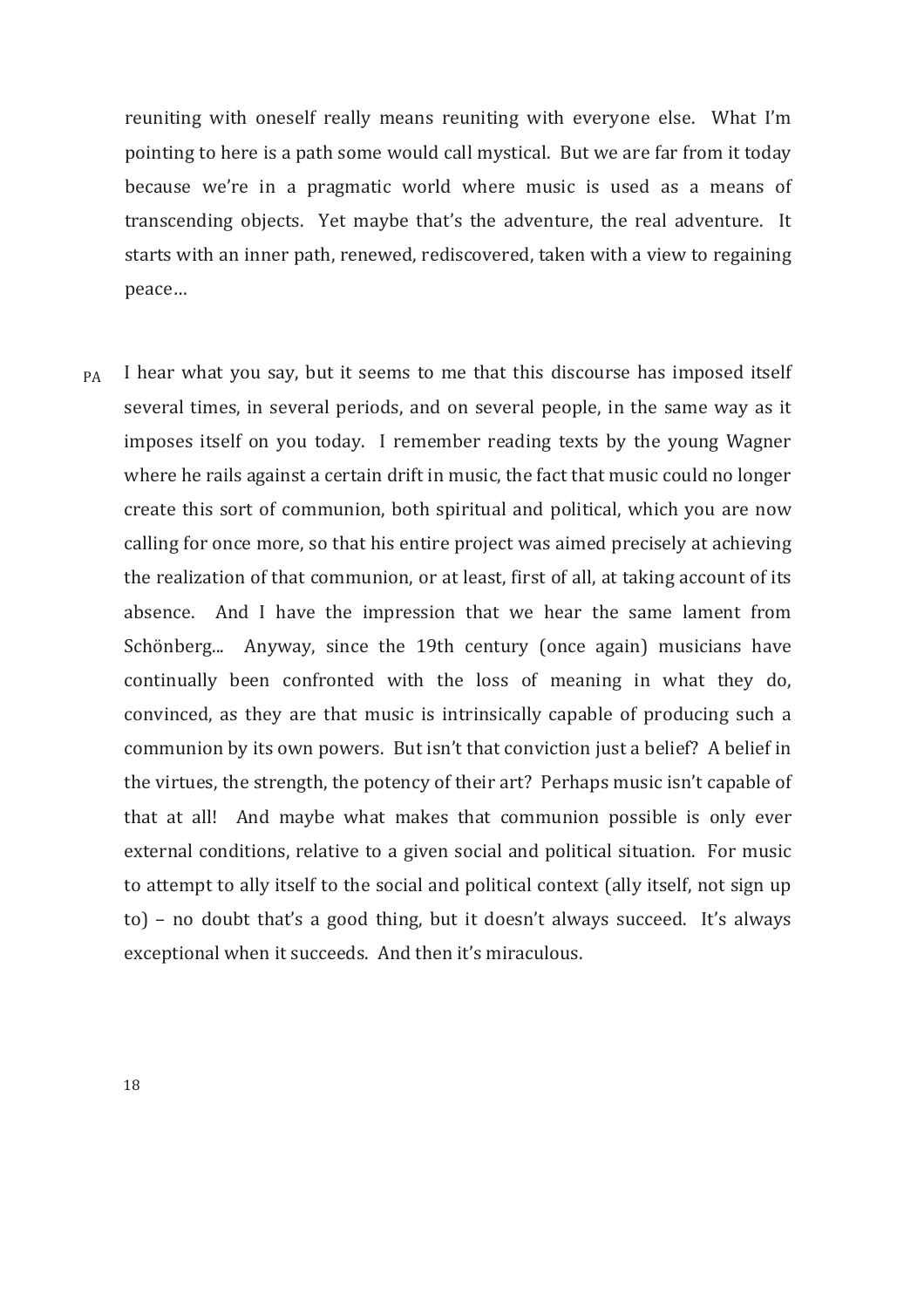reuniting with oneself really means reuniting with everyone else. What I'm pointing to here is a path some would call mystical. But we are far from it today because we're in a pragmatic world where music is used as a means of transcending objects. Yet maybe that's the adventure, the real adventure. It starts with an inner path, renewed, rediscovered, taken with a view to regaining peace…

 $P_A$  I hear what you say, but it seems to me that this discourse has imposed itself several times, in several periods, and on several people, in the same way as it imposes itself on you today. I remember reading texts by the young Wagner where he rails against a certain drift in music, the fact that music could no longer create this sort of communion, both spiritual and political, which you are now calling for once more, so that his entire project was aimed precisely at achieving the realization of that communion, or at least, first of all, at taking account of its absence. And I have the impression that we hear the same lament from Schönberg... Anyway, since the 19th century (once again) musicians have continually been confronted with the loss of meaning in what they do, convinced, as they are that music is intrinsically capable of producing such a communion by its own powers. But isn't that conviction just a belief? A belief in the virtues, the strength, the potency of their art? Perhaps music isn't capable of that at all! And maybe what makes that communion possible is only ever external conditions, relative to a given social and political situation. For music to attempt to ally itself to the social and political context (ally itself, not sign up to) – no doubt that's a good thing, but it doesn't always succeed. It's always exceptional when it succeeds. And then it's miraculous.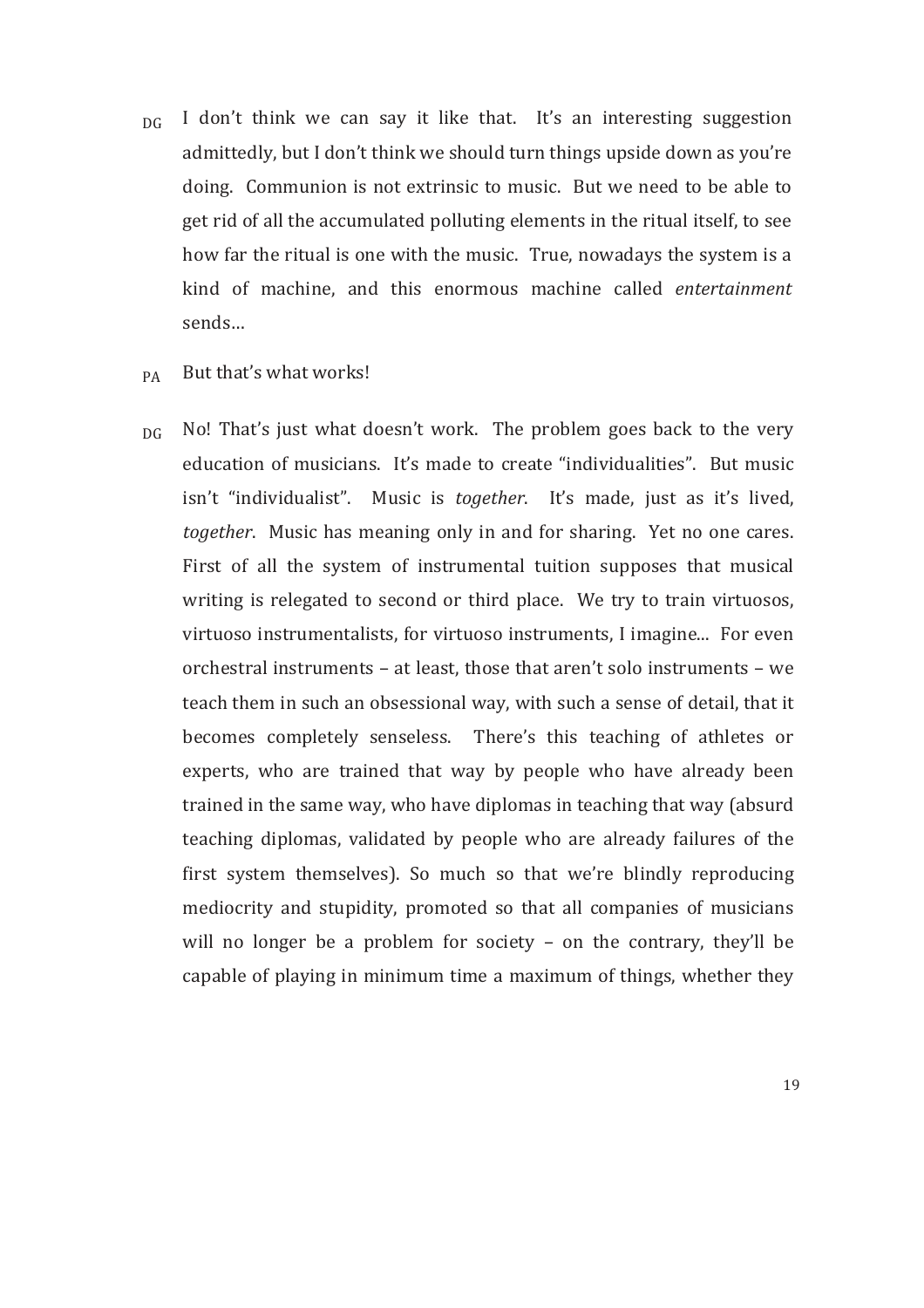- $_{\text{DG}}$  I don't think we can say it like that. It's an interesting suggestion admittedly, but I don't think we should turn things upside down as vou're doing. Communion is not extrinsic to music. But we need to be able to get rid of all the accumulated polluting elements in the ritual itself, to see how far the ritual is one with the music. True, nowadays the system is a kind of machine, and this enormous machine called *entertainment* sends…
- But that's what works! PA
- No! That's just what doesn't work. The problem goes back to the very education of musicians. It's made to create "individualities". But music isn't "individualist". Music is *together*. It's made, just as it's lived, *together*. Music has meaning only in and for sharing. Yet no one cares. First of all the system of instrumental tuition supposes that musical writing is relegated to second or third place. We try to train virtuosos, virtuoso instrumentalists, for virtuoso instruments, I imagine... For even orchestral instruments  $-$  at least, those that aren't solo instruments  $-$  we teach them in such an obsessional way, with such a sense of detail, that it becomes completely senseless. There's this teaching of athletes or experts, who are trained that way by people who have already been trained in the same way, who have diplomas in teaching that way (absurd teaching diplomas, validated by people who are already failures of the first system themselves). So much so that we're blindly reproducing mediocrity and stupidity, promoted so that all companies of musicians will no longer be a problem for society  $-$  on the contrary, they'll be capable of playing in minimum time a maximum of things, whether they  $\overline{D}G$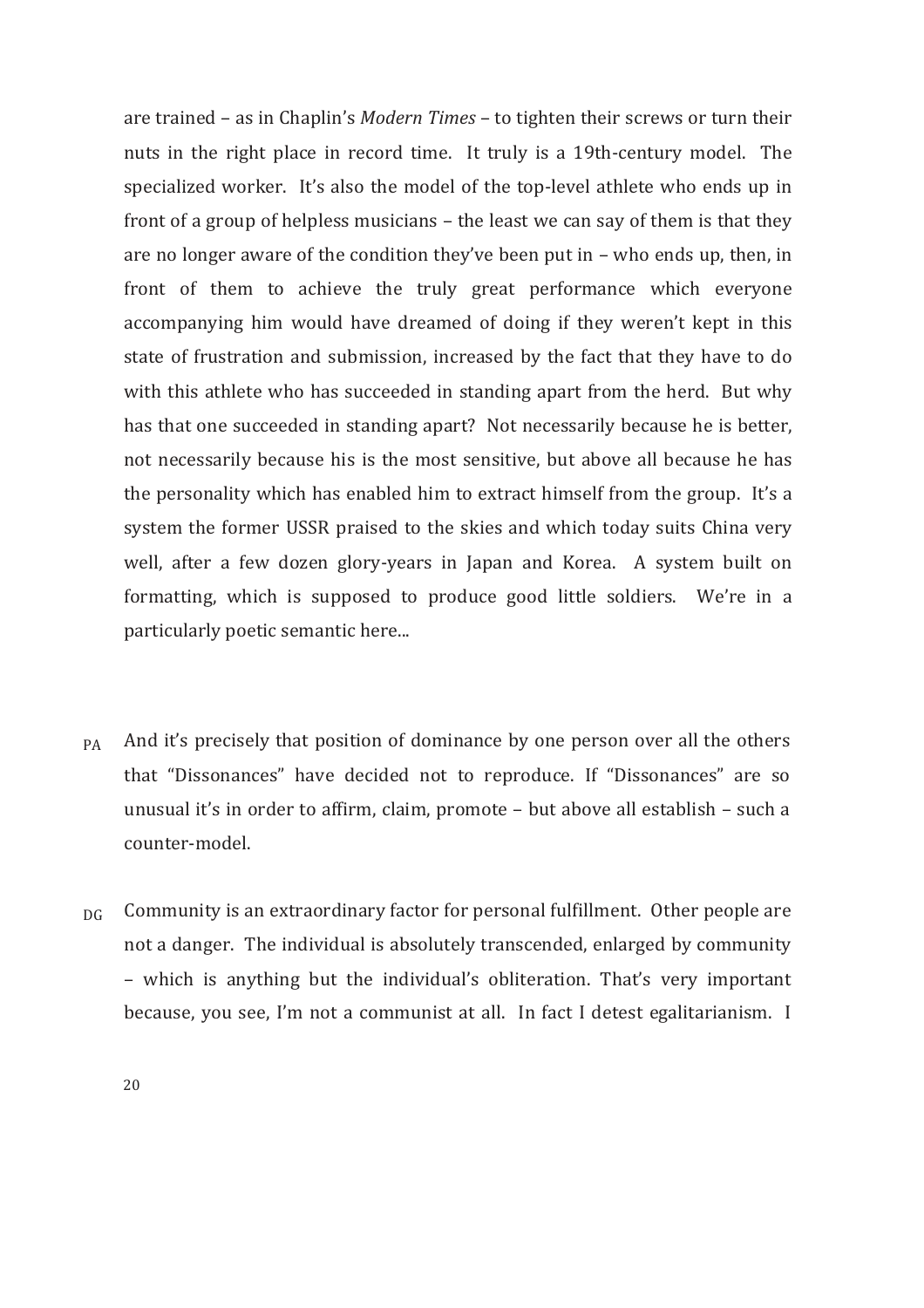are trained – as in Chaplin's *Modern Times* – to tighten their screws or turn their nuts in the right place in record time. It truly is a 19th-century model. The specialized worker. It's also the model of the top-level athlete who ends up in front of a group of helpless musicians  $-$  the least we can say of them is that they are no longer aware of the condition they've been put in – who ends up, then, in front of them to achieve the truly great performance which everyone accompanying him would have dreamed of doing if they weren't kept in this state of frustration and submission, increased by the fact that they have to do with this athlete who has succeeded in standing apart from the herd. But why has that one succeeded in standing apart? Not necessarily because he is better, not necessarily because his is the most sensitive, but above all because he has the personality which has enabled him to extract himself from the group. It's a system the former USSR praised to the skies and which today suits China very well, after a few dozen glory-years in Japan and Korea. A system built on formatting, which is supposed to produce good little soldiers. We're in a particularly poetic semantic here...

- $P_A$  And it's precisely that position of dominance by one person over all the others that "Dissonances" have decided not to reproduce. If "Dissonances" are so unusual it's in order to affirm, claim, promote - but above all establish - such a counter-model.
- Community is an extraordinary factor for personal fulfillment. Other people are not a danger. The individual is absolutely transcended, enlarged by community – which is anything but the individual's obliteration. That's very important because, you see, I'm not a communist at all. In fact I detest egalitarianism. I  $\overline{D}G$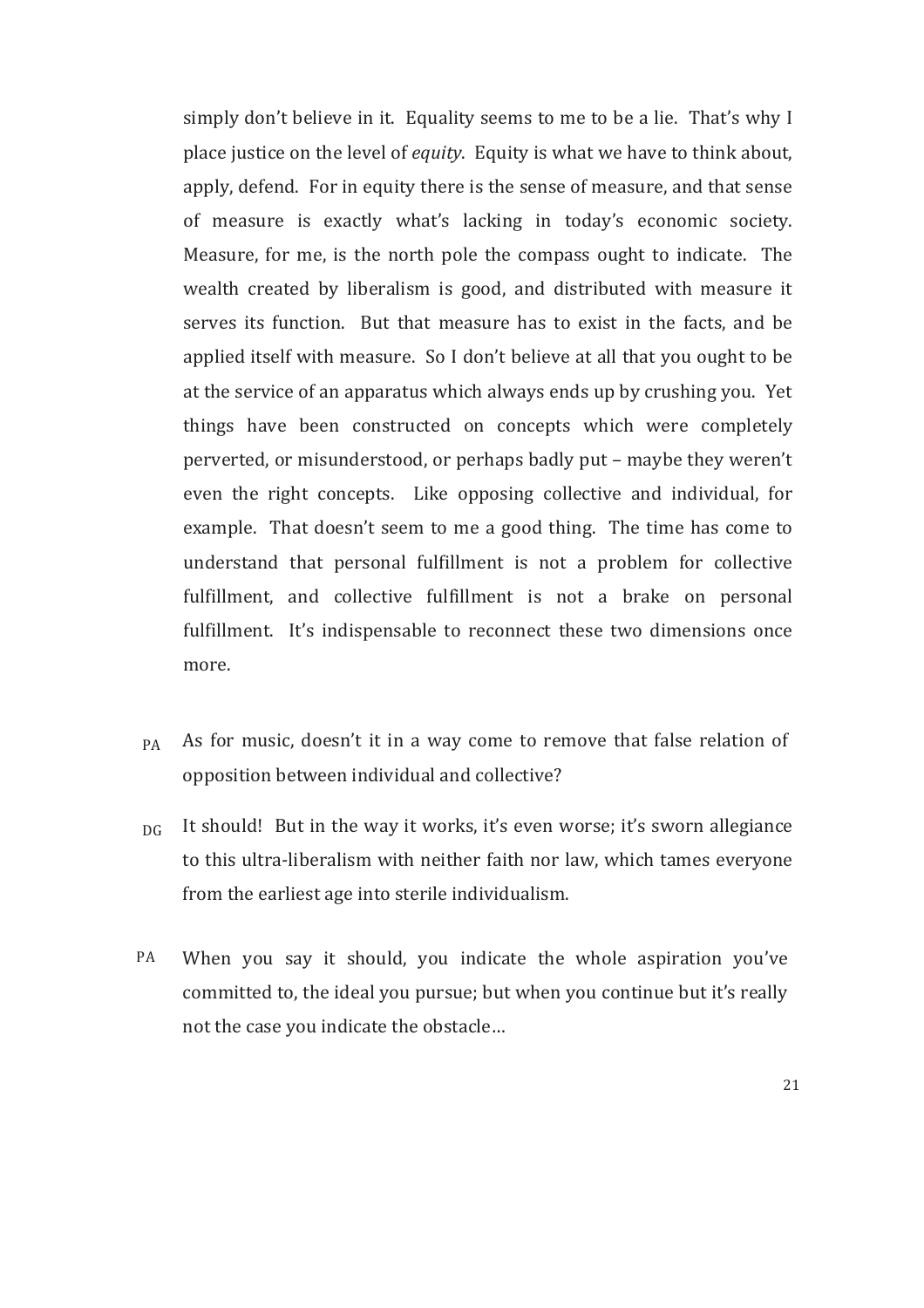simply don't believe in it. Equality seems to me to be a lie. That's why I place justice on the level of *equity*. Equity is what we have to think about, apply, defend. For in equity there is the sense of measure, and that sense of measure is exactly what's lacking in today's economic society. Measure, for me, is the north pole the compass ought to indicate. The wealth created by liberalism is good, and distributed with measure it serves its function. But that measure has to exist in the facts, and be applied itself with measure. So I don't believe at all that you ought to be at the service of an apparatus which always ends up by crushing you. Yet things have been constructed on concepts which were completely perverted, or misunderstood, or perhaps badly put – maybe they weren't even the right concepts. Like opposing collective and individual, for example. That doesn't seem to me a good thing. The time has come to understand that personal fulfillment is not a problem for collective fulfillment, and collective fulfillment is not a brake on personal fulfillment. It's indispensable to reconnect these two dimensions once more.

- $P_A$  As for music, doesn't it in a way come to remove that false relation of opposition between individual and collective?
- It should! But in the way it works, it's even worse; it's sworn allegiance to this ultra-liberalism with neither faith nor law, which tames everyone from the earliest age into sterile individualism.  $\overline{D}G$
- When you say it should, you indicate the whole aspiration you've committed to, the ideal you pursue; but when you continue but it's really not the case you indicate the obstacle... PA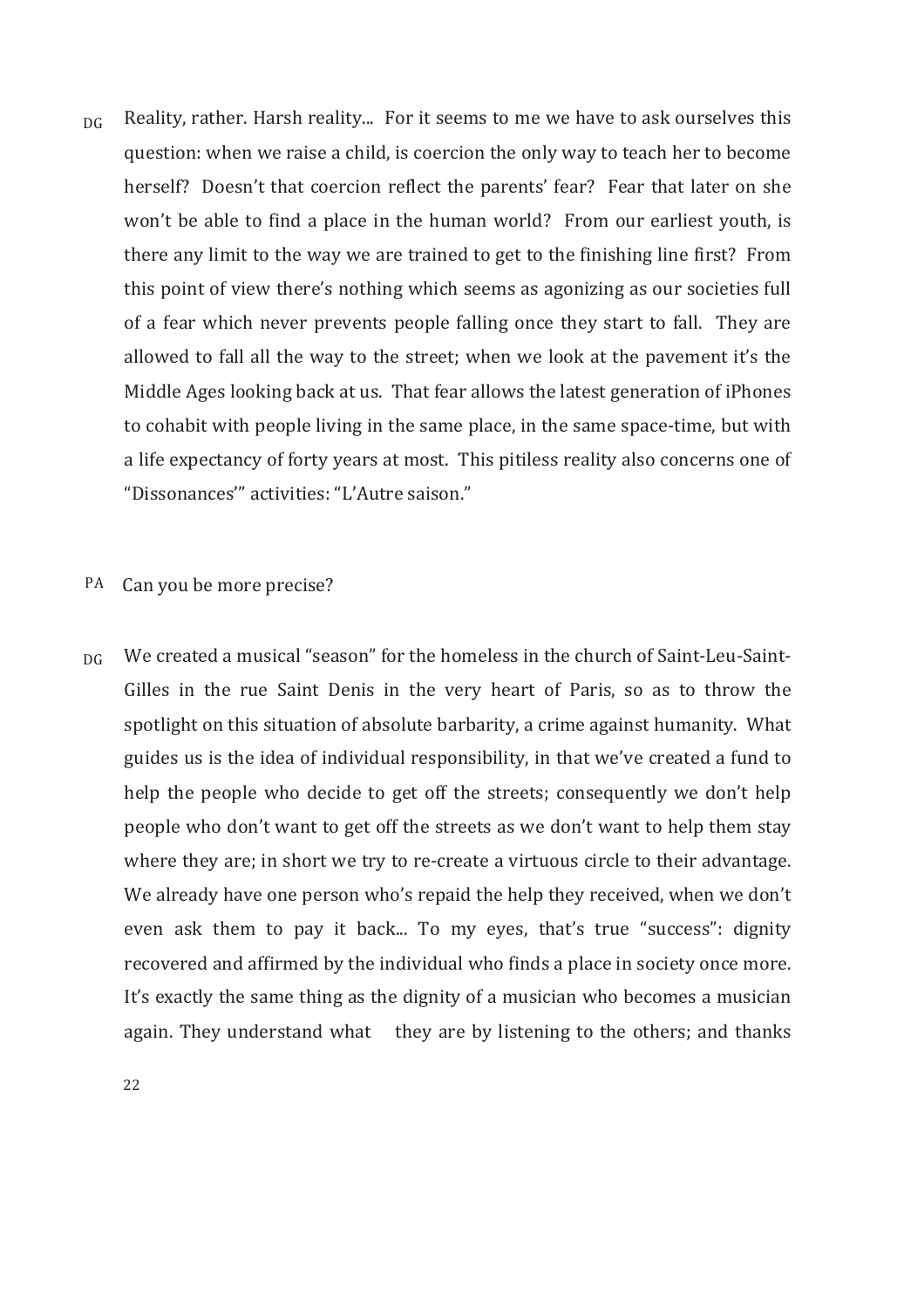$_{DG}$  Reality, rather. Harsh reality... For it seems to me we have to ask ourselves this question: when we raise a child, is coercion the only way to teach her to become herself? Doesn't that coercion reflect the parents' fear? Fear that later on she won't be able to find a place in the human world? From our earliest youth, is there any limit to the way we are trained to get to the finishing line first? From this point of view there's nothing which seems as agonizing as our societies full of a fear which never prevents people falling once they start to fall. They are allowed to fall all the way to the street; when we look at the pavement it's the Middle Ages looking back at us. That fear allows the latest generation of iPhones to cohabit with people living in the same place, in the same space-time, but with a life expectancy of forty years at most. This pitiless reality also concerns one of "Dissonances" activities: "L'Autre saison."

#### PA Can you be more precise?

We created a musical "season" for the homeless in the church of Saint-Leu-Saint-Gilles in the rue Saint Denis in the very heart of Paris, so as to throw the spotlight on this situation of absolute barbarity, a crime against humanity. What guides us is the idea of individual responsibility, in that we've created a fund to help the people who decide to get off the streets; consequently we don't help people who don't want to get off the streets as we don't want to help them stay where they are; in short we try to re-create a virtuous circle to their advantage. We already have one person who's repaid the help they received, when we don't even ask them to pay it back... To my eyes, that's true "success": dignity recovered and affirmed by the individual who finds a place in society once more. It's exactly the same thing as the dignity of a musician who becomes a musician again. They understand what they are by listening to the others; and thanks DG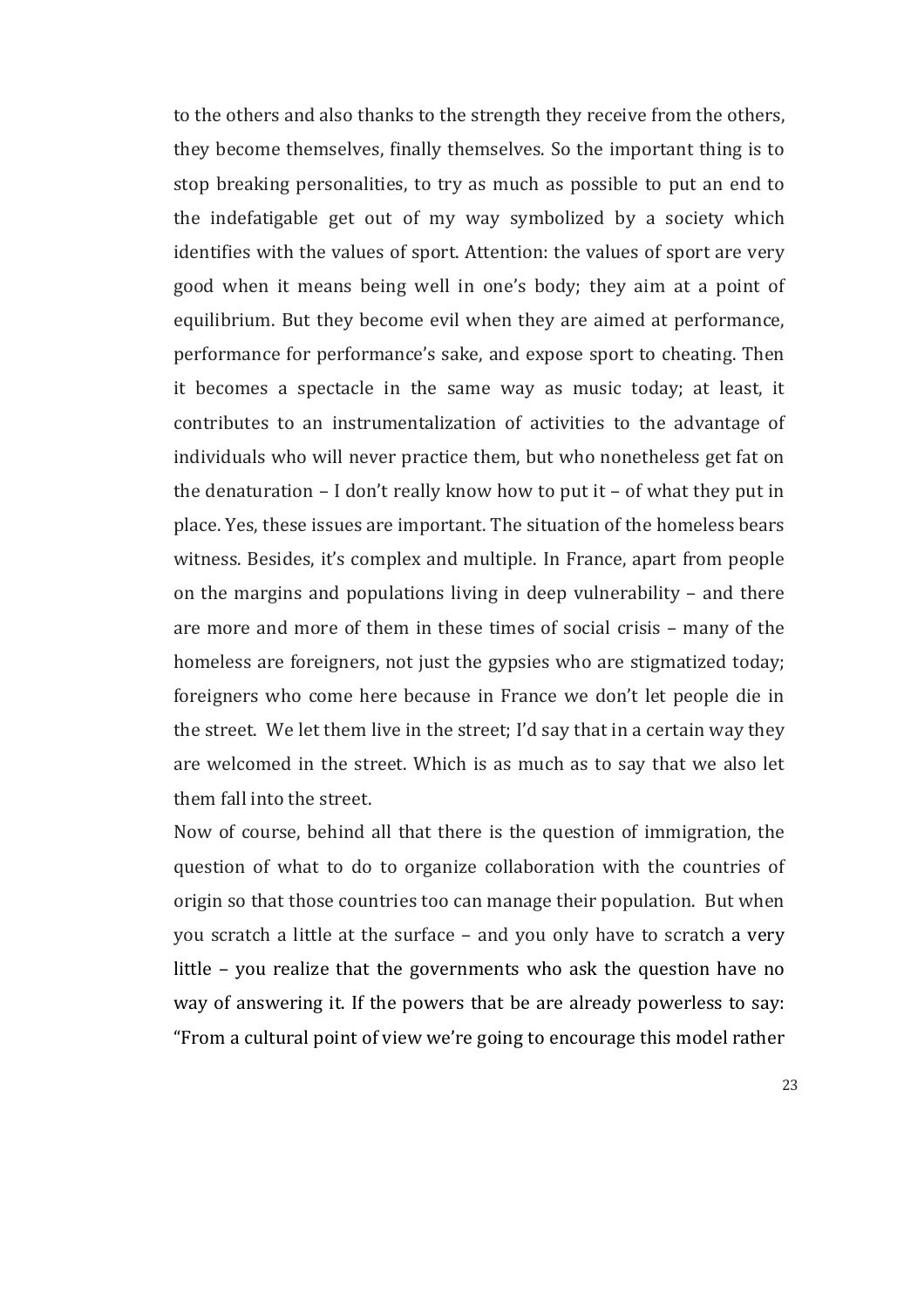to the others and also thanks to the strength they receive from the others, they become themselves, finally themselves. So the important thing is to stop breaking personalities, to try as much as possible to put an end to the indefatigable get out of my way symbolized by a society which identifies with the values of sport. Attention: the values of sport are very good when it means being well in one's body; they aim at a point of equilibrium. But they become evil when they are aimed at performance, performance for performance's sake, and expose sport to cheating. Then it becomes a spectacle in the same way as music today; at least, it contributes to an instrumentalization of activities to the advantage of individuals who will never practice them, but who nonetheless get fat on the denaturation  $-1$  don't really know how to put it  $-$  of what they put in place. Yes, these issues are important. The situation of the homeless bears witness. Besides, it's complex and multiple. In France, apart from people on the margins and populations living in deep vulnerability  $-$  and there are more and more of them in these times of social crisis – many of the homeless are foreigners, not just the gypsies who are stigmatized today; foreigners who come here because in France we don't let people die in the street. We let them live in the street; I'd say that in a certain way they are welcomed in the street. Which is as much as to say that we also let them fall into the street.

Now of course, behind all that there is the question of immigration, the question of what to do to organize collaboration with the countries of origin so that those countries too can manage their population. But when you scratch a little at the surface  $-$  and you only have to scratch a very little  $-$  you realize that the governments who ask the question have no way of answering it. If the powers that be are already powerless to say: "From a cultural point of view we're going to encourage this model rather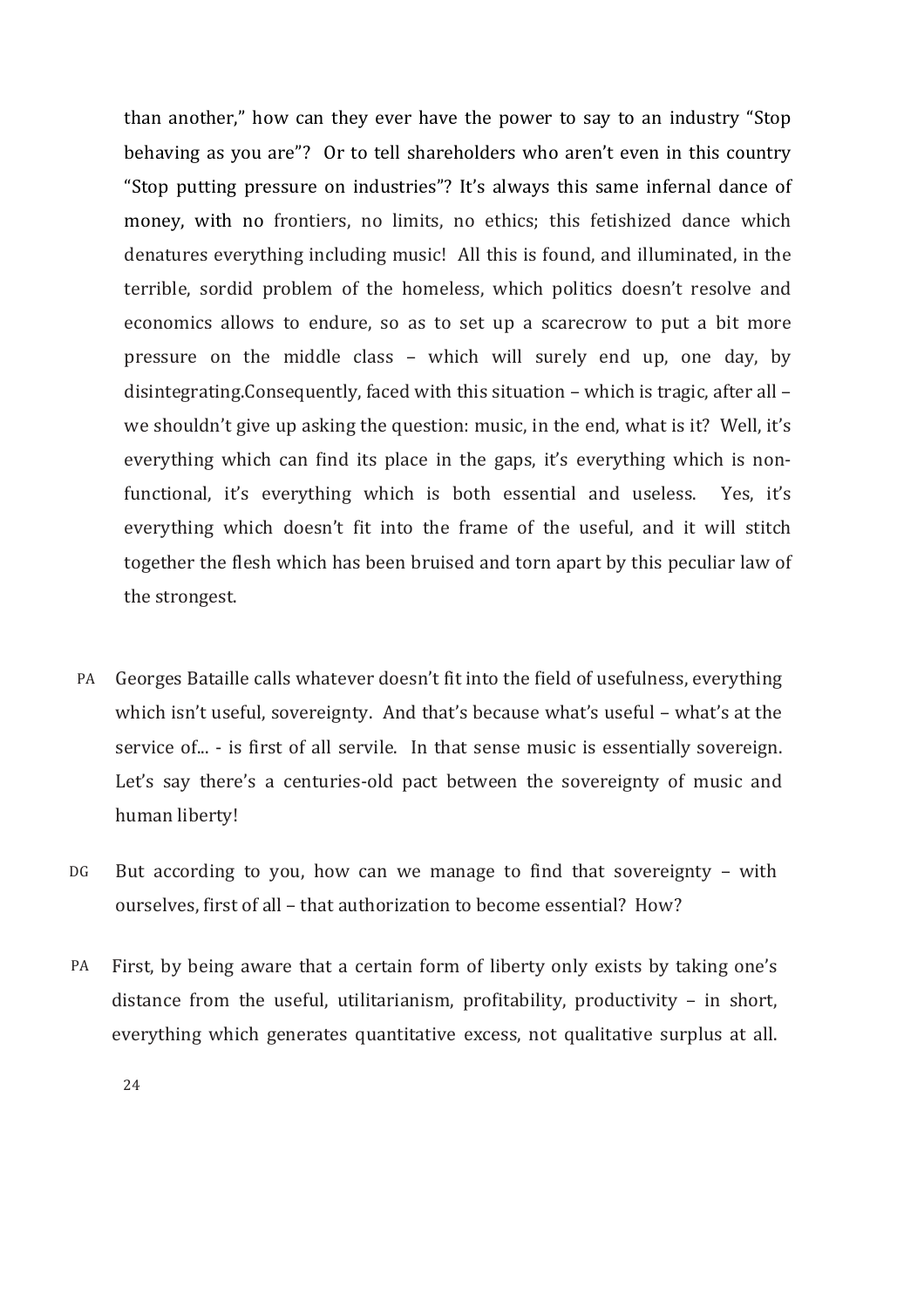than another," how can they ever have the power to say to an industry "Stop behaving as you are"? Or to tell shareholders who aren't even in this country "Stop putting pressure on industries"? It's always this same infernal dance of money, with no frontiers, no limits, no ethics; this fetishized dance which denatures everything including music! All this is found, and illuminated, in the terrible, sordid problem of the homeless, which politics doesn't resolve and economics allows to endure, so as to set up a scarecrow to put a bit more pressure on the middle class - which will surely end up, one day, by disintegrating.Consequently, faced with this situation – which is tragic, after all – we shouldn't give up asking the question: music, in the end, what is it? Well, it's everything which can find its place in the gaps, it's everything which is nonfunctional, it's everything which is both essential and useless. Yes, it's everything which doesn't fit into the frame of the useful, and it will stitch together the flesh which has been bruised and torn apart by this peculiar law of the strongest.

- PA Georges Bataille calls whatever doesn't fit into the field of usefulness, everything which isn't useful, sovereignty. And that's because what's useful – what's at the service of... - is first of all servile. In that sense music is essentially sovereign. Let's say there's a centuries-old pact between the sovereignty of music and human liberty!
- But according to you, how can we manage to find that sovereignty  $-$  with ourselves, first of all - that authorization to become essential? How? DG
- First, by being aware that a certain form of liberty only exists by taking one's distance from the useful, utilitarianism, profitability, productivity  $-$  in short, everything which generates quantitative excess, not qualitative surplus at all. PA

<sup>24</sup>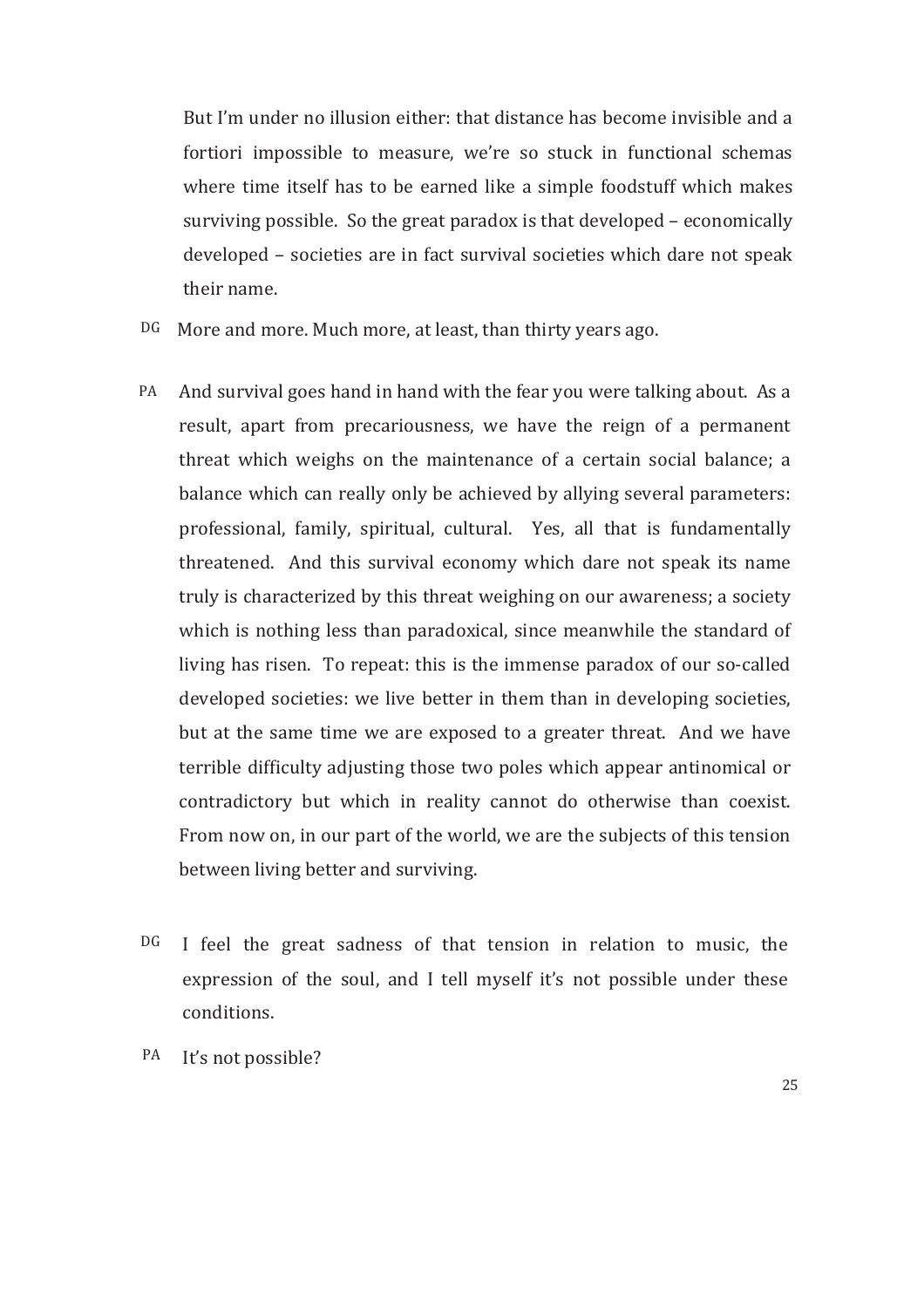But I'm under no illusion either: that distance has become invisible and a fortiori impossible to measure, we're so stuck in functional schemas where time itself has to be earned like a simple foodstuff which makes surviving possible. So the great paradox is that developed  $-$  economically developed - societies are in fact survival societies which dare not speak their name.

- DG More and more. Much more, at least, than thirty years ago.
- PA And survival goes hand in hand with the fear you were talking about. As a result, apart from precariousness, we have the reign of a permanent threat which weighs on the maintenance of a certain social balance; a balance which can really only be achieved by allying several parameters: professional, family, spiritual, cultural. Yes, all that is fundamentally threatened. And this survival economy which dare not speak its name truly is characterized by this threat weighing on our awareness; a society which is nothing less than paradoxical, since meanwhile the standard of living has risen. To repeat: this is the immense paradox of our so-called developed societies: we live better in them than in developing societies, but at the same time we are exposed to a greater threat. And we have terrible difficulty adjusting those two poles which appear antinomical or contradictory but which in reality cannot do otherwise than coexist. From now on, in our part of the world, we are the subjects of this tension between living better and surviving.
- I feel the great sadness of that tension in relation to music, the expression of the soul, and I tell myself it's not possible under these conditions. DG
- It's not possible? PA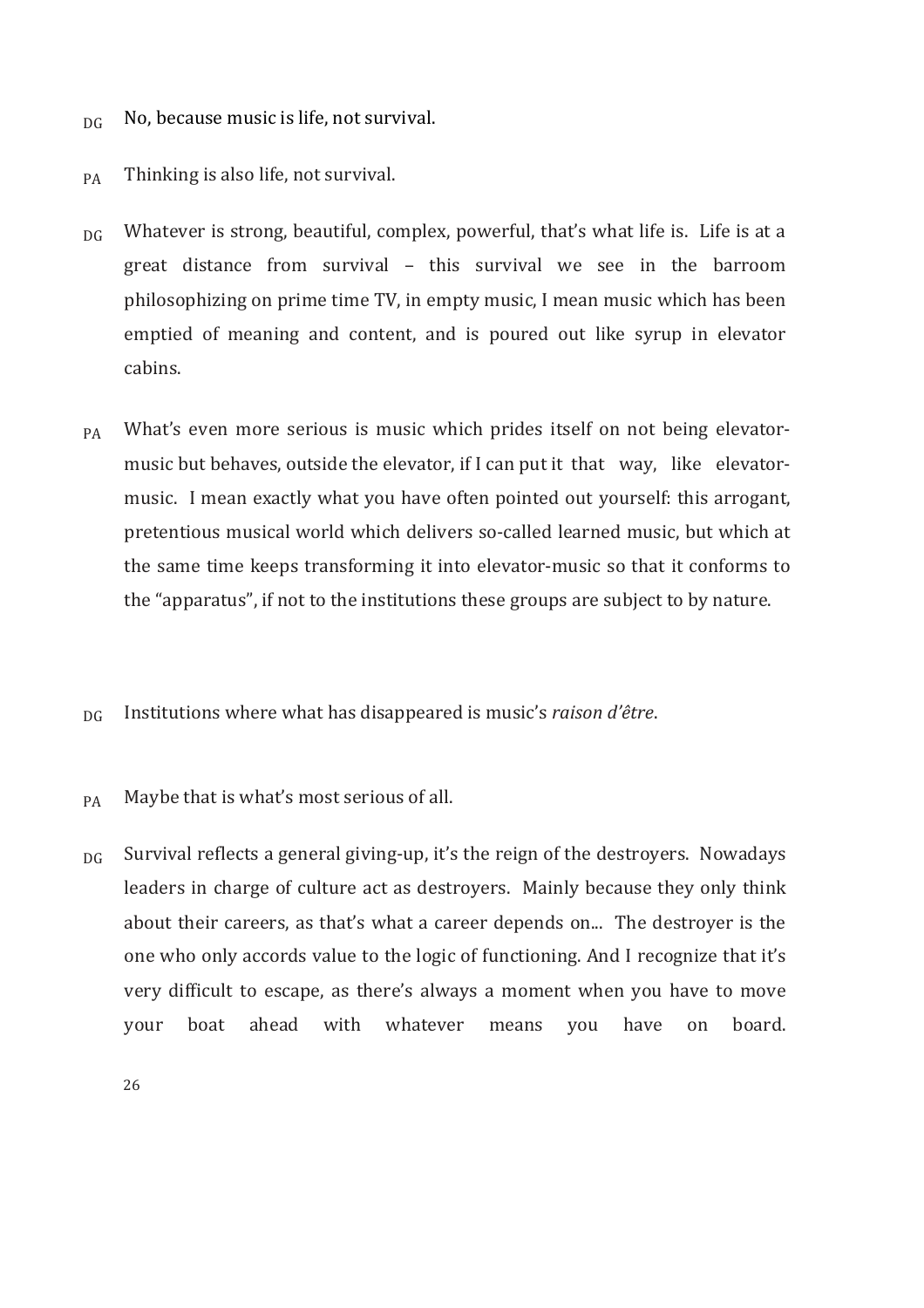- DG No, because music is life, not survival.
- PA Thinking is also life, not survival.
- DG Whatever is strong, beautiful, complex, powerful, that's what life is. Life is at a great distance from survival - this survival we see in the barroom philosophizing on prime time TV, in empty music, I mean music which has been emptied of meaning and content, and is poured out like syrup in elevator cabins.
- What's even more serious is music which prides itself on not being elevatormusic but behaves, outside the elevator, if I can put it that way, like elevatormusic. I mean exactly what you have often pointed out yourself: this arrogant, pretentious musical world which delivers so-called learned music, but which at the same time keeps transforming it into elevator-music so that it conforms to the "apparatus", if not to the institutions these groups are subject to by nature. PA
- Institutions where what has disappeared is music's *raison d'être*. DG
- Maybe that is what's most serious of all. PA
- Survival reflects a general giving-up, it's the reign of the destroyers. Nowadays leaders in charge of culture act as destroyers. Mainly because they only think about their careers, as that's what a career depends on... The destroyer is the one who only accords value to the logic of functioning. And I recognize that it's very difficult to escape, as there's always a moment when you have to move your boat ahead with whatever means you have on board. DG

26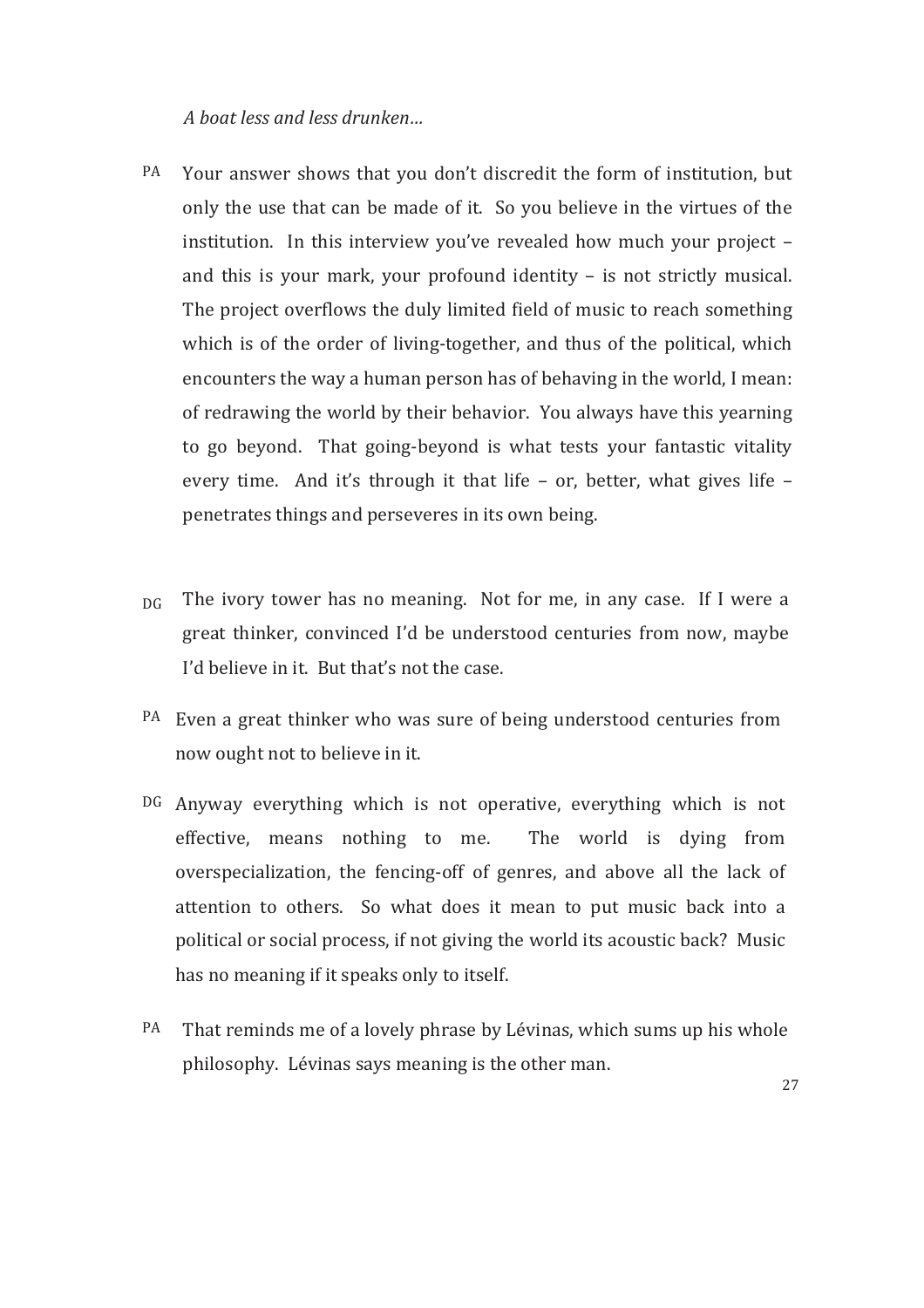### *A boat less and less drunken…*

- PA Your answer shows that you don't discredit the form of institution, but only the use that can be made of it. So you believe in the virtues of the institution. In this interview you've revealed how much your project  $$ and this is your mark, your profound identity  $-$  is not strictly musical. The project overflows the duly limited field of music to reach something which is of the order of living-together, and thus of the political, which encounters the way a human person has of behaving in the world, I mean: of redrawing the world by their behavior. You always have this yearning to go beyond. That going-beyond is what tests your fantastic vitality every time. And it's through it that life  $-$  or, better, what gives life  $$ penetrates things and perseveres in its own being.
- The ivory tower has no meaning. Not for me, in any case. If I were a great thinker, convinced I'd be understood centuries from now, maybe I'd believe in it. But that's not the case.  $\overline{D}G$
- PA Even a great thinker who was sure of being understood centuries from now ought not to believe in it.
- $DG$  Anyway everything which is not operative, everything which is not effective, means nothing to me. The world is dying from overspecialization, the fencing-off of genres, and above all the lack of attention to others. So what does it mean to put music back into a political or social process, if not giving the world its acoustic back? Music has no meaning if it speaks only to itself.
- That reminds me of a lovely phrase by Lévinas, which sums up his whole philosophy. Lévinas says meaning is the other man. PA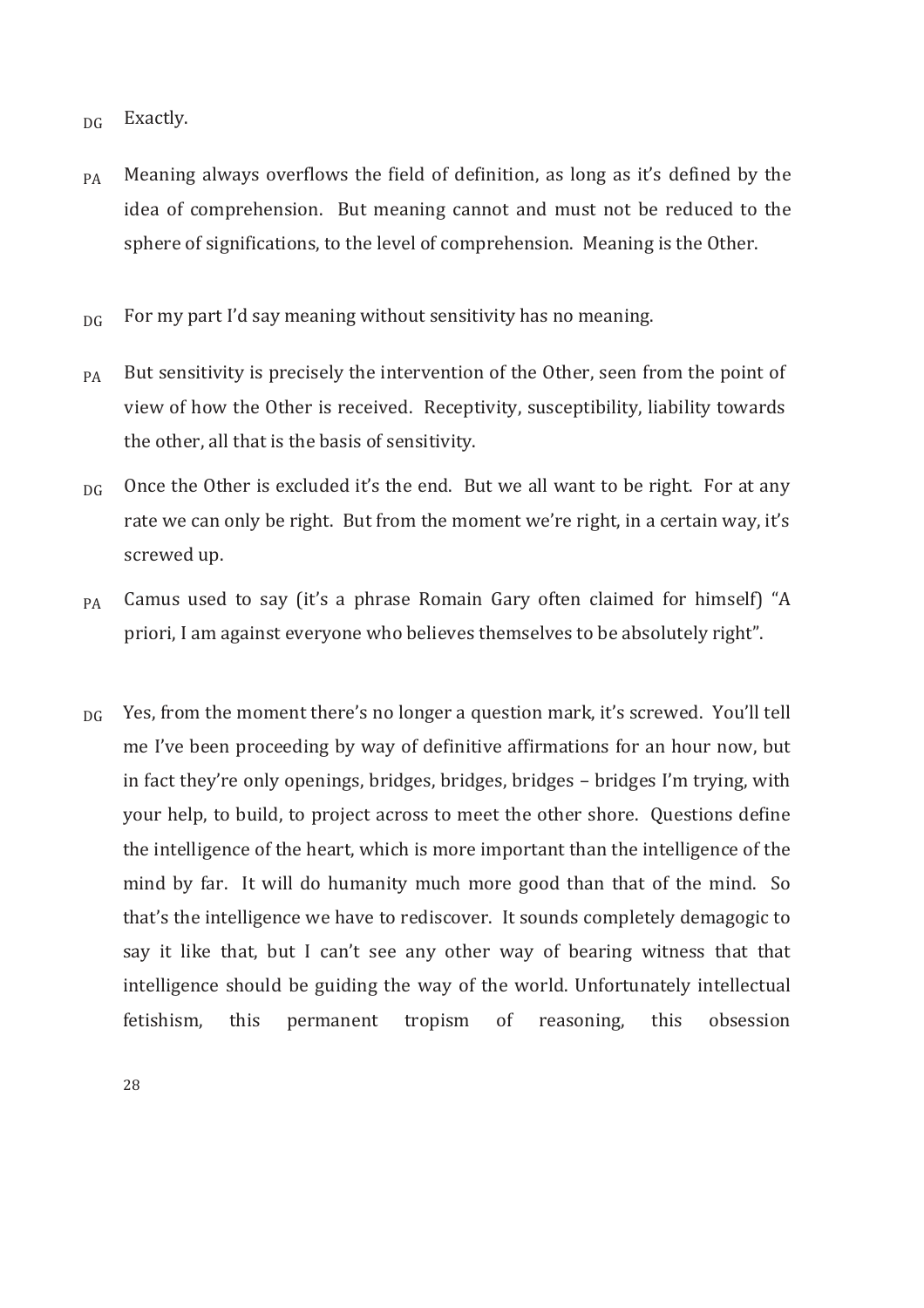DG Exactly.

- PA Meaning always overflows the field of definition, as long as it's defined by the idea of comprehension. But meaning cannot and must not be reduced to the sphere of significations, to the level of comprehension. Meaning is the Other.
- For my part I'd say meaning without sensitivity has no meaning.  $\overline{D}G$
- But sensitivity is precisely the intervention of the Other, seen from the point of view of how the Other is received. Receptivity, susceptibility, liability towards the other, all that is the basis of sensitivity. PA
- Once the Other is excluded it's the end. But we all want to be right. For at any rate we can only be right. But from the moment we're right, in a certain way, it's screwed up. DG
- Camus used to say (it's a phrase Romain Gary often claimed for himself) "A priori, I am against everyone who believes themselves to be absolutely right". PA
- Yes, from the moment there's no longer a question mark, it's screwed. You'll tell me I've been proceeding by way of definitive affirmations for an hour now, but in fact they're only openings, bridges, bridges, bridges - bridges I'm trying, with your help, to build, to project across to meet the other shore. Questions define the intelligence of the heart, which is more important than the intelligence of the mind by far. It will do humanity much more good than that of the mind. So that's the intelligence we have to rediscover. It sounds completely demagogic to say it like that, but I can't see any other way of bearing witness that that intelligence should be guiding the way of the world. Unfortunately intellectual fetishism, this permanent tropism of reasoning, this obsession DG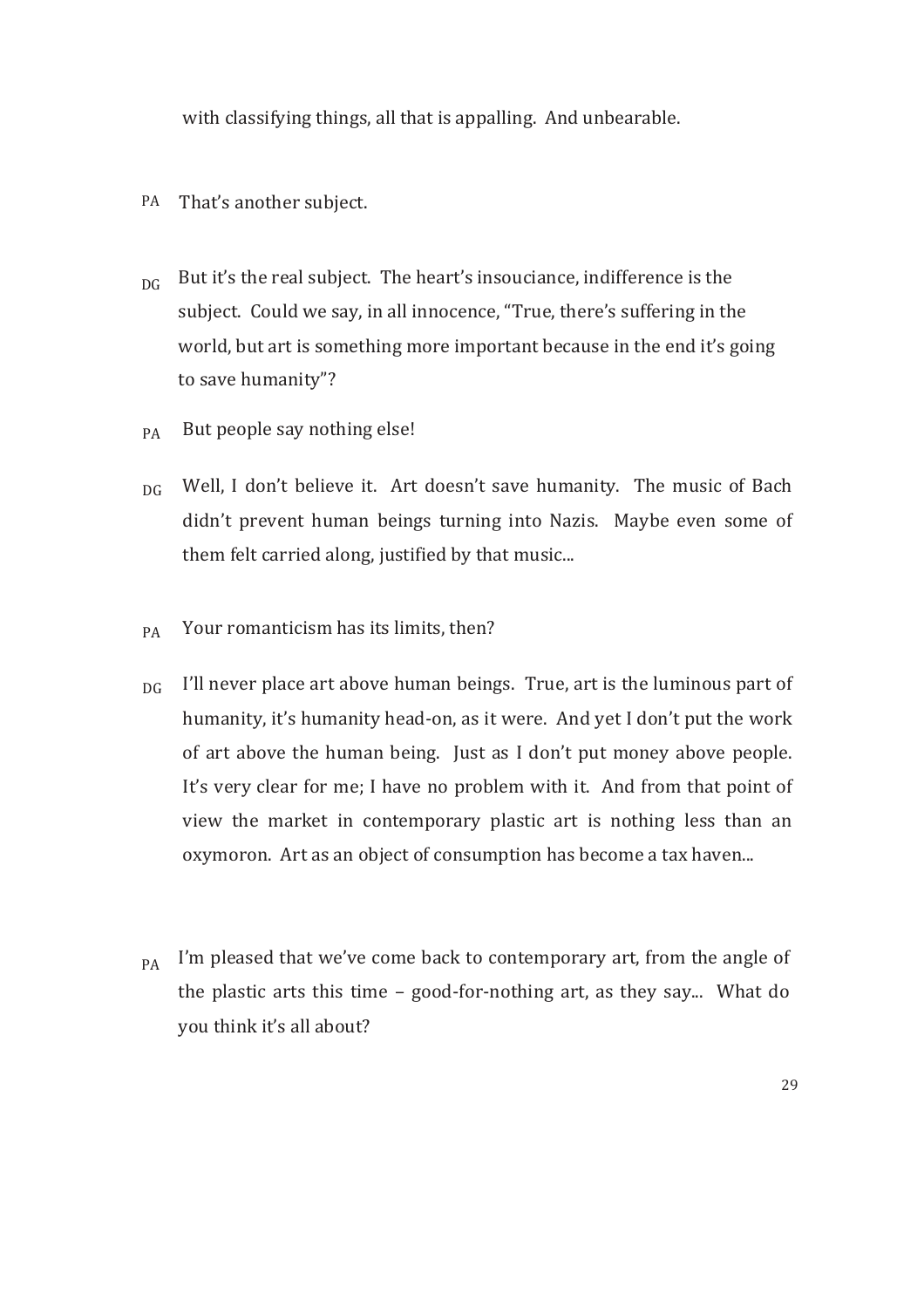with classifying things, all that is appalling. And unbearable.

#### PA That's another subject.

- $\overline{D}G$ But it's the real subject. The heart's insouciance, indifference is the subject. Could we say, in all innocence, "True, there's suffering in the world, but art is something more important because in the end it's going to save humanity"?
- But people say nothing else! PA
- Well, I don't believe it. Art doesn't save humanity. The music of Bach didn't prevent human beings turning into Nazis. Maybe even some of them felt carried along, justified by that music... DG
- Your romanticism has its limits, then? PA
- I'll never place art above human beings. True, art is the luminous part of humanity, it's humanity head-on, as it were. And yet I don't put the work of art above the human being. Just as I don't put money above people. It's very clear for me; I have no problem with it. And from that point of view the market in contemporary plastic art is nothing less than an oxymoron. Art as an object of consumption has become a tax haven... DG
- I'm pleased that we've come back to contemporary art, from the angle of the plastic arts this time  $-$  good-for-nothing art, as they say... What do you think it's all about? PA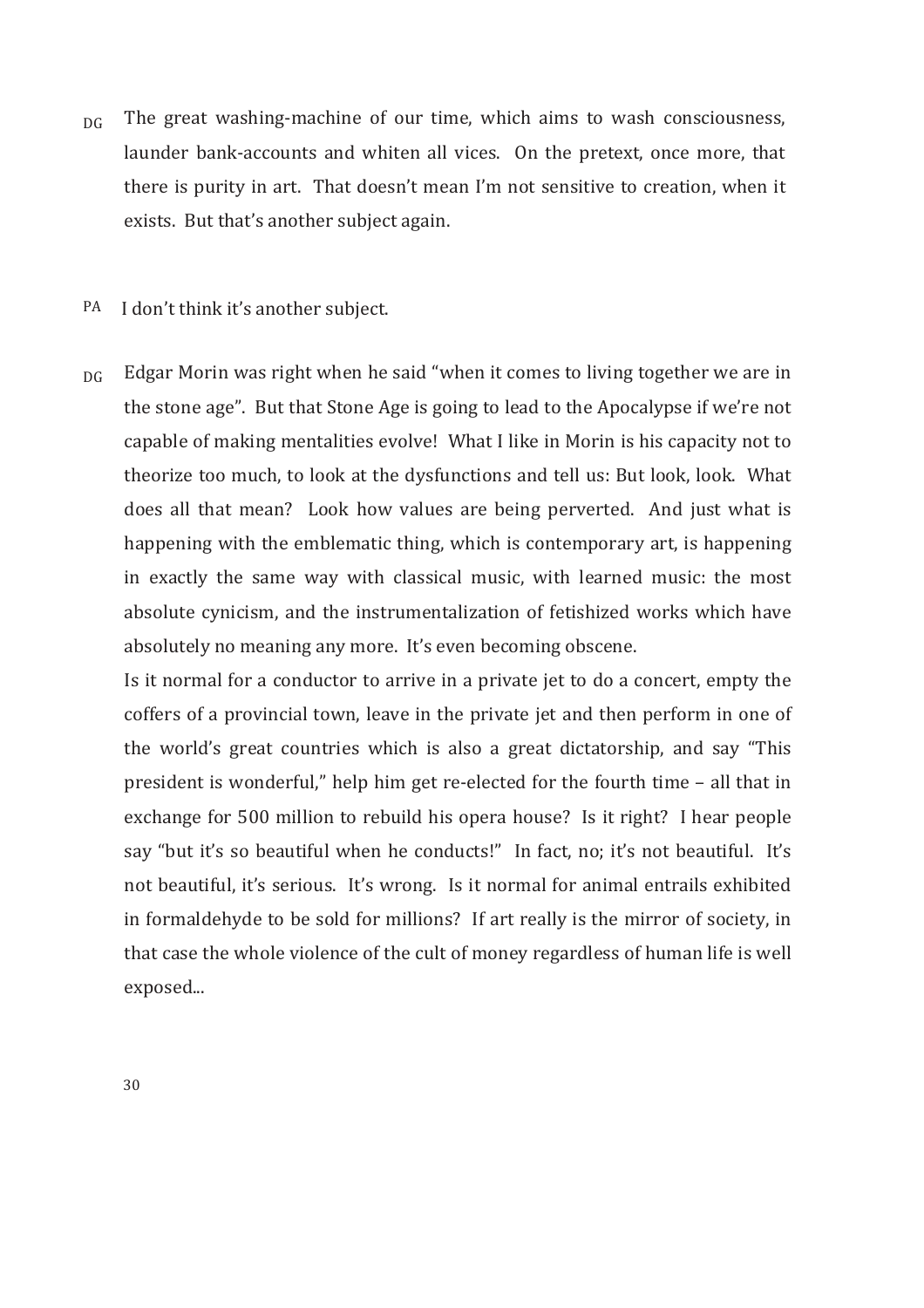- $_{DG}$  The great washing-machine of our time, which aims to wash consciousness, launder bank-accounts and whiten all vices. On the pretext, once more, that there is purity in art. That doesn't mean I'm not sensitive to creation, when it exists. But that's another subject again.
- I don't think it's another subject. PA
- Edgar Morin was right when he said "when it comes to living together we are in the stone age". But that Stone Age is going to lead to the Apocalypse if we're not capable of making mentalities evolve! What I like in Morin is his capacity not to theorize too much, to look at the dysfunctions and tell us: But look, look. What does all that mean? Look how values are being perverted. And just what is happening with the emblematic thing, which is contemporary art, is happening in exactly the same way with classical music, with learned music: the most absolute cynicism, and the instrumentalization of fetishized works which have absolutely no meaning any more. It's even becoming obscene. DG

Is it normal for a conductor to arrive in a private jet to do a concert, empty the coffers of a provincial town, leave in the private jet and then perform in one of the world's great countries which is also a great dictatorship, and say "This president is wonderful," help him get re-elected for the fourth time  $-$  all that in exchange for 500 million to rebuild his opera house? Is it right? I hear people say "but it's so beautiful when he conducts!" In fact, no; it's not beautiful. It's not beautiful, it's serious. It's wrong. Is it normal for animal entrails exhibited in formaldehyde to be sold for millions? If art really is the mirror of society, in that case the whole violence of the cult of money regardless of human life is well exposed...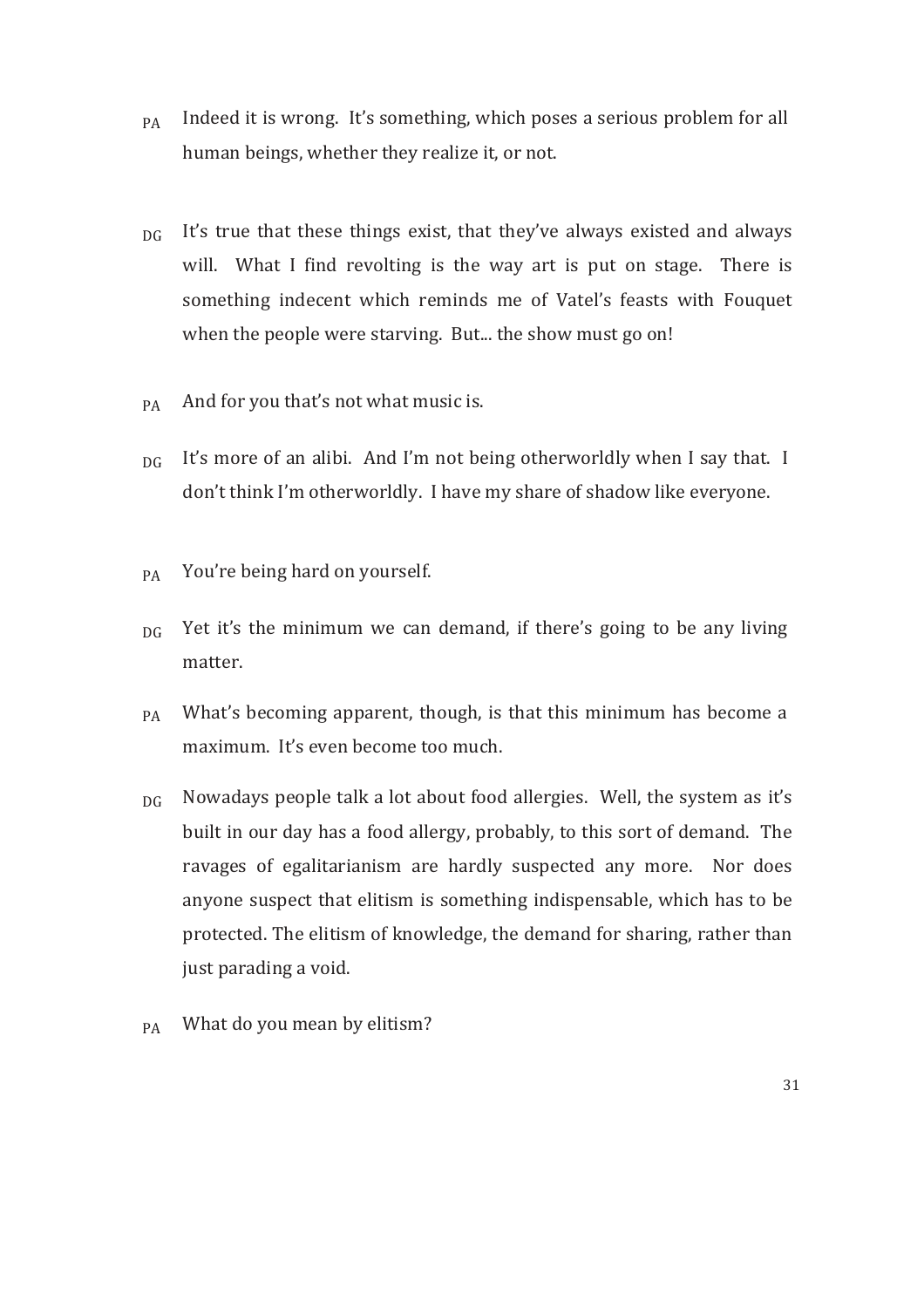- $PA$  Indeed it is wrong. It's something, which poses a serious problem for all human beings, whether they realize it, or not.
- It's true that these things exist, that they've always existed and always will. What I find revolting is the way art is put on stage. There is something indecent which reminds me of Vatel's feasts with Fouquet when the people were starving. But... the show must go on!  $\overline{D}G$
- And for you that's not what music is. PA
- It's more of an alibi. And I'm not being otherworldly when I say that. I don't think I'm otherworldly. I have my share of shadow like everyone.  $\overline{D}G$
- You're being hard on yourself. PA
- Yet it's the minimum we can demand, if there's going to be any living matter. DG
- What's becoming apparent, though, is that this minimum has become a maximum. It's even become too much. PA
- Nowadays people talk a lot about food allergies. Well, the system as it's built in our day has a food allergy, probably, to this sort of demand. The ravages of egalitarianism are hardly suspected any more. Nor does anyone suspect that elitism is something indispensable, which has to be protected. The elitism of knowledge, the demand for sharing, rather than just parading a void. DG
- What do you mean by elitism? PA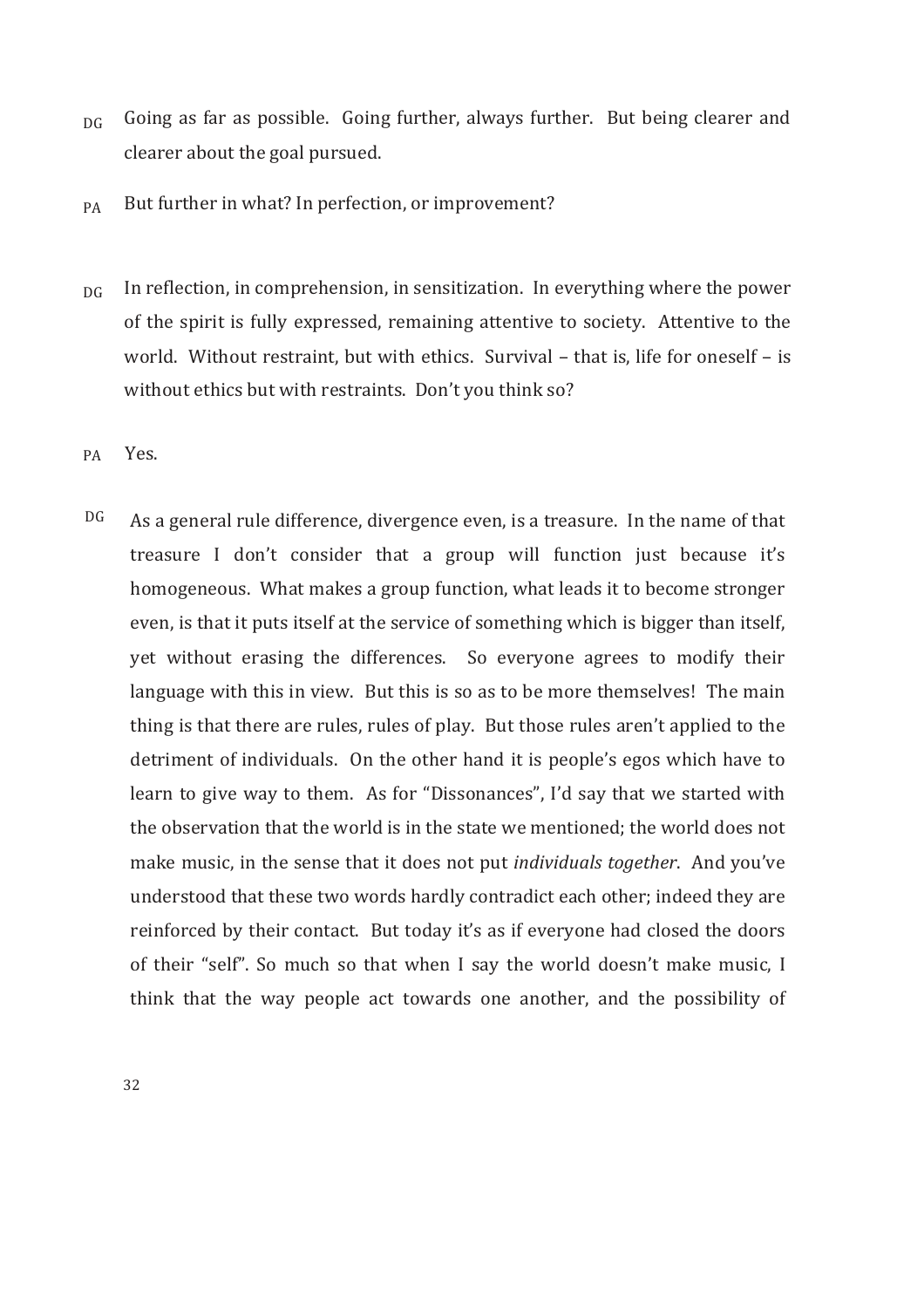- DG Going as far as possible. Going further, always further. But being clearer and clearer about the goal pursued.
- But further in what? In perfection, or improvement? PA
- In reflection, in comprehension, in sensitization. In everything where the power of the spirit is fully expressed, remaining attentive to society. Attentive to the world. Without restraint, but with ethics. Survival  $-$  that is, life for oneself  $-$  is without ethics but with restraints. Don't you think so?  $\overline{D}G$
- Yes. PA
- As a general rule difference, divergence even, is a treasure. In the name of that treasure I don't consider that a group will function just because it's homogeneous. What makes a group function, what leads it to become stronger even, is that it puts itself at the service of something which is bigger than itself, yet without erasing the differences. So everyone agrees to modify their language with this in view. But this is so as to be more themselves! The main thing is that there are rules, rules of play. But those rules aren't applied to the detriment of individuals. On the other hand it is people's egos which have to learn to give way to them. As for "Dissonances", I'd say that we started with the observation that the world is in the state we mentioned; the world does not make music, in the sense that it does not put *individuals together*. And you've understood that these two words hardly contradict each other; indeed they are reinforced by their contact. But today it's as if everyone had closed the doors of their "self". So much so that when I say the world doesn't make music, I think that the way people act towards one another, and the possibility of DG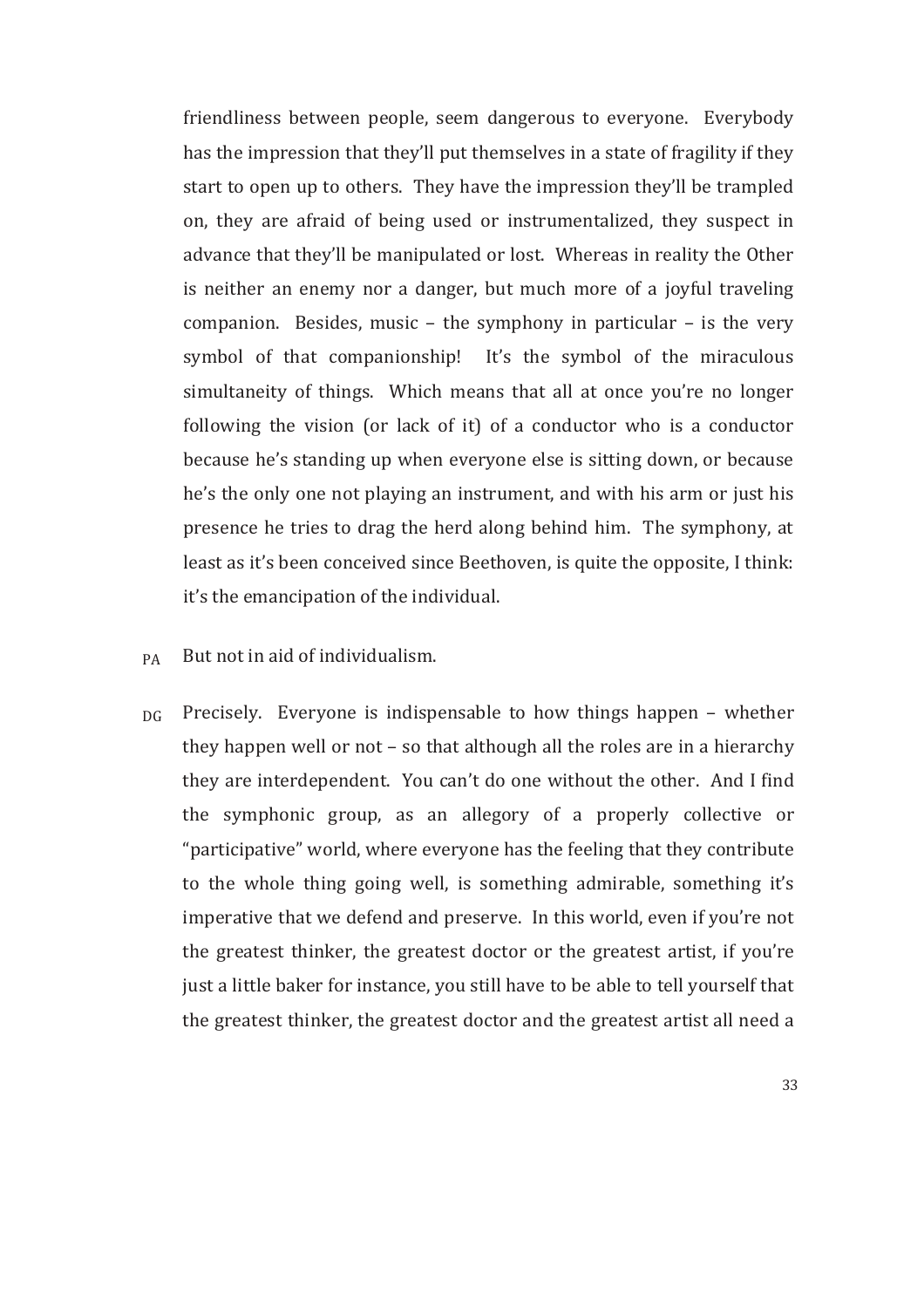friendliness between people, seem dangerous to everyone. Everybody has the impression that they'll put themselves in a state of fragility if they start to open up to others. They have the impression they'll be trampled on, they are afraid of being used or instrumentalized, they suspect in advance that they'll be manipulated or lost. Whereas in reality the Other is neither an enemy nor a danger, but much more of a joyful traveling companion. Besides, music  $-$  the symphony in particular  $-$  is the very symbol of that companionship! It's the symbol of the miraculous simultaneity of things. Which means that all at once you're no longer following the vision (or lack of it) of a conductor who is a conductor because he's standing up when everyone else is sitting down, or because he's the only one not playing an instrument, and with his arm or just his presence he tries to drag the herd along behind him. The symphony, at least as it's been conceived since Beethoven, is quite the opposite, I think: it's the emancipation of the individual.

- PA But not in aid of individualism.
- DG Precisely. Everyone is indispensable to how things happen – whether they happen well or not  $-$  so that although all the roles are in a hierarchy they are interdependent. You can't do one without the other. And I find the symphonic group, as an allegory of a properly collective or "participative" world, where everyone has the feeling that they contribute to the whole thing going well, is something admirable, something it's imperative that we defend and preserve. In this world, even if you're not the greatest thinker, the greatest doctor or the greatest artist, if you're just a little baker for instance, you still have to be able to tell yourself that the greatest thinker, the greatest doctor and the greatest artist all need a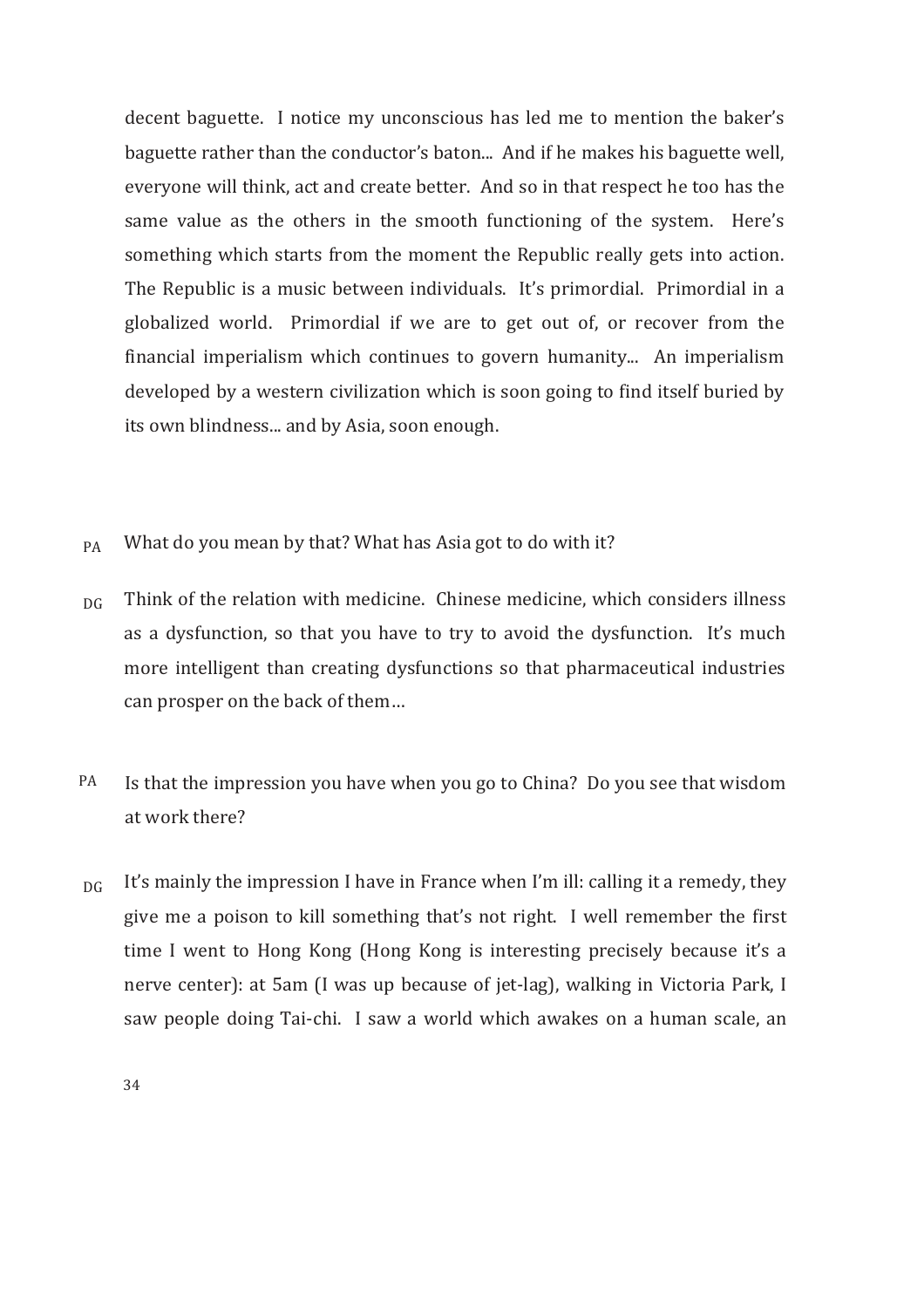decent baguette. I notice my unconscious has led me to mention the baker's baguette rather than the conductor's baton... And if he makes his baguette well, everyone will think, act and create better. And so in that respect he too has the same value as the others in the smooth functioning of the system. Here's something which starts from the moment the Republic really gets into action. The Republic is a music between individuals. It's primordial. Primordial in a globalized world. Primordial if we are to get out of, or recover from the financial imperialism which continues to govern humanity... An imperialism developed by a western civilization which is soon going to find itself buried by its own blindness... and by Asia, soon enough.

- PA What do you mean by that? What has Asia got to do with it?
- $DG$ Think of the relation with medicine. Chinese medicine, which considers illness as a dysfunction, so that you have to try to avoid the dysfunction. It's much more intelligent than creating dysfunctions so that pharmaceutical industries can prosper on the back of them...
- Is that the impression you have when you go to China? Do you see that wisdom at work there? PA
- It's mainly the impression I have in France when I'm ill: calling it a remedy, they give me a poison to kill something that's not right. I well remember the first time I went to Hong Kong (Hong Kong is interesting precisely because it's a nerve center): at 5am (I was up because of jet-lag), walking in Victoria Park, I saw people doing Tai-chi. I saw a world which awakes on a human scale, an  $\overline{D}G$

34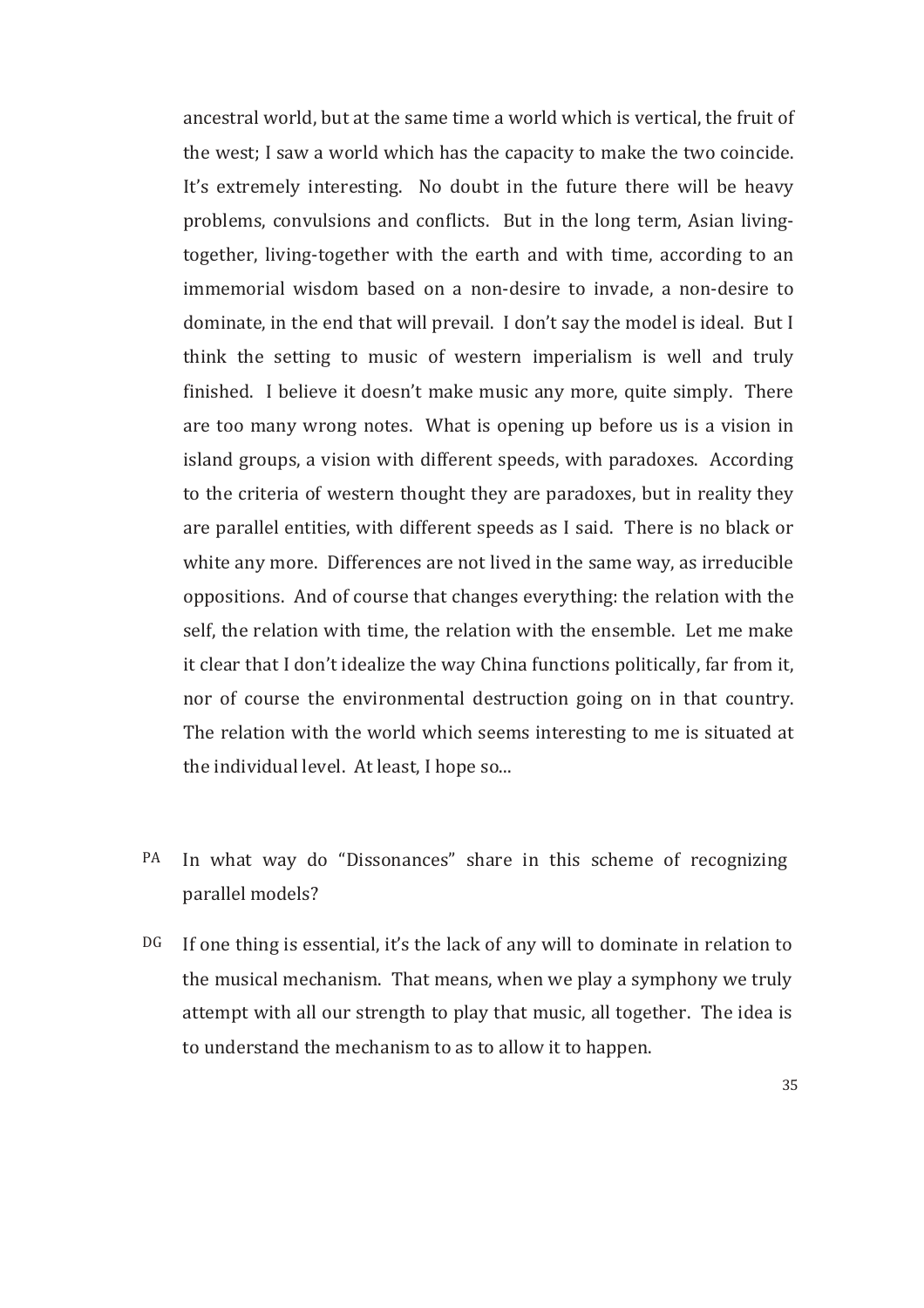ancestral world, but at the same time a world which is vertical, the fruit of the west; I saw a world which has the capacity to make the two coincide. It's extremely interesting. No doubt in the future there will be heavy problems, convulsions and conflicts. But in the long term, Asian livingtogether, living-together with the earth and with time, according to an immemorial wisdom based on a non-desire to invade, a non-desire to dominate, in the end that will prevail. I don't say the model is ideal. But I think the setting to music of western imperialism is well and truly finished. I believe it doesn't make music any more, quite simply. There are too many wrong notes. What is opening up before us is a vision in island groups, a vision with different speeds, with paradoxes. According to the criteria of western thought they are paradoxes, but in reality they are parallel entities, with different speeds as I said. There is no black or white any more. Differences are not lived in the same way, as irreducible oppositions. And of course that changes everything: the relation with the self, the relation with time, the relation with the ensemble. Let me make it clear that I don't idealize the way China functions politically, far from it, nor of course the environmental destruction going on in that country. The relation with the world which seems interesting to me is situated at the individual level. At least, I hope so...

- PA In what way do "Dissonances" share in this scheme of recognizing parallel models?
- If one thing is essential, it's the lack of any will to dominate in relation to the musical mechanism. That means, when we play a symphony we truly attempt with all our strength to play that music, all together. The idea is to understand the mechanism to as to allow it to happen. DG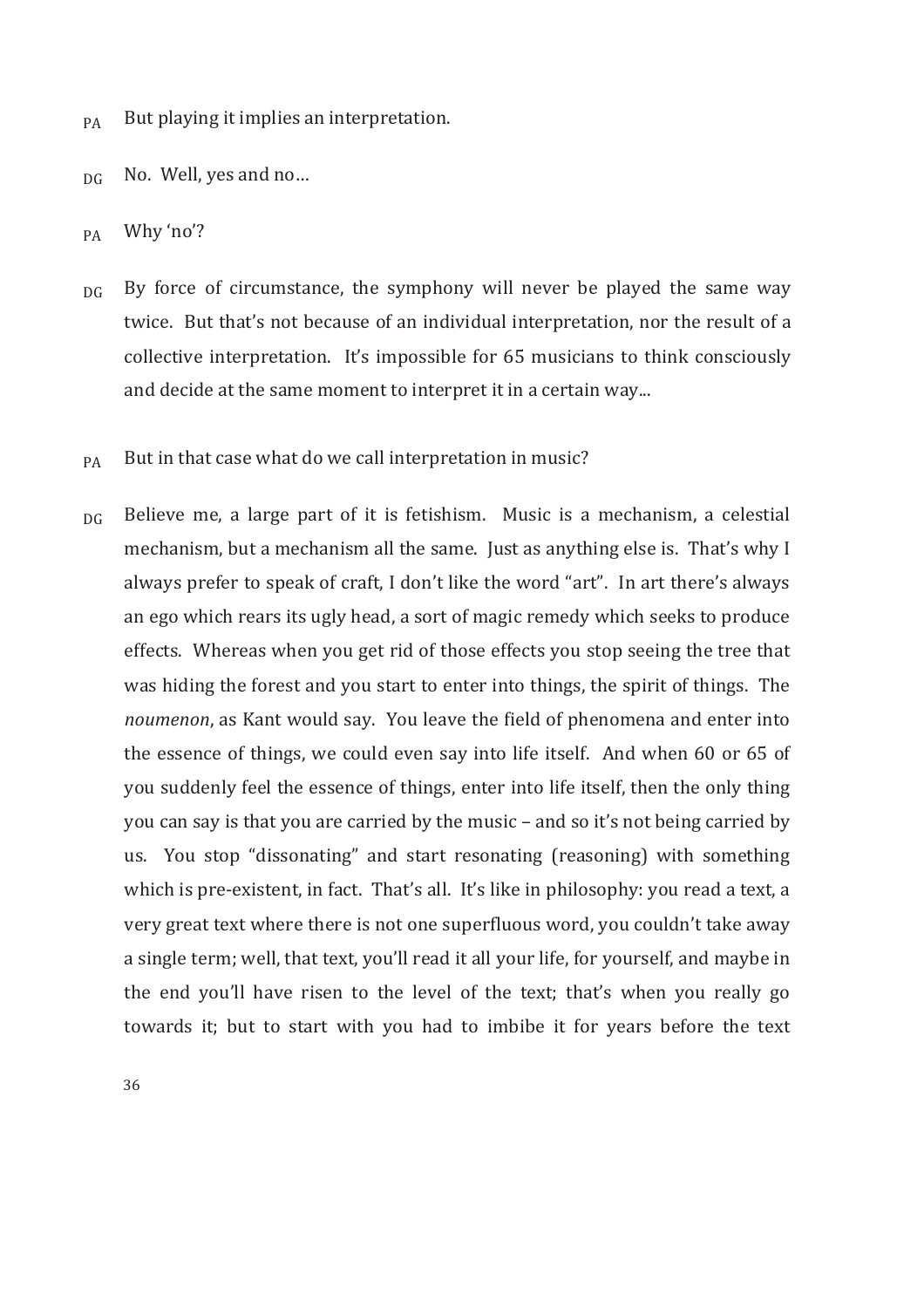- PA But playing it implies an interpretation.
- DG No. Well, yes and no...
- PA Why 'no'?
- DG By force of circumstance, the symphony will never be played the same way twice. But that's not because of an individual interpretation, nor the result of a collective interpretation. It's impossible for  $65$  musicians to think consciously and decide at the same moment to interpret it in a certain way...
- But in that case what do we call interpretation in music? PA
- Believe me, a large part of it is fetishism. Music is a mechanism, a celestial mechanism, but a mechanism all the same. Just as anything else is. That's why I always prefer to speak of craft, I don't like the word "art". In art there's always an ego which rears its ugly head, a sort of magic remedy which seeks to produce effects. Whereas when you get rid of those effects you stop seeing the tree that was hiding the forest and you start to enter into things, the spirit of things. The *noumenon*, as Kant would say. You leave the field of phenomena and enter into the essence of things, we could even say into life itself. And when 60 or 65 of you suddenly feel the essence of things, enter into life itself, then the only thing you can say is that you are carried by the music – and so it's not being carried by us. You stop "dissonating" and start resonating (reasoning) with something which is pre-existent, in fact. That's all. It's like in philosophy: you read a text, a very great text where there is not one superfluous word, you couldn't take away a single term; well, that text, you'll read it all your life, for yourself, and maybe in the end you'll have risen to the level of the text; that's when you really go towards it; but to start with you had to imbibe it for years before the text DG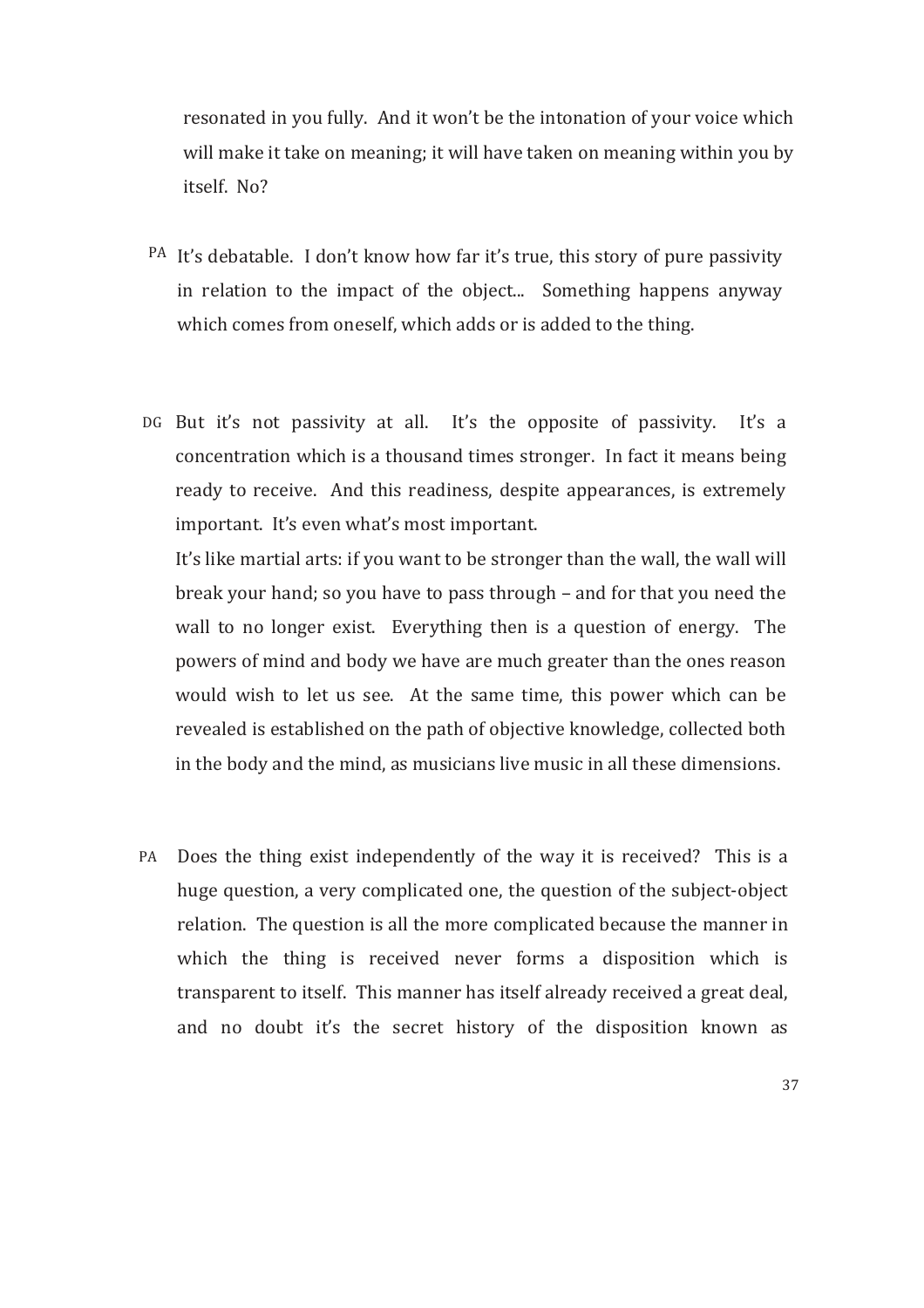resonated in you fully. And it won't be the intonation of your voice which will make it take on meaning; it will have taken on meaning within you by itself. No?

- $PA$  It's debatable. I don't know how far it's true, this story of pure passivity in relation to the impact of the object... Something happens anyway which comes from oneself, which adds or is added to the thing.
- DG But it's not passivity at all. It's the opposite of passivity. It's a concentration which is a thousand times stronger. In fact it means being ready to receive. And this readiness, despite appearances, is extremely important. It's even what's most important.

It's like martial arts: if you want to be stronger than the wall, the wall will break your hand; so you have to pass through  $-$  and for that you need the wall to no longer exist. Everything then is a question of energy. The powers of mind and body we have are much greater than the ones reason would wish to let us see. At the same time, this power which can be revealed is established on the path of objective knowledge, collected both in the body and the mind, as musicians live music in all these dimensions.

Does the thing exist independently of the way it is received? This is a huge question, a very complicated one, the question of the subject-object relation. The question is all the more complicated because the manner in which the thing is received never forms a disposition which is transparent to itself. This manner has itself already received a great deal, and no doubt it's the secret history of the disposition known as PA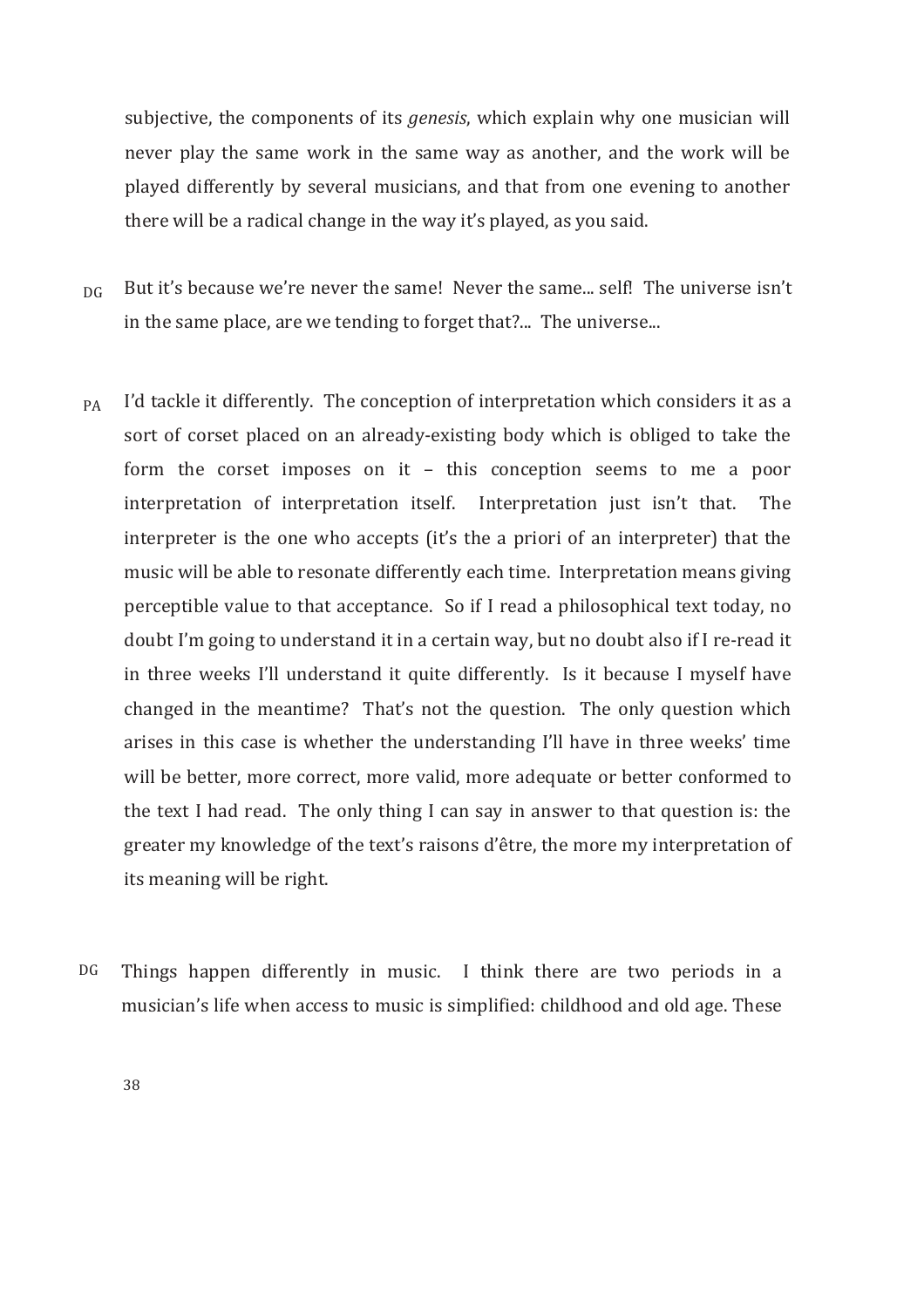subjective, the components of its *genesis*, which explain why one musician will never play the same work in the same way as another, and the work will be played differently by several musicians, and that from one evening to another there will be a radical change in the way it's played, as you said.

- $D<sub>G</sub>$  But it's because we're never the same! Never the same... self! The universe isn't in the same place, are we tending to forget that?... The universe...
- I'd tackle it differently. The conception of interpretation which considers it as a sort of corset placed on an already-existing body which is obliged to take the form the corset imposes on it  $-$  this conception seems to me a poor interpretation of interpretation itself. Interpretation just isn't that. The interpreter is the one who accepts (it's the a priori of an interpreter) that the music will be able to resonate differently each time. Interpretation means giving perceptible value to that acceptance. So if I read a philosophical text today, no doubt I'm going to understand it in a certain way, but no doubt also if I re-read it in three weeks I'll understand it quite differently. Is it because I myself have changed in the meantime? That's not the question. The only question which arises in this case is whether the understanding I'll have in three weeks' time will be better, more correct, more valid, more adequate or better conformed to the text I had read. The only thing I can say in answer to that question is: the greater my knowledge of the text's raisons d'être, the more my interpretation of its meaning will be right. PA
- Things happen differently in music. I think there are two periods in a musician's life when access to music is simplified: childhood and old age. These DG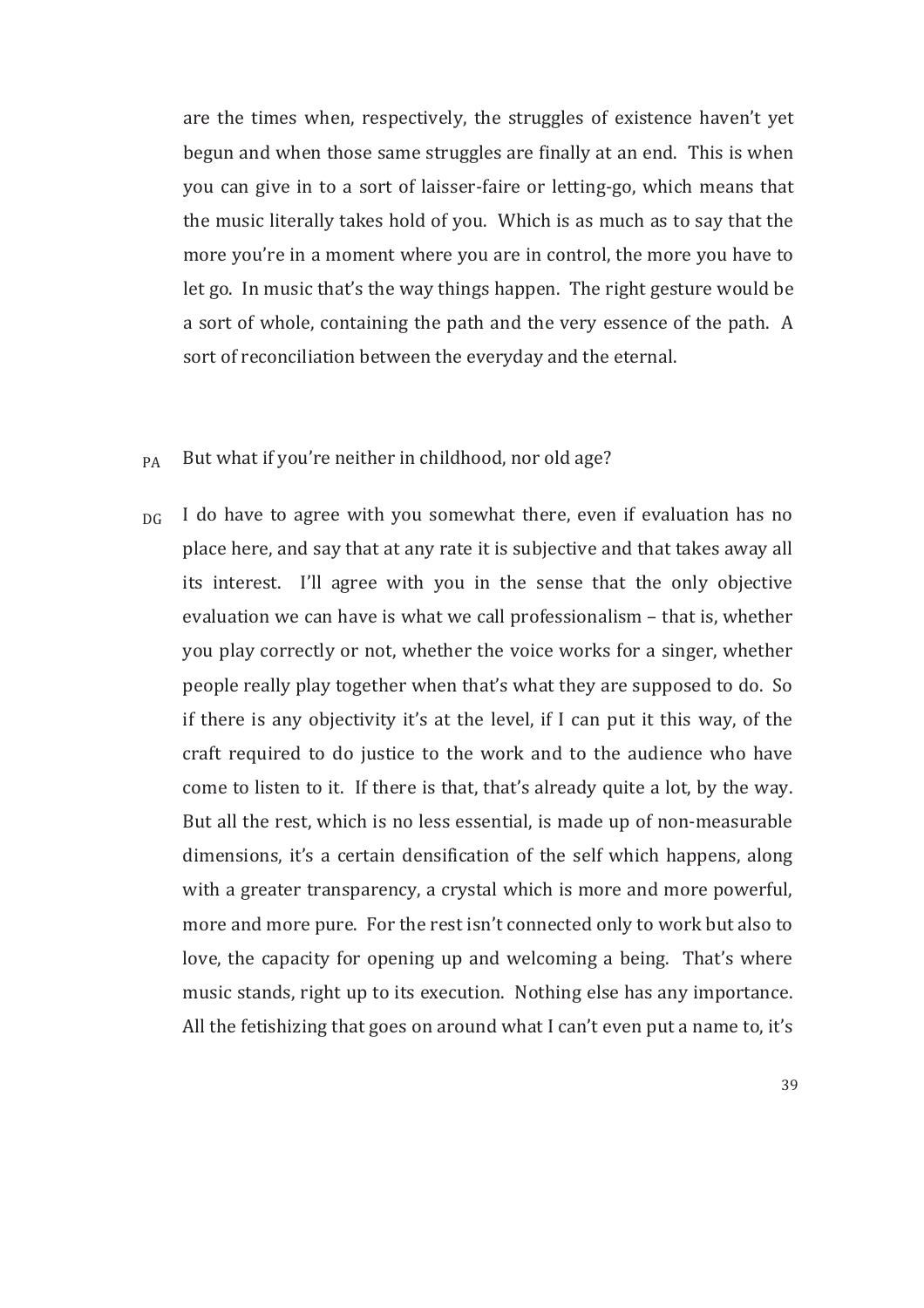are the times when, respectively, the struggles of existence haven't yet begun and when those same struggles are finally at an end. This is when you can give in to a sort of laisser-faire or letting-go, which means that the music literally takes hold of you. Which is as much as to say that the more you're in a moment where you are in control, the more you have to let go. In music that's the way things happen. The right gesture would be a sort of whole, containing the path and the very essence of the path. A sort of reconciliation between the everyday and the eternal.

#### PA But what if you're neither in childhood, nor old age?

DG I do have to agree with you somewhat there, even if evaluation has no place here, and say that at any rate it is subjective and that takes away all its interest. I'll agree with you in the sense that the only objective evaluation we can have is what we call professionalism – that is, whether you play correctly or not, whether the voice works for a singer, whether people really play together when that's what they are supposed to do. So if there is any objectivity it's at the level, if I can put it this way, of the craft required to do justice to the work and to the audience who have come to listen to it. If there is that, that's already quite a lot, by the way. But all the rest, which is no less essential, is made up of non-measurable dimensions, it's a certain densification of the self which happens, along with a greater transparency, a crystal which is more and more powerful, more and more pure. For the rest isn't connected only to work but also to love, the capacity for opening up and welcoming a being. That's where music stands, right up to its execution. Nothing else has any importance. All the fetishizing that goes on around what I can't even put a name to, it's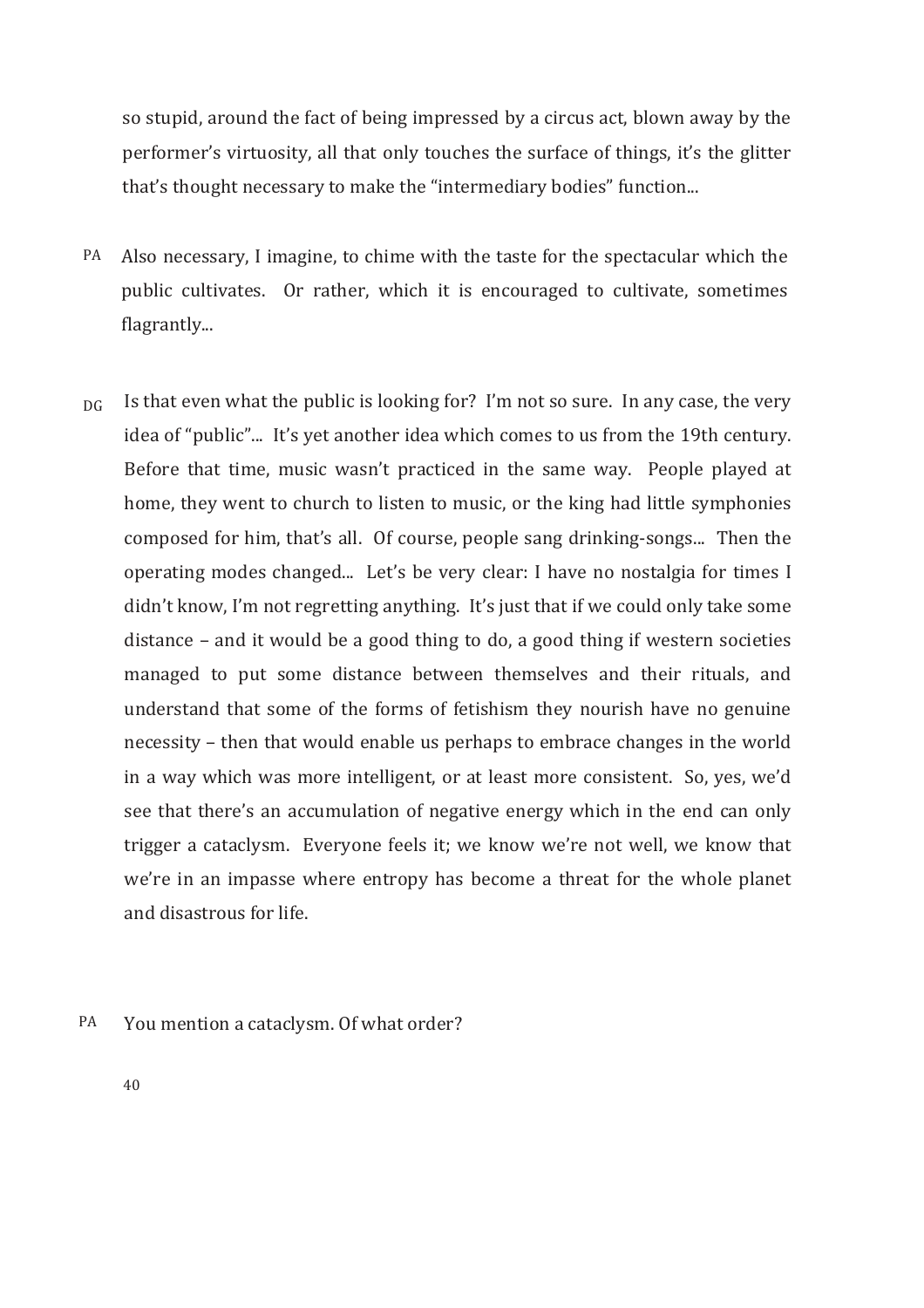so stupid, around the fact of being impressed by a circus act, blown away by the performer's virtuosity, all that only touches the surface of things, it's the glitter that's thought necessary to make the "intermediary bodies" function...

- PA Also necessary, I imagine, to chime with the taste for the spectacular which the public cultivates. Or rather, which it is encouraged to cultivate, sometimes flagrantly...
- Is that even what the public is looking for? I'm not so sure. In any case, the very idea of "public"... It's vet another idea which comes to us from the 19th century. Before that time, music wasn't practiced in the same way. People played at home, they went to church to listen to music, or the king had little symphonies composed for him, that's all. Of course, people sang drinking-songs... Then the operating modes changed... Let's be very clear: I have no nostalgia for times I didn't know, I'm not regretting anything. It's just that if we could only take some distance  $-$  and it would be a good thing to do, a good thing if western societies managed to put some distance between themselves and their rituals, and understand that some of the forms of fetishism they nourish have no genuine necessity – then that would enable us perhaps to embrace changes in the world in a way which was more intelligent, or at least more consistent. So, yes, we'd see that there's an accumulation of negative energy which in the end can only trigger a cataclysm. Everyone feels it; we know we're not well, we know that we're in an impasse where entropy has become a threat for the whole planet and disastrous for life.  $\overline{D}G$
- You mention a cataclysm. Of what order? PA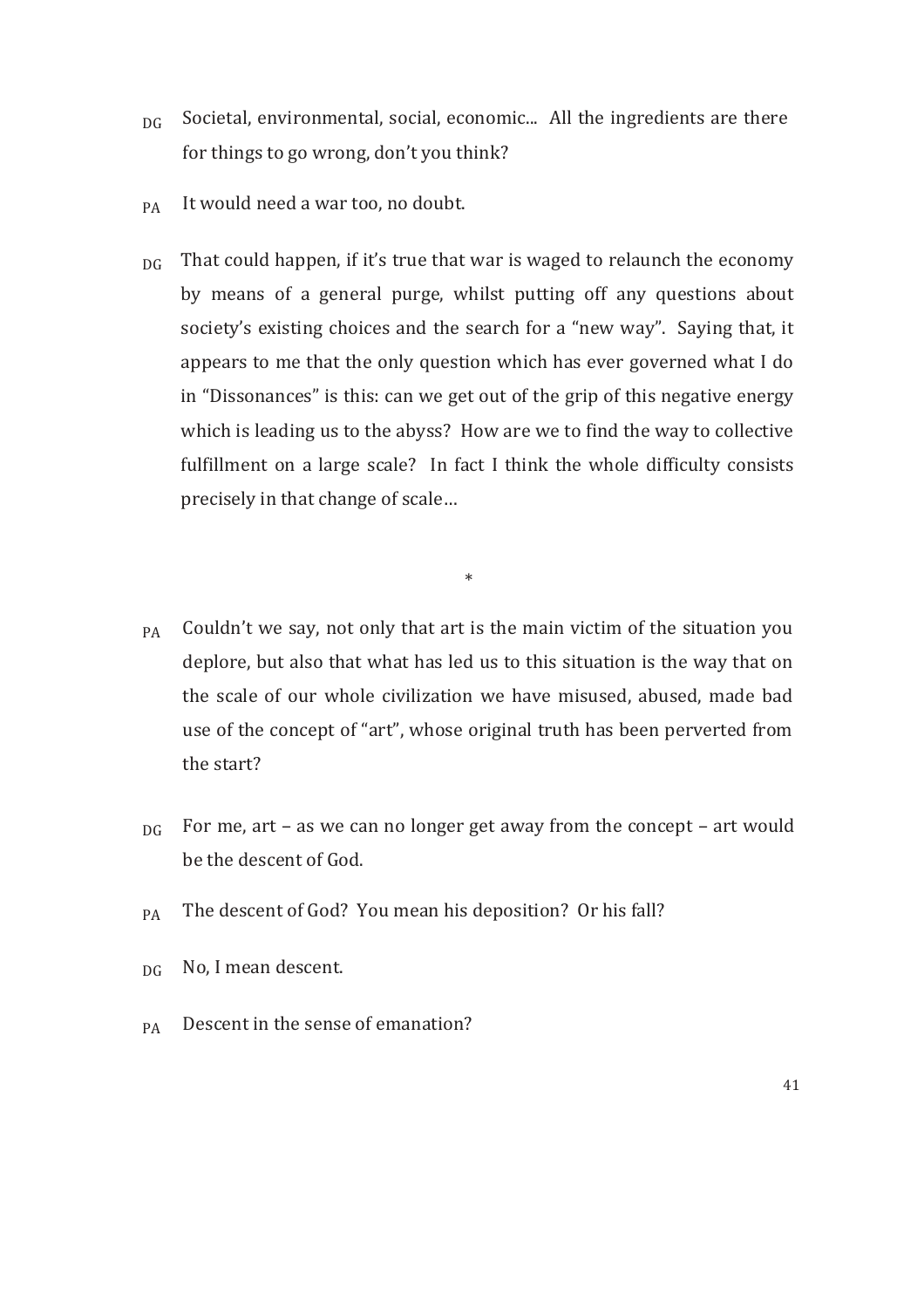- $_{DG}$  Societal, environmental, social, economic... All the ingredients are there for things to go wrong, don't you think?
- It would need a war too, no doubt. PA
- That could happen, if it's true that war is waged to relaunch the economy by means of a general purge, whilst putting off any questions about society's existing choices and the search for a "new way". Saying that, it appears to me that the only question which has ever governed what I do in "Dissonances" is this: can we get out of the grip of this negative energy which is leading us to the abyss? How are we to find the way to collective fulfillment on a large scale? In fact I think the whole difficulty consists precisely in that change of scale...  $\overline{D}G$

 $P_A$  Couldn't we say, not only that art is the main victim of the situation you deplore, but also that what has led us to this situation is the way that on the scale of our whole civilization we have misused, abused, made bad use of the concept of "art", whose original truth has been perverted from the start?

\*

- For me, art as we can no longer get away from the concept art would be the descent of God.  $\overline{D}G$
- The descent of God? You mean his deposition? Or his fall? PA
- No, I mean descent.  $\overline{D}G$
- Descent in the sense of emanation? PA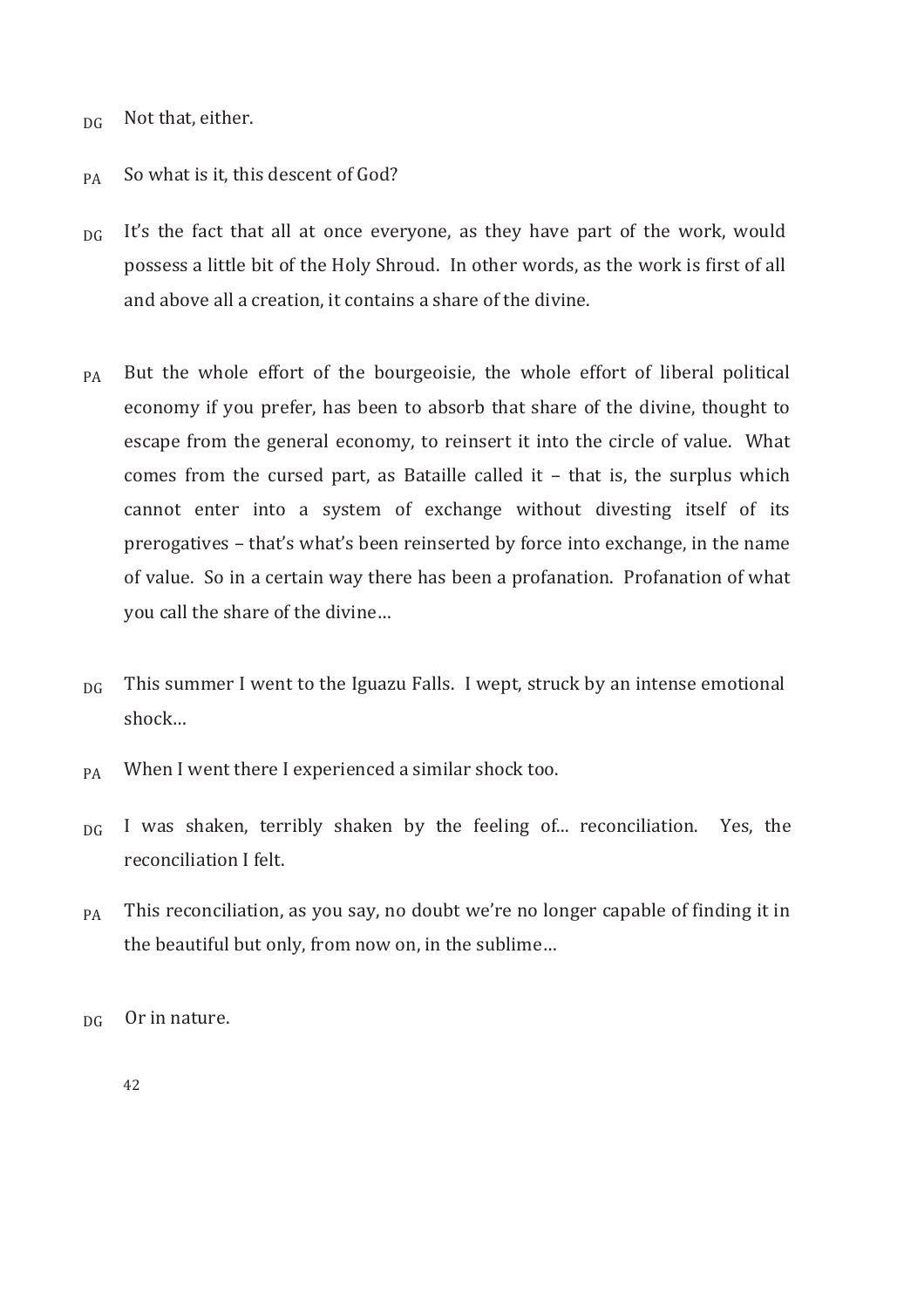DG Not that, either.

#### PA So what is it, this descent of God?

- DG It's the fact that all at once everyone, as they have part of the work, would possess a little bit of the Holy Shroud. In other words, as the work is first of all and above all a creation, it contains a share of the divine.
- But the whole effort of the bourgeoisie, the whole effort of liberal political economy if you prefer, has been to absorb that share of the divine, thought to escape from the general economy, to reinsert it into the circle of value. What comes from the cursed part, as Bataille called it  $-$  that is, the surplus which cannot enter into a system of exchange without divesting itself of its prerogatives – that's what's been reinserted by force into exchange, in the name of value. So in a certain way there has been a profanation. Profanation of what you call the share of the divine... PA
- This summer I went to the Iguazu Falls. I wept, struck by an intense emotional shock… DG
- When I went there I experienced a similar shock too. PA
- I was shaken, terribly shaken by the feeling of... reconciliation. Yes, the reconciliation I felt.  $\overline{D}G$
- This reconciliation, as you say, no doubt we're no longer capable of finding it in the beautiful but only, from now on, in the sublime... PA

Or in nature. DG

42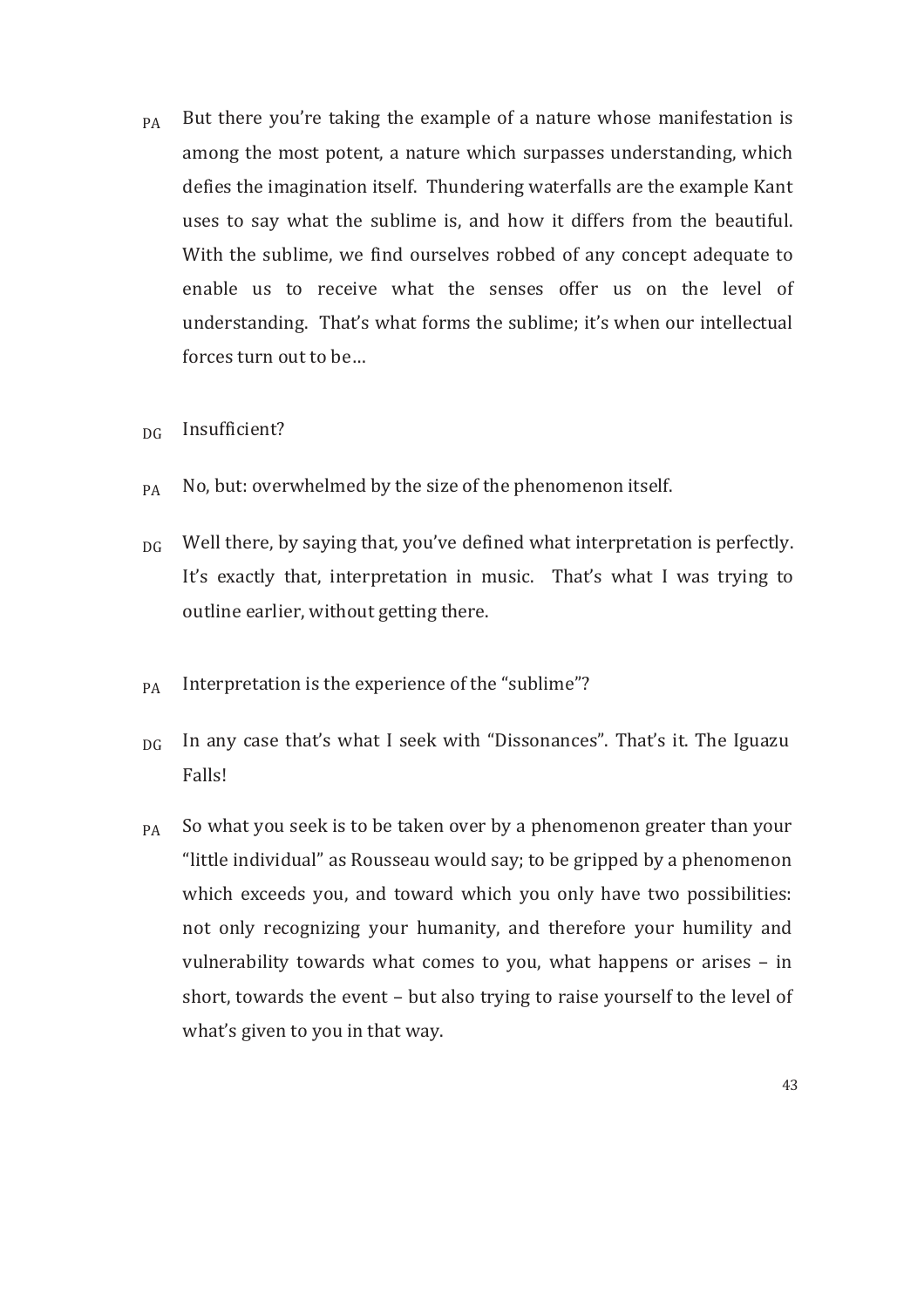- $P_A$  But there you're taking the example of a nature whose manifestation is among the most potent, a nature which surpasses understanding, which defies the imagination itself. Thundering waterfalls are the example Kant uses to say what the sublime is, and how it differs from the beautiful. With the sublime, we find ourselves robbed of any concept adequate to enable us to receive what the senses offer us on the level of understanding. That's what forms the sublime; it's when our intellectual forces turn out to be...
- Insufficient?  $\overline{D}G$
- No, but: overwhelmed by the size of the phenomenon itself. PA
- Well there, by saying that, you've defined what interpretation is perfectly. It's exactly that, interpretation in music. That's what I was trying to outline earlier, without getting there.  $\overline{D}G$
- Interpretation is the experience of the "sublime"? PA
- In any case that's what I seek with "Dissonances". That's it. The Iguazu Falls!  $\overline{D}G$
- So what you seek is to be taken over by a phenomenon greater than your "little individual" as Rousseau would say; to be gripped by a phenomenon which exceeds you, and toward which you only have two possibilities: not only recognizing your humanity, and therefore your humility and vulnerability towards what comes to you, what happens or arises  $-$  in short, towards the event  $-$  but also trying to raise yourself to the level of what's given to you in that way. PA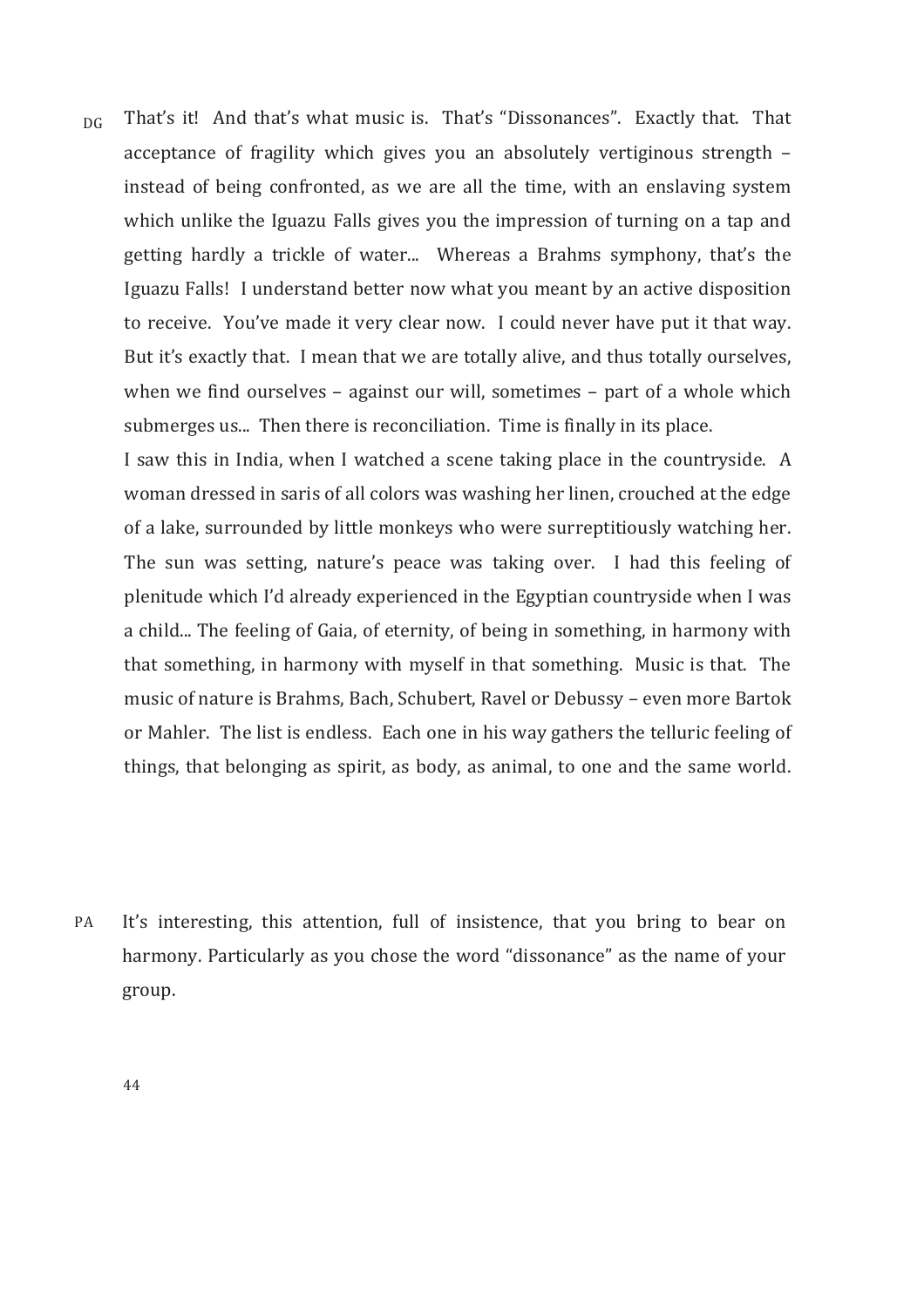$_{DG}$  That's it! And that's what music is. That's "Dissonances". Exactly that. That acceptance of fragility which gives you an absolutely vertiginous strength  $$ instead of being confronted, as we are all the time, with an enslaving system which unlike the Iguazu Falls gives you the impression of turning on a tap and getting hardly a trickle of water... Whereas a Brahms symphony, that's the Iguazu Falls! I understand better now what you meant by an active disposition to receive. You've made it very clear now. I could never have put it that way. But it's exactly that. I mean that we are totally alive, and thus totally ourselves, when we find ourselves  $-$  against our will, sometimes  $-$  part of a whole which submerges us... Then there is reconciliation. Time is finally in its place.

I saw this in India, when I watched a scene taking place in the countryside. A woman dressed in saris of all colors was washing her linen, crouched at the edge of a lake, surrounded by little monkeys who were surreptitiously watching her. The sun was setting, nature's peace was taking over. I had this feeling of plenitude which I'd already experienced in the Egyptian countryside when I was a child... The feeling of Gaia, of eternity, of being in something, in harmony with that something, in harmony with myself in that something. Music is that. The music of nature is Brahms, Bach, Schubert, Ravel or Debussy - even more Bartok or Mahler. The list is endless. Each one in his way gathers the telluric feeling of things, that belonging as spirit, as body, as animal, to one and the same world.

It's interesting, this attention, full of insistence, that you bring to bear on harmony. Particularly as you chose the word "dissonance" as the name of your group. PA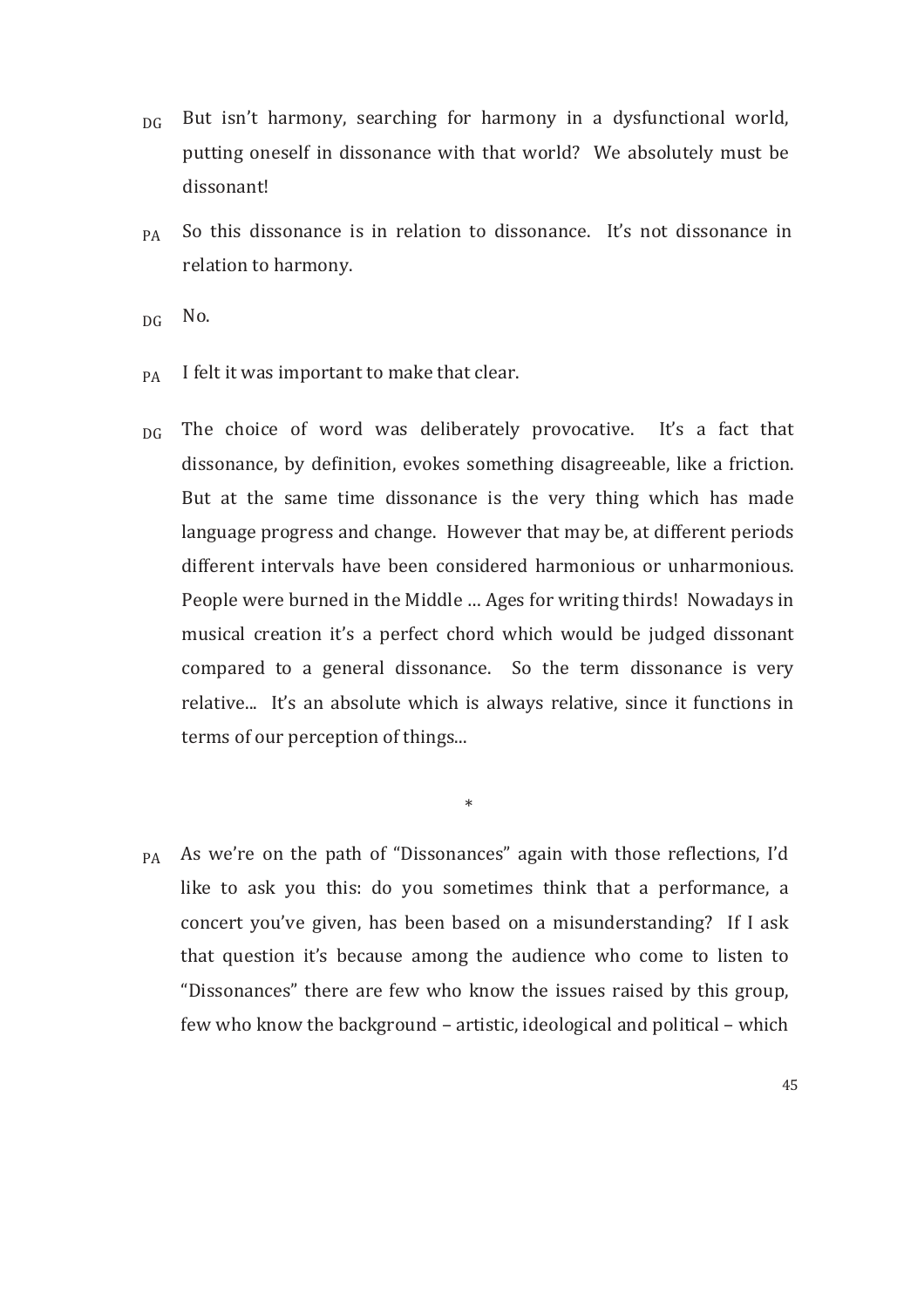- $DG$  But isn't harmony, searching for harmony in a dysfunctional world, putting oneself in dissonance with that world? We absolutely must be dissonant!
- So this dissonance is in relation to dissonance. It's not dissonance in relation to harmony. PA
- No. DG
- I felt it was important to make that clear. PA
- The choice of word was deliberately provocative. It's a fact that dissonance, by definition, evokes something disagreeable, like a friction. But at the same time dissonance is the very thing which has made language progress and change. However that may be, at different periods different intervals have been considered harmonious or unharmonious. People were burned in the Middle ... Ages for writing thirds! Nowadays in musical creation it's a perfect chord which would be judged dissonant compared to a general dissonance. So the term dissonance is very relative... It's an absolute which is always relative, since it functions in terms of our perception of things... DG
	- \*
- PA As we're on the path of "Dissonances" again with those reflections, I'd like to ask you this: do you sometimes think that a performance, a concert you've given, has been based on a misunderstanding? If I ask that question it's because among the audience who come to listen to "Dissonances" there are few who know the issues raised by this group, few who know the background – artistic, ideological and political – which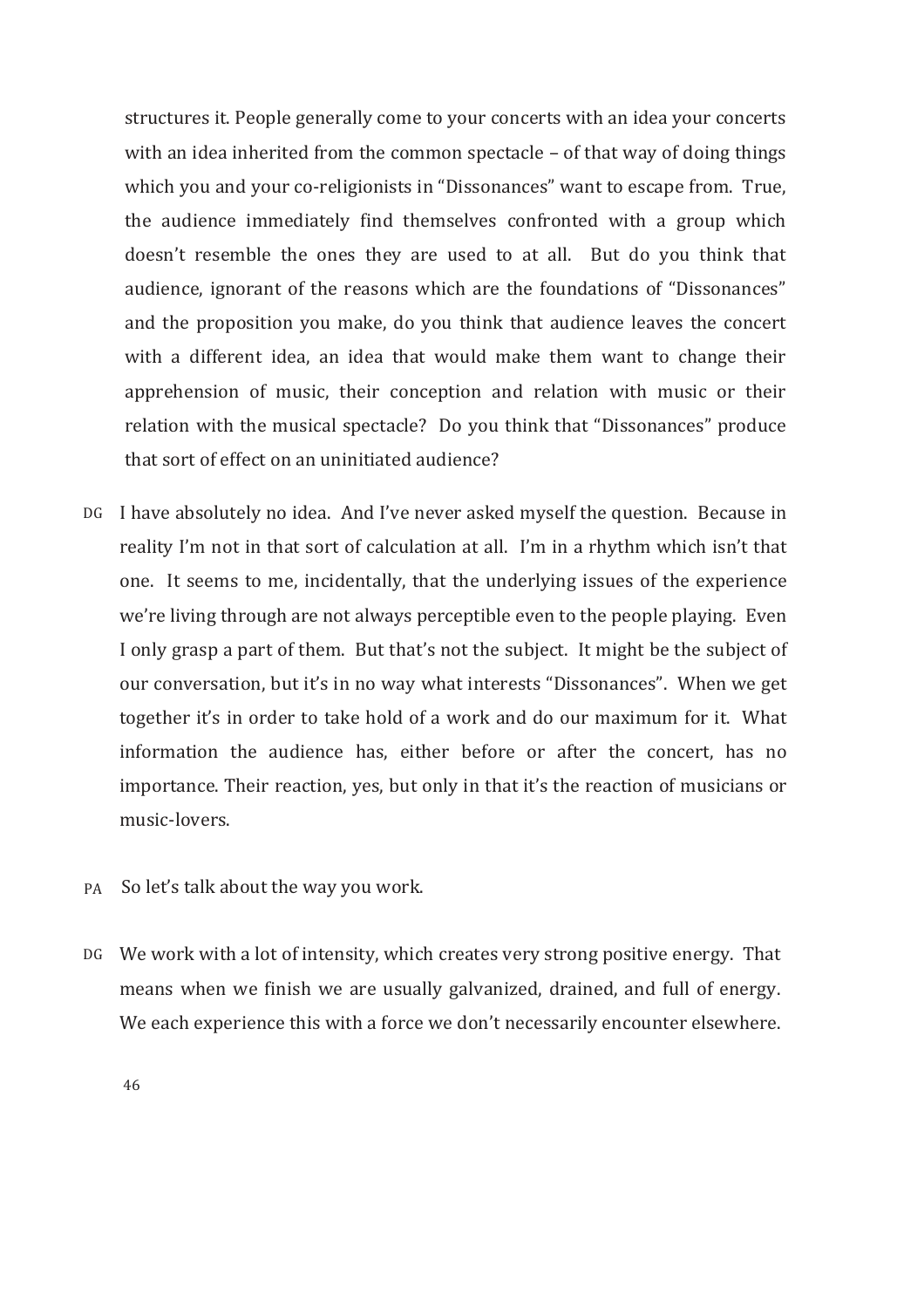structures it. People generally come to your concerts with an idea your concerts with an idea inherited from the common spectacle  $-$  of that way of doing things which you and your co-religionists in "Dissonances" want to escape from. True, the audience immediately find themselves confronted with a group which doesn't resemble the ones they are used to at all. But do you think that audience, ignorant of the reasons which are the foundations of "Dissonances" and the proposition you make, do you think that audience leaves the concert with a different idea, an idea that would make them want to change their apprehension of music, their conception and relation with music or their relation with the musical spectacle? Do you think that "Dissonances" produce that sort of effect on an uninitiated audience?

- DG I have absolutely no idea. And I've never asked myself the question. Because in reality I'm not in that sort of calculation at all. I'm in a rhythm which isn't that one. It seems to me, incidentally, that the underlying issues of the experience we're living through are not always perceptible even to the people playing. Even I only grasp a part of them. But that's not the subject. It might be the subject of our conversation, but it's in no way what interests "Dissonances". When we get together it's in order to take hold of a work and do our maximum for it. What information the audience has, either before or after the concert, has no importance. Their reaction, yes, but only in that it's the reaction of musicians or music-lovers.
- PA So let's talk about the way you work.
- DG We work with a lot of intensity, which creates very strong positive energy. That means when we finish we are usually galvanized, drained, and full of energy. We each experience this with a force we don't necessarily encounter elsewhere.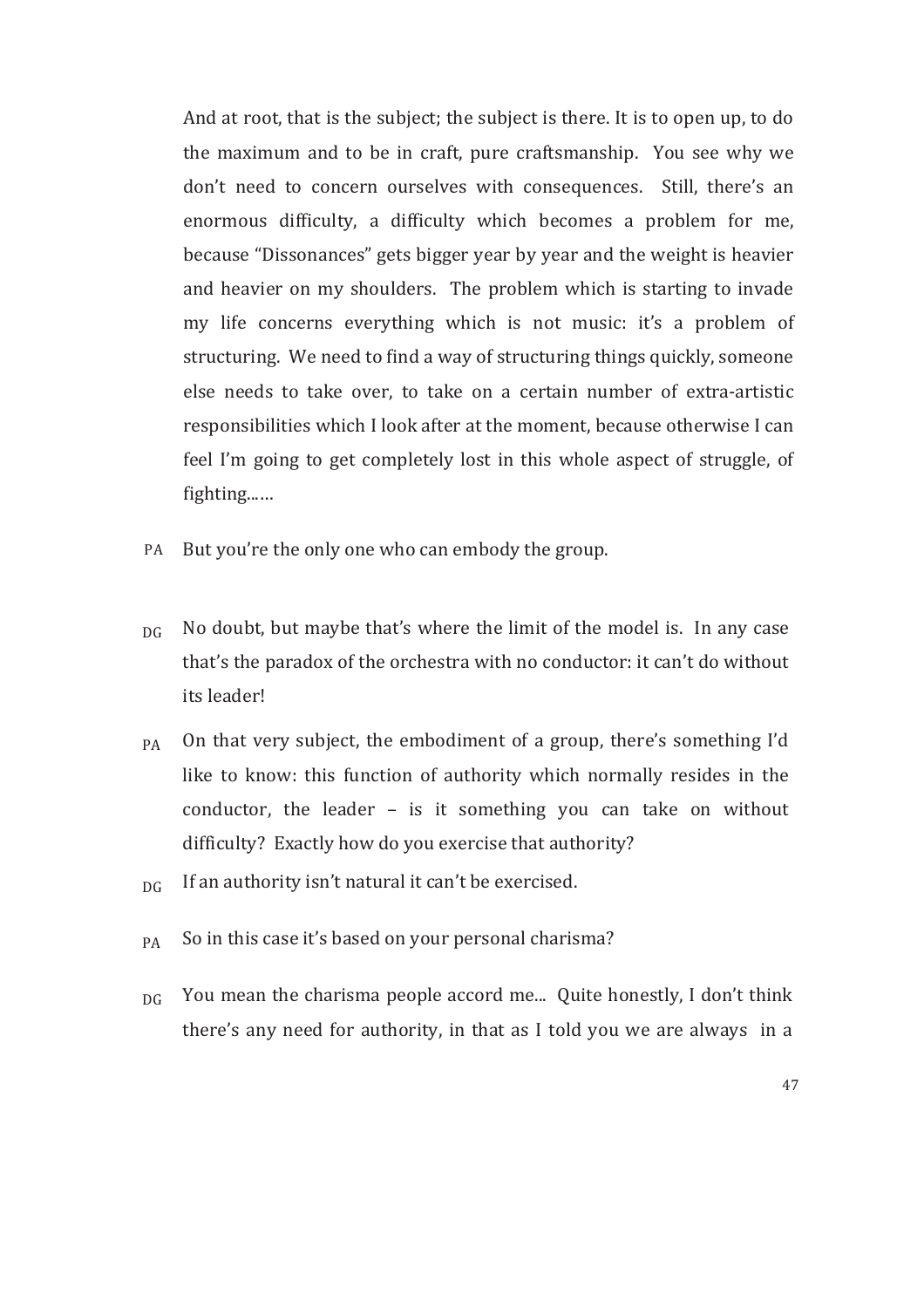And at root, that is the subject; the subject is there. It is to open up, to do the maximum and to be in craft, pure craftsmanship. You see why we don't need to concern ourselves with consequences. Still, there's an enormous difficulty, a difficulty which becomes a problem for me, because "Dissonances" gets bigger year by year and the weight is heavier and heavier on my shoulders. The problem which is starting to invade my life concerns everything which is not music: it's a problem of structuring. We need to find a way of structuring things quickly, someone else needs to take over, to take on a certain number of extra-artistic responsibilities which I look after at the moment, because otherwise I can feel I'm going to get completely lost in this whole aspect of struggle, of fighting...…

- PA But you're the only one who can embody the group.
- DG No doubt, but maybe that's where the limit of the model is. In any case that's the paradox of the orchestra with no conductor: it can't do without its leader!
- On that very subject, the embodiment of a group, there's something I'd like to know: this function of authority which normally resides in the conductor, the leader  $-$  is it something you can take on without difficulty? Exactly how do you exercise that authority? PA
- If an authority isn't natural it can't be exercised. DG
- So in this case it's based on your personal charisma? PA
- You mean the charisma people accord me... Quite honestly, I don't think there's any need for authority, in that as I told you we are always in a DG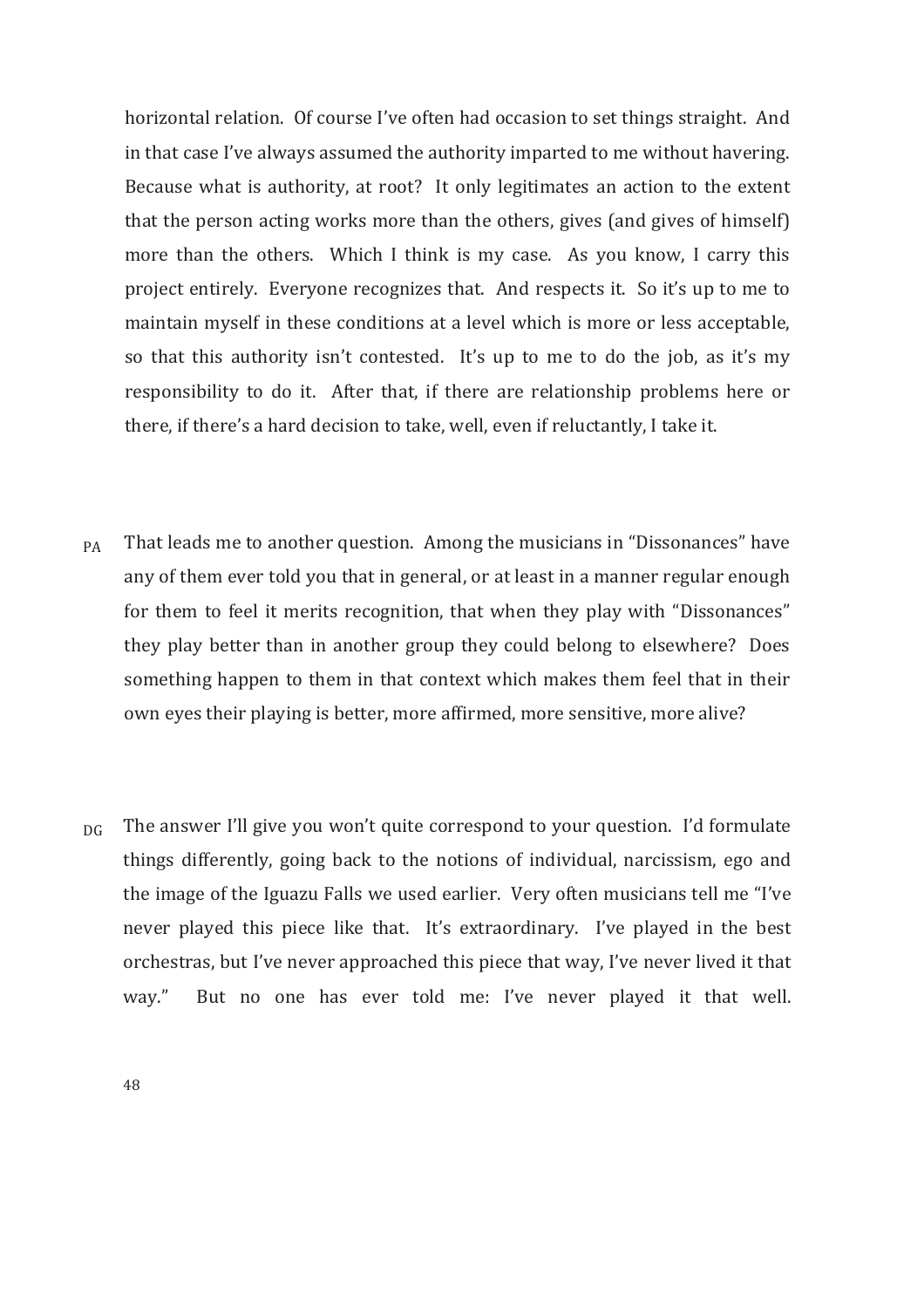horizontal relation. Of course I've often had occasion to set things straight. And in that case I've always assumed the authority imparted to me without havering. Because what is authority, at root? It only legitimates an action to the extent that the person acting works more than the others, gives (and gives of himself) more than the others. Which I think is my case. As you know, I carry this project entirely. Everyone recognizes that. And respects it. So it's up to me to maintain myself in these conditions at a level which is more or less acceptable, so that this authority isn't contested. It's up to me to do the job, as it's my responsibility to do it. After that, if there are relationship problems here or there, if there's a hard decision to take, well, even if reluctantly, I take it.

- $P_A$  That leads me to another question. Among the musicians in "Dissonances" have any of them ever told you that in general, or at least in a manner regular enough for them to feel it merits recognition, that when they play with "Dissonances" they play better than in another group they could belong to elsewhere? Does something happen to them in that context which makes them feel that in their own eyes their playing is better, more affirmed, more sensitive, more alive?
- The answer I'll give you won't quite correspond to your question. I'd formulate things differently, going back to the notions of individual, narcissism, ego and the image of the Iguazu Falls we used earlier. Very often musicians tell me "I've never played this piece like that. It's extraordinary. I've played in the best orchestras, but I've never approached this piece that way, I've never lived it that way." But no one has ever told me: I've never played it that well.  $\overline{D}G$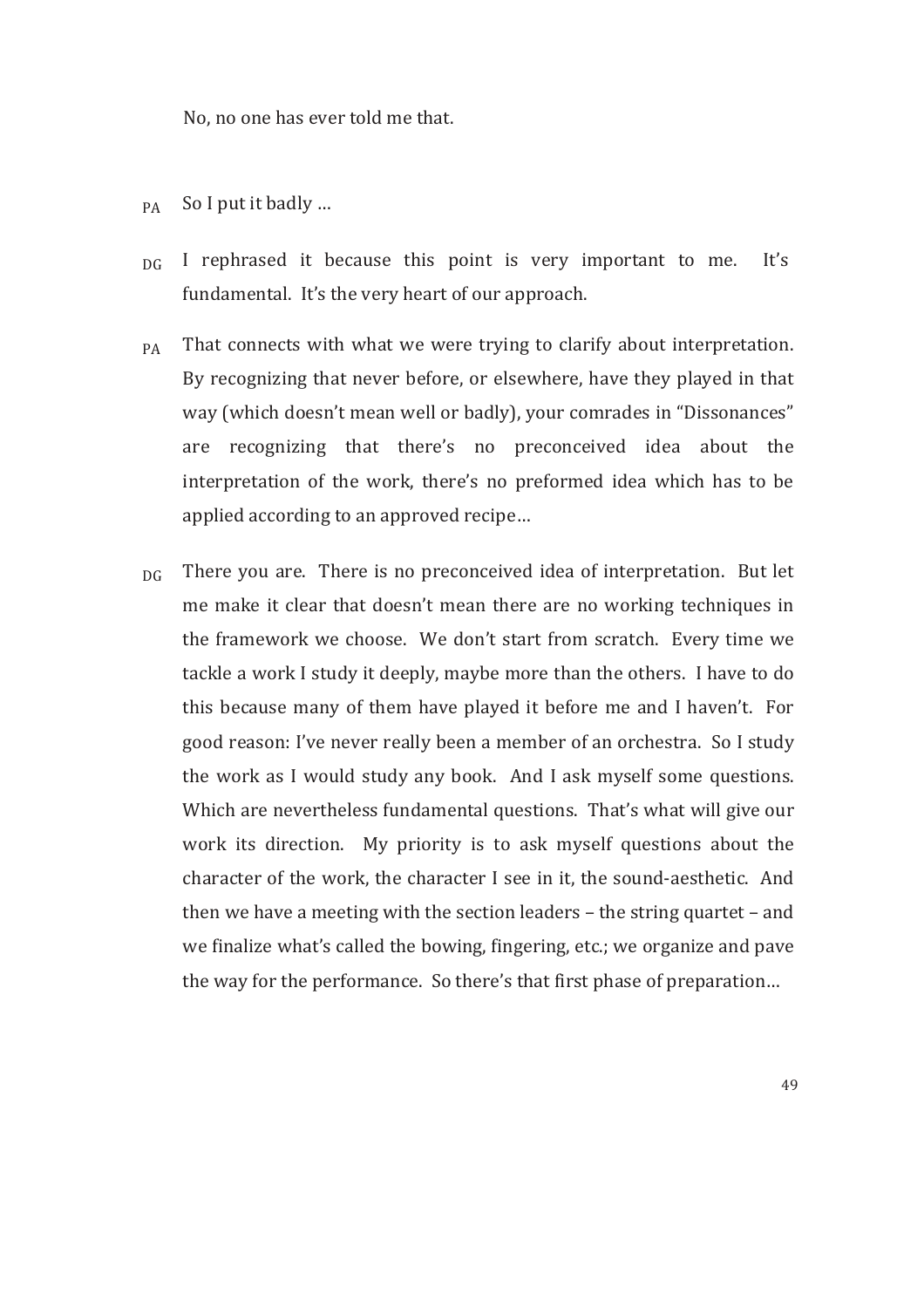No, no one has ever told me that.

PA So I put it badly ...

- $\overline{D}G$ I rephrased it because this point is very important to me. It's fundamental. It's the very heart of our approach.
- That connects with what we were trying to clarify about interpretation. By recognizing that never before, or elsewhere, have they played in that way (which doesn't mean well or badly), your comrades in "Dissonances" are recognizing that there's no preconceived idea about the interpretation of the work, there's no preformed idea which has to be applied according to an approved recipe... PA
- There you are. There is no preconceived idea of interpretation. But let me make it clear that doesn't mean there are no working techniques in the framework we choose. We don't start from scratch. Every time we tackle a work I study it deeply, maybe more than the others. I have to do this because many of them have played it before me and I haven't. For good reason: I've never really been a member of an orchestra. So I study the work as I would study any book. And I ask myself some questions. Which are nevertheless fundamental questions. That's what will give our work its direction. My priority is to ask myself questions about the character of the work, the character I see in it, the sound-aesthetic. And then we have a meeting with the section leaders  $-$  the string quartet  $-$  and we finalize what's called the bowing, fingering, etc.; we organize and pave the way for the performance. So there's that first phase of preparation... DG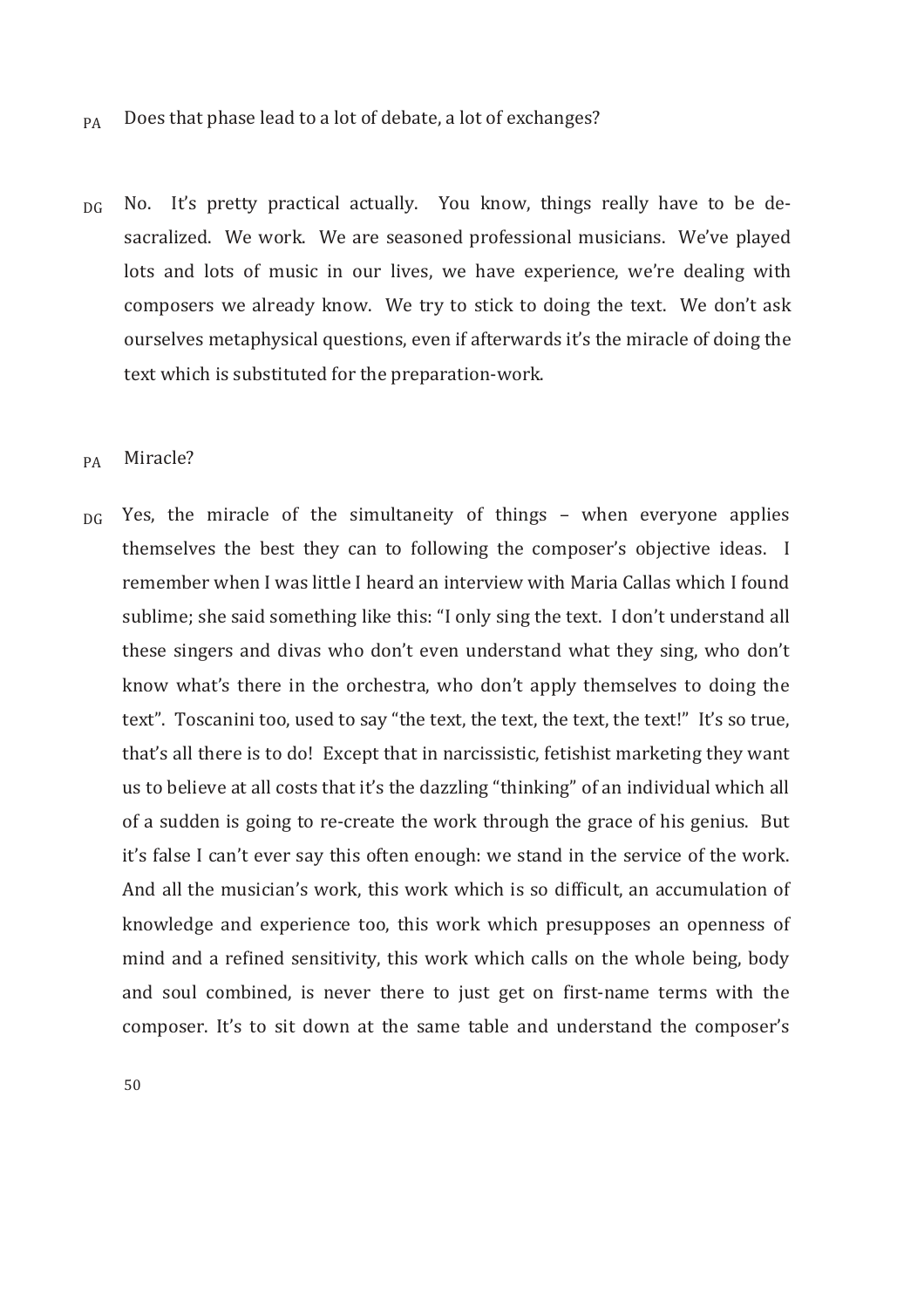- $P_A$  Does that phase lead to a lot of debate, a lot of exchanges?
- No. It's pretty practical actually. You know, things really have to be desacralized. We work. We are seasoned professional musicians. We've played lots and lots of music in our lives, we have experience, we're dealing with composers we already know. We try to stick to doing the text. We don't ask ourselves metaphysical questions, even if afterwards it's the miracle of doing the text which is substituted for the preparation-work. DG
- Miracle? PA
- Yes, the miracle of the simultaneity of things when everyone applies themselves the best they can to following the composer's objective ideas. I remember when I was little I heard an interview with Maria Callas which I found sublime; she said something like this: "I only sing the text. I don't understand all these singers and divas who don't even understand what they sing, who don't know what's there in the orchestra, who don't apply themselves to doing the text". Toscanini too, used to say "the text, the text, the text, the text!" It's so true, that's all there is to do! Except that in narcissistic, fetishist marketing they want us to believe at all costs that it's the dazzling "thinking" of an individual which all of a sudden is going to re-create the work through the grace of his genius. But it's false I can't ever say this often enough: we stand in the service of the work. And all the musician's work, this work which is so difficult, an accumulation of knowledge and experience too, this work which presupposes an openness of mind and a refined sensitivity, this work which calls on the whole being, body and soul combined, is never there to just get on first-name terms with the composer. It's to sit down at the same table and understand the composer's DG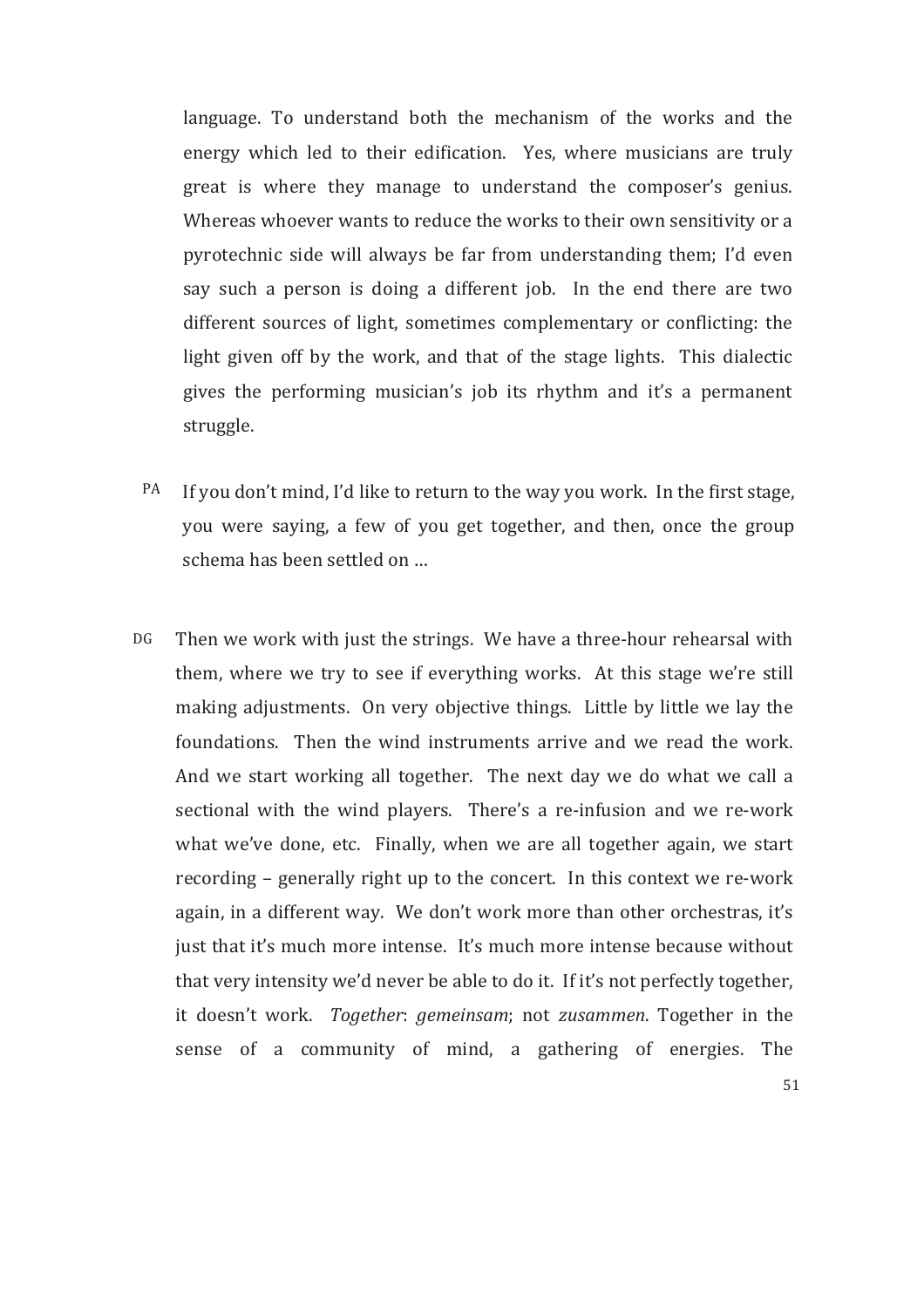language. To understand both the mechanism of the works and the energy which led to their edification. Yes, where musicians are truly great is where they manage to understand the composer's genius. Whereas whoever wants to reduce the works to their own sensitivity or a pyrotechnic side will always be far from understanding them; I'd even say such a person is doing a different job. In the end there are two different sources of light, sometimes complementary or conflicting: the light given off by the work, and that of the stage lights. This dialectic gives the performing musician's job its rhythm and it's a permanent struggle.

- $PA$  If you don't mind, I'd like to return to the way you work. In the first stage, you were saying, a few of you get together, and then, once the group schema has been settled on ...
- Then we work with just the strings. We have a three-hour rehearsal with them, where we try to see if everything works. At this stage we're still making adjustments. On very objective things. Little by little we lay the foundations. Then the wind instruments arrive and we read the work. And we start working all together. The next day we do what we call a sectional with the wind players. There's a re-infusion and we re-work what we've done, etc. Finally, when we are all together again, we start recording  $-$  generally right up to the concert. In this context we re-work again, in a different way. We don't work more than other orchestras, it's just that it's much more intense. It's much more intense because without that very intensity we'd never be able to do it. If it's not perfectly together, it doesn't work. *Together: gemeinsam;* not *zusammen*. Together in the sense of a community of mind, a gathering of energies. The DG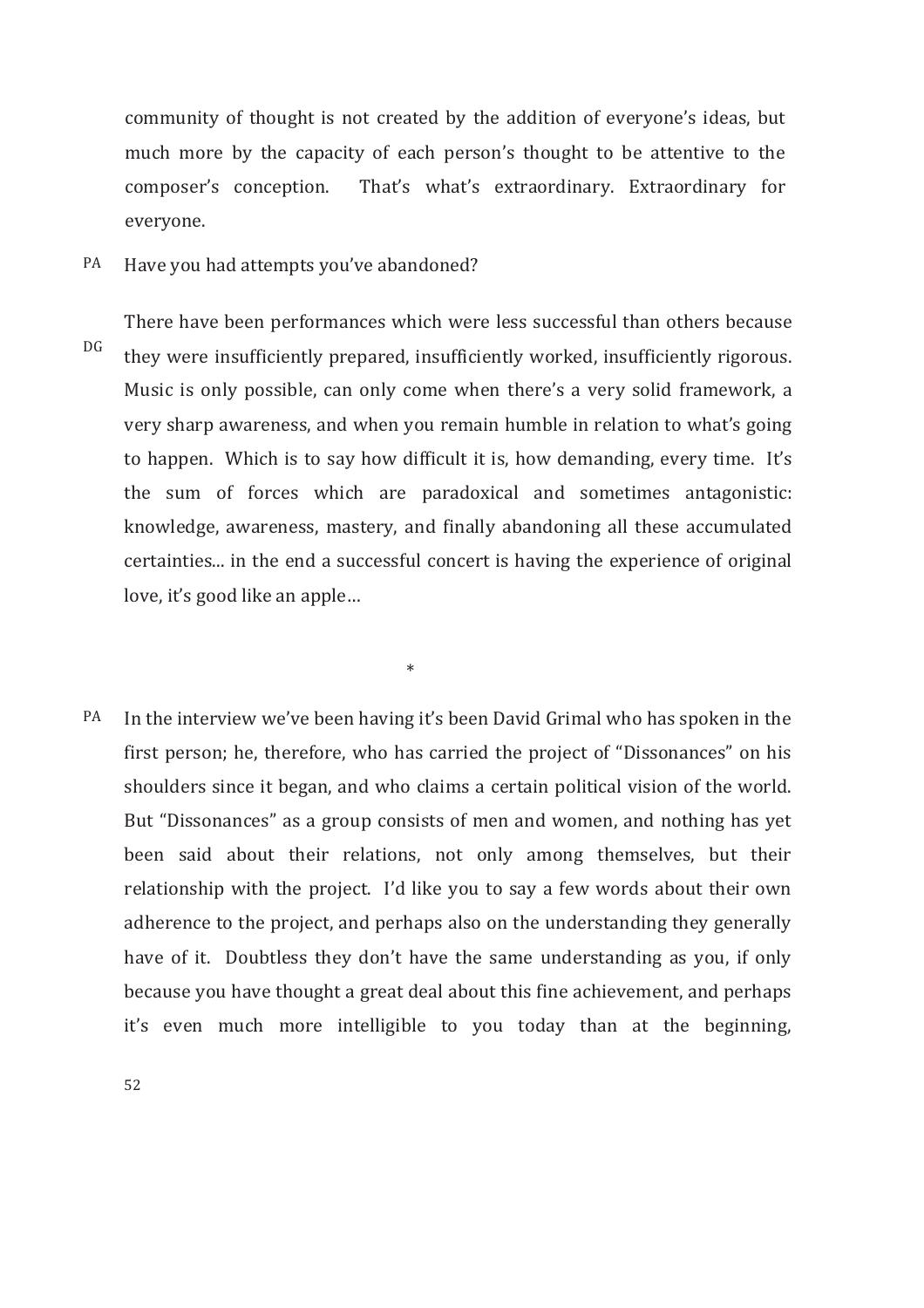community of thought is not created by the addition of everyone's ideas, but much more by the capacity of each person's thought to be attentive to the composer's conception. That's what's extraordinary. Extraordinary for everyone.

PA Have you had attempts you've abandoned?

DG There have been performances which were less successful than others because they were insufficiently prepared, insufficiently worked, insufficiently rigorous. Music is only possible, can only come when there's a very solid framework, a very sharp awareness, and when you remain humble in relation to what's going to happen. Which is to say how difficult it is, how demanding, every time. It's the sum of forces which are paradoxical and sometimes antagonistic: knowledge, awareness, mastery, and finally abandoning all these accumulated certainties... in the end a successful concert is having the experience of original love, it's good like an apple...

\*

 $PA$  In the interview we've been having it's been David Grimal who has spoken in the first person; he, therefore, who has carried the project of "Dissonances" on his shoulders since it began, and who claims a certain political vision of the world. But "Dissonances" as a group consists of men and women, and nothing has yet been said about their relations, not only among themselves, but their relationship with the project. I'd like you to say a few words about their own adherence to the project, and perhaps also on the understanding they generally have of it. Doubtless they don't have the same understanding as you, if only because you have thought a great deal about this fine achievement, and perhaps it's even much more intelligible to you today than at the beginning,

52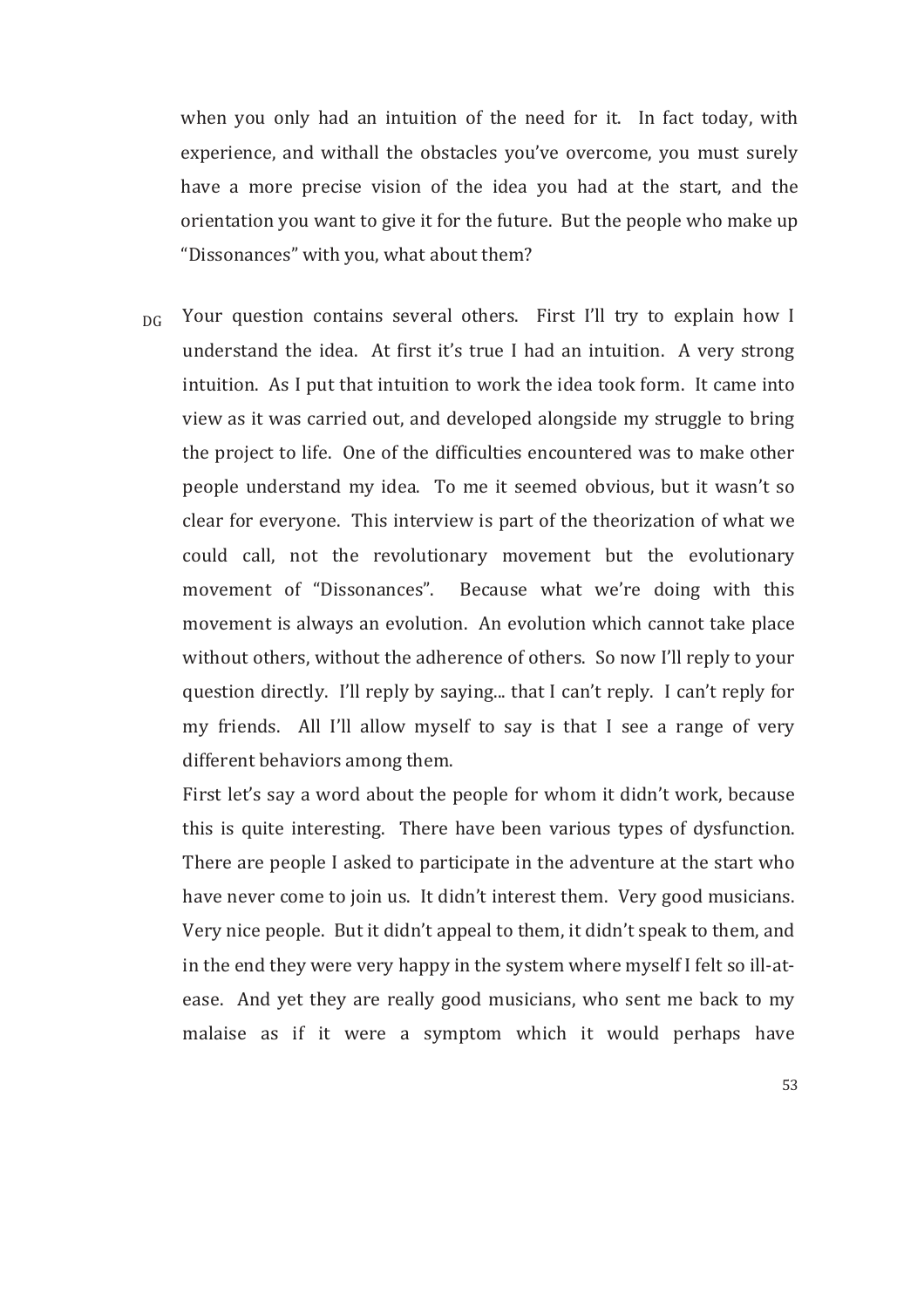when you only had an intuition of the need for it. In fact today, with experience, and withall the obstacles you've overcome, you must surely have a more precise vision of the idea you had at the start, and the orientation you want to give it for the future. But the people who make up "Dissonances" with you, what about them?

 $_{\text{DG}}$  Your question contains several others. First I'll try to explain how I understand the idea. At first it's true I had an intuition. A very strong intuition. As I put that intuition to work the idea took form. It came into view as it was carried out, and developed alongside my struggle to bring the project to life. One of the difficulties encountered was to make other people understand my idea. To me it seemed obvious, but it wasn't so clear for everyone. This interview is part of the theorization of what we could call, not the revolutionary movement but the evolutionary movement of "Dissonances". Because what we're doing with this movement is always an evolution. An evolution which cannot take place without others, without the adherence of others. So now I'll reply to your question directly. I'll reply by saying... that I can't reply. I can't reply for my friends. All I'll allow myself to say is that I see a range of very different behaviors among them.

First let's say a word about the people for whom it didn't work, because this is quite interesting. There have been various types of dysfunction. There are people I asked to participate in the adventure at the start who have never come to join us. It didn't interest them. Very good musicians. Very nice people. But it didn't appeal to them, it didn't speak to them, and in the end they were very happy in the system where myself I felt so ill-atease. And yet they are really good musicians, who sent me back to my malaise as if it were a symptom which it would perhaps have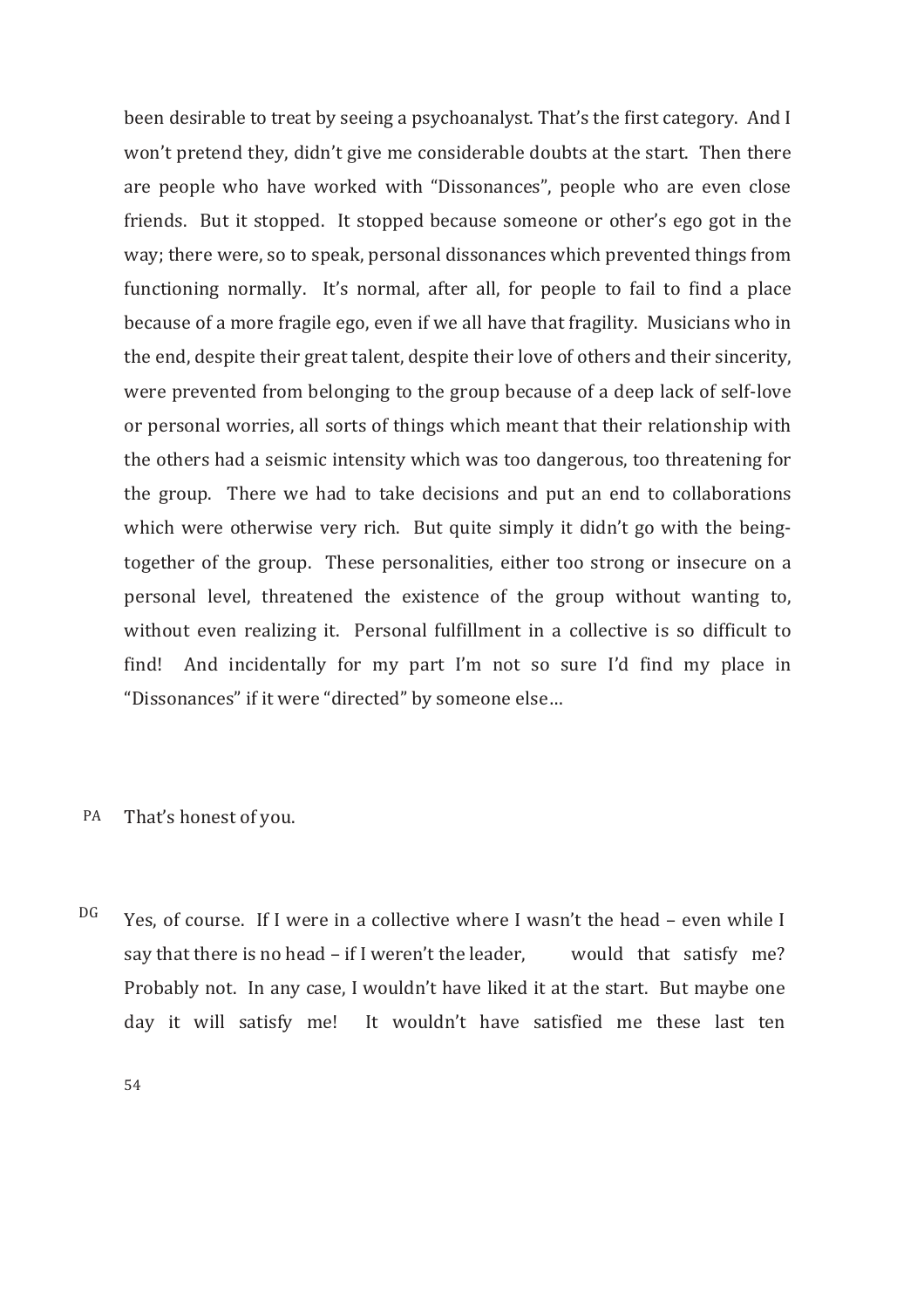been desirable to treat by seeing a psychoanalyst. That's the first category. And I won't pretend they, didn't give me considerable doubts at the start. Then there are people who have worked with "Dissonances", people who are even close friends. But it stopped. It stopped because someone or other's ego got in the way; there were, so to speak, personal dissonances which prevented things from functioning normally. It's normal, after all, for people to fail to find a place because of a more fragile ego, even if we all have that fragility. Musicians who in the end, despite their great talent, despite their love of others and their sincerity, were prevented from belonging to the group because of a deep lack of self-love or personal worries, all sorts of things which meant that their relationship with the others had a seismic intensity which was too dangerous, too threatening for the group. There we had to take decisions and put an end to collaborations which were otherwise very rich. But quite simply it didn't go with the beingtogether of the group. These personalities, either too strong or insecure on a personal level, threatened the existence of the group without wanting to, without even realizing it. Personal fulfillment in a collective is so difficult to find! And incidentally for my part I'm not so sure I'd find my place in "Dissonances" if it were "directed" by someone else...

PA That's honest of you.

 $\overline{D}G$ Yes, of course. If I were in a collective where I wasn't the head - even while I say that there is no head – if I weren't the leader, would that satisfy me? Probably not. In any case, I wouldn't have liked it at the start. But maybe one day it will satisfy me! It wouldn't have satisfied me these last ten

54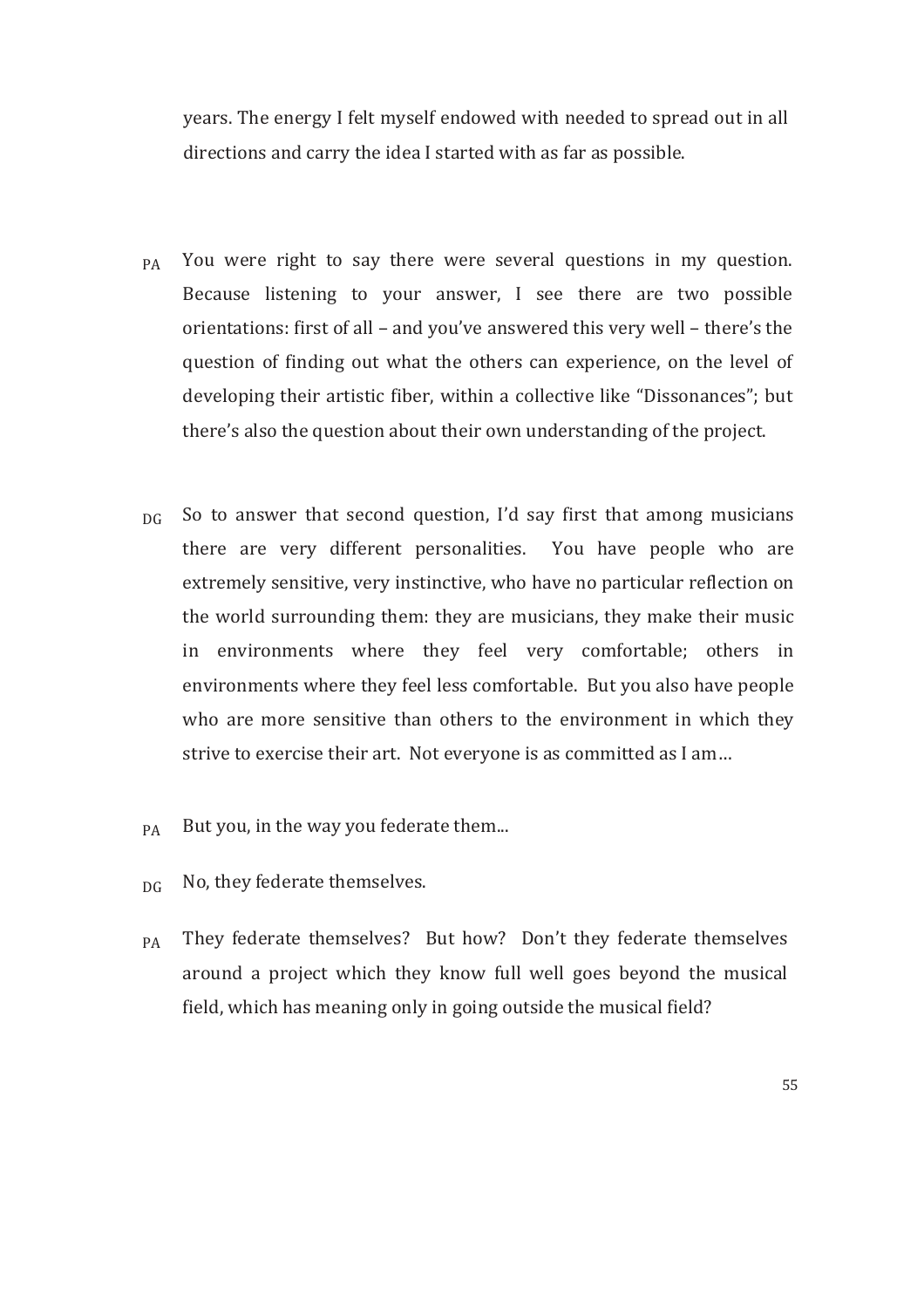years. The energy I felt myself endowed with needed to spread out in all directions and carry the idea I started with as far as possible.

- $P_A$  You were right to say there were several questions in my question. Because listening to your answer, I see there are two possible orientations: first of all - and you've answered this very well - there's the question of finding out what the others can experience, on the level of developing their artistic fiber, within a collective like "Dissonances"; but there's also the question about their own understanding of the project.
- So to answer that second question, I'd say first that among musicians there are very different personalities. You have people who are extremely sensitive, very instinctive, who have no particular reflection on the world surrounding them: they are musicians, they make their music in environments where they feel very comfortable; others in environments where they feel less comfortable. But you also have people who are more sensitive than others to the environment in which they strive to exercise their art. Not everyone is as committed as I am... DG
- But you, in the way you federate them... PA
- No, they federate themselves.  $\overline{D}G$
- They federate themselves? But how? Don't they federate themselves around a project which they know full well goes beyond the musical field, which has meaning only in going outside the musical field? PA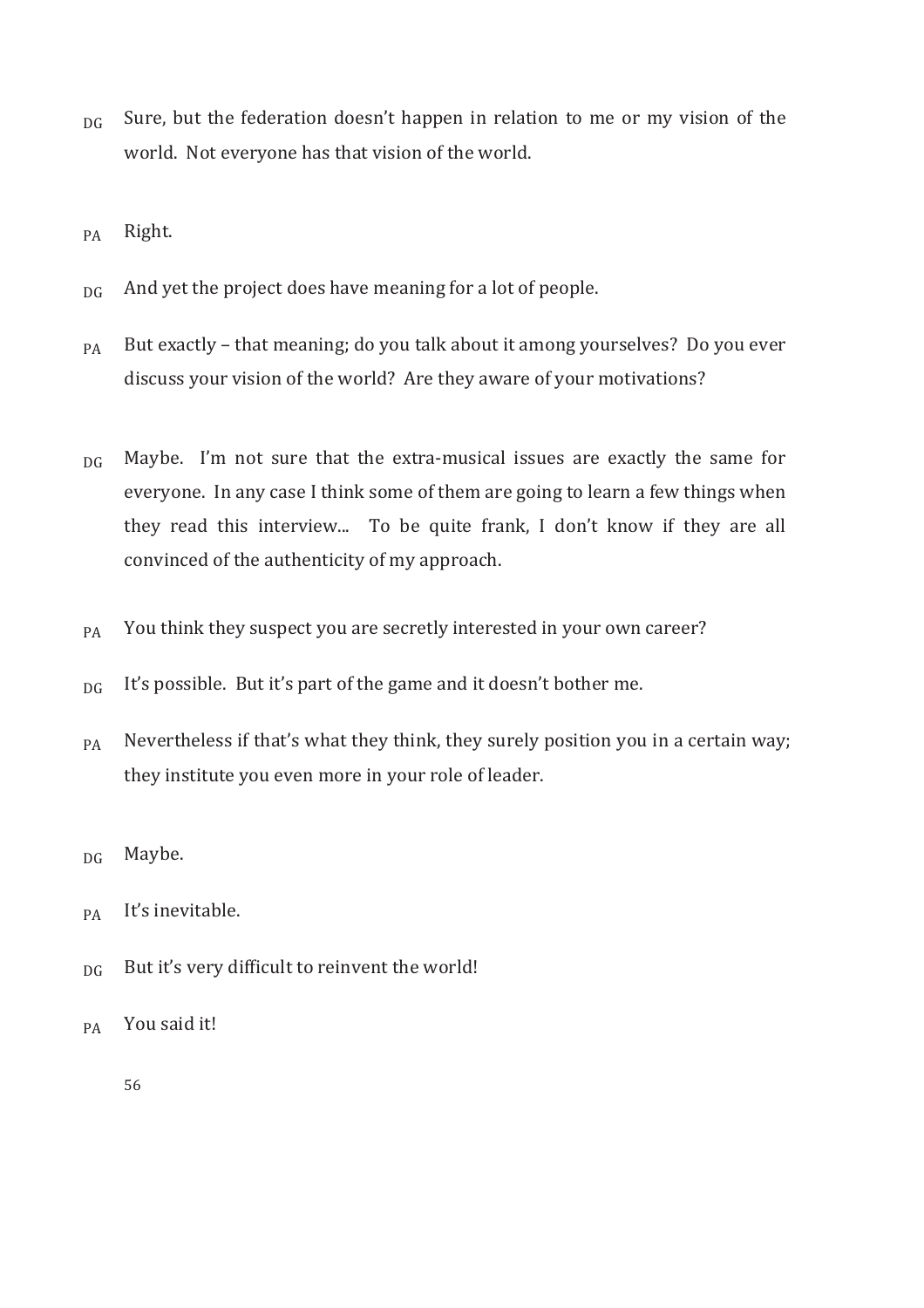- $_{DG}$  Sure, but the federation doesn't happen in relation to me or my vision of the world. Not everyone has that vision of the world.
- Right. PA
- And yet the project does have meaning for a lot of people. DG
- But exactly that meaning; do you talk about it among yourselves? Do you ever discuss your vision of the world? Are they aware of your motivations? PA
- Maybe. I'm not sure that the extra-musical issues are exactly the same for everyone. In any case I think some of them are going to learn a few things when they read this interview... To be quite frank, I don't know if they are all convinced of the authenticity of my approach.  $\overline{D}G$
- You think they suspect you are secretly interested in your own career? PA
- It's possible. But it's part of the game and it doesn't bother me. DG
- Nevertheless if that's what they think, they surely position you in a certain way; they institute you even more in your role of leader. PA
- Maybe. DG
- It's inevitable. PA
- But it's very difficult to reinvent the world! DG
- You said it! PA

56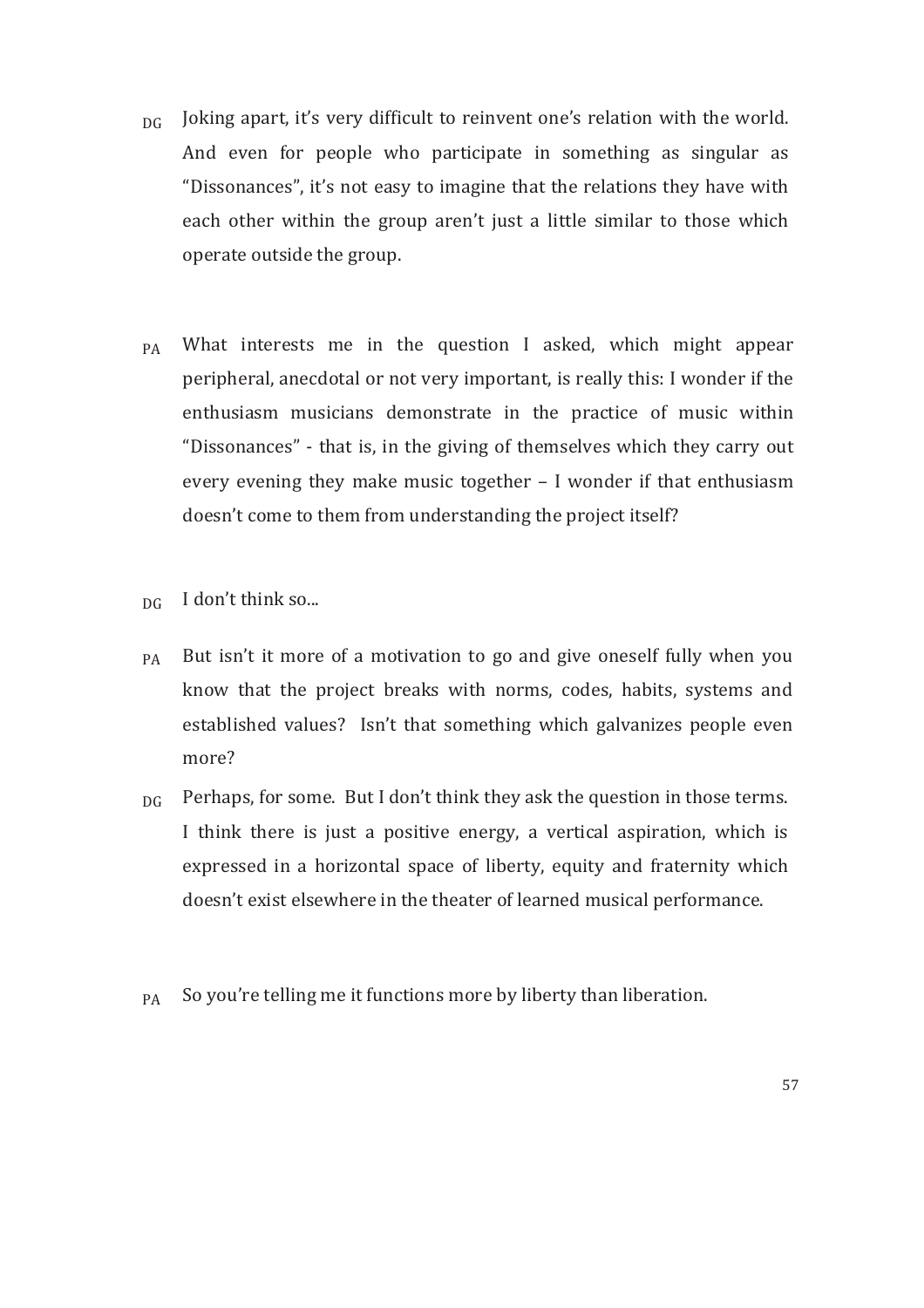- $_{\text{DG}}$  Joking apart, it's very difficult to reinvent one's relation with the world. And even for people who participate in something as singular as "Dissonances", it's not easy to imagine that the relations they have with each other within the group aren't just a little similar to those which operate outside the group.
- What interests me in the question I asked, which might appear peripheral, anecdotal or not very important, is really this: I wonder if the enthusiasm musicians demonstrate in the practice of music within "Dissonances" - that is, in the giving of themselves which they carry out every evening they make music together  $-1$  wonder if that enthusiasm doesn't come to them from understanding the project itself? PA

I don't think so... DG

- But  $\sin't$  it more of a motivation to go and give oneself fully when you know that the project breaks with norms, codes, habits, systems and established values? Isn't that something which galvanizes people even more? PA
- Perhaps, for some. But I don't think they ask the question in those terms. I think there is just a positive energy, a vertical aspiration, which is expressed in a horizontal space of liberty, equity and fraternity which doesn't exist elsewhere in the theater of learned musical performance. DG
- So you're telling me it functions more by liberty than liberation. PA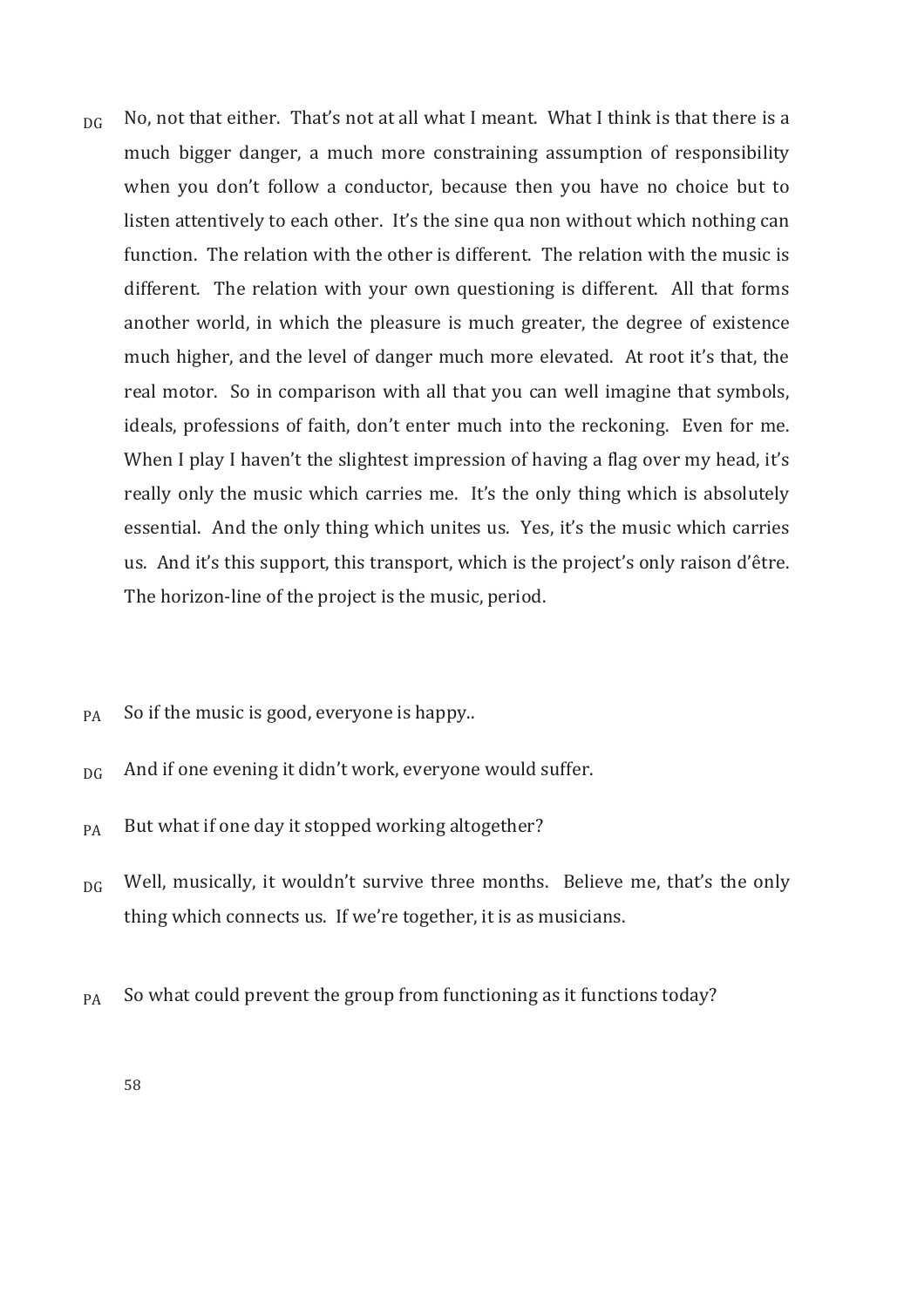- $_{DG}$  No, not that either. That's not at all what I meant. What I think is that there is a much bigger danger, a much more constraining assumption of responsibility when you don't follow a conductor, because then you have no choice but to listen attentively to each other. It's the sine qua non without which nothing can function. The relation with the other is different. The relation with the music is different. The relation with your own questioning is different. All that forms another world, in which the pleasure is much greater, the degree of existence much higher, and the level of danger much more elevated. At root it's that, the real motor. So in comparison with all that you can well imagine that symbols, ideals, professions of faith, don't enter much into the reckoning. Even for me. When I play I haven't the slightest impression of having a flag over my head, it's really only the music which carries me. It's the only thing which is absolutely essential. And the only thing which unites us. Yes, it's the music which carries us. And it's this support, this transport, which is the project's only raison d'être. The horizon-line of the project is the music, period.
- So if the music is good, everyone is happy... PA
- And if one evening it didn't work, everyone would suffer. DG
- But what if one day it stopped working altogether? PA
- Well, musically, it wouldn't survive three months. Believe me, that's the only thing which connects us. If we're together, it is as musicians.  $\overline{D}G$
- So what could prevent the group from functioning as it functions today? PA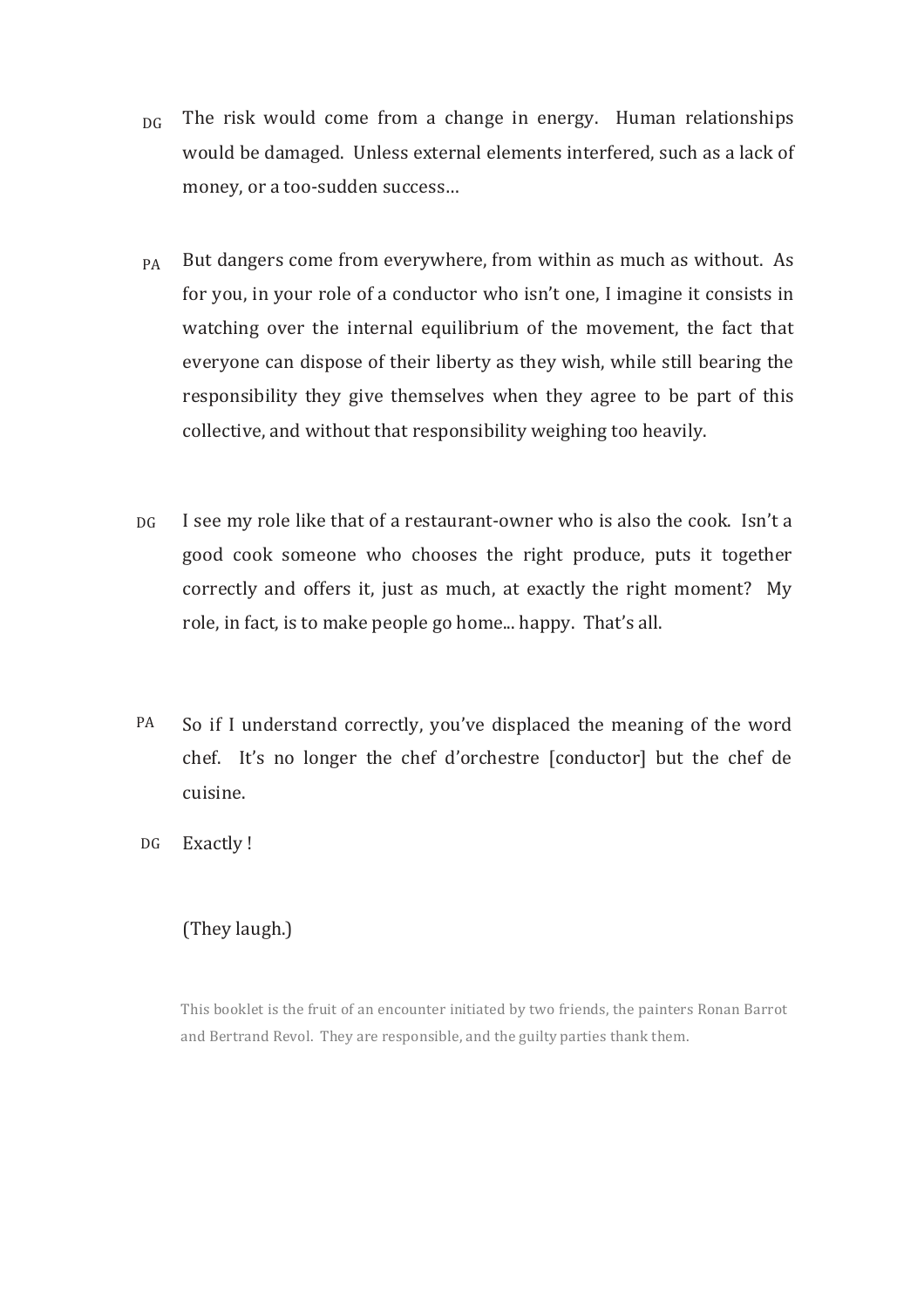- $DG$  The risk would come from a change in energy. Human relationships would be damaged. Unless external elements interfered, such as a lack of money, or a too-sudden success...
- But dangers come from everywhere, from within as much as without. As for you, in your role of a conductor who isn't one, I imagine it consists in watching over the internal equilibrium of the movement, the fact that everyone can dispose of their liberty as they wish, while still bearing the responsibility they give themselves when they agree to be part of this collective, and without that responsibility weighing too heavily. PA
- I see my role like that of a restaurant-owner who is also the cook. Isn't a good cook someone who chooses the right produce, puts it together correctly and offers it, just as much, at exactly the right moment?  $M_V$ role, in fact, is to make people go home... happy. That's all. DG
- So if I understand correctly, you've displaced the meaning of the word chef. It's no longer the chef d'orchestre  $[$ conductor $]$  but the chef de cuisine. PA
- Exactly ! DG

#### (They laugh.)

This booklet is the fruit of an encounter initiated by two friends, the painters Ronan Barrot and Bertrand Revol. They are responsible, and the guilty parties thank them.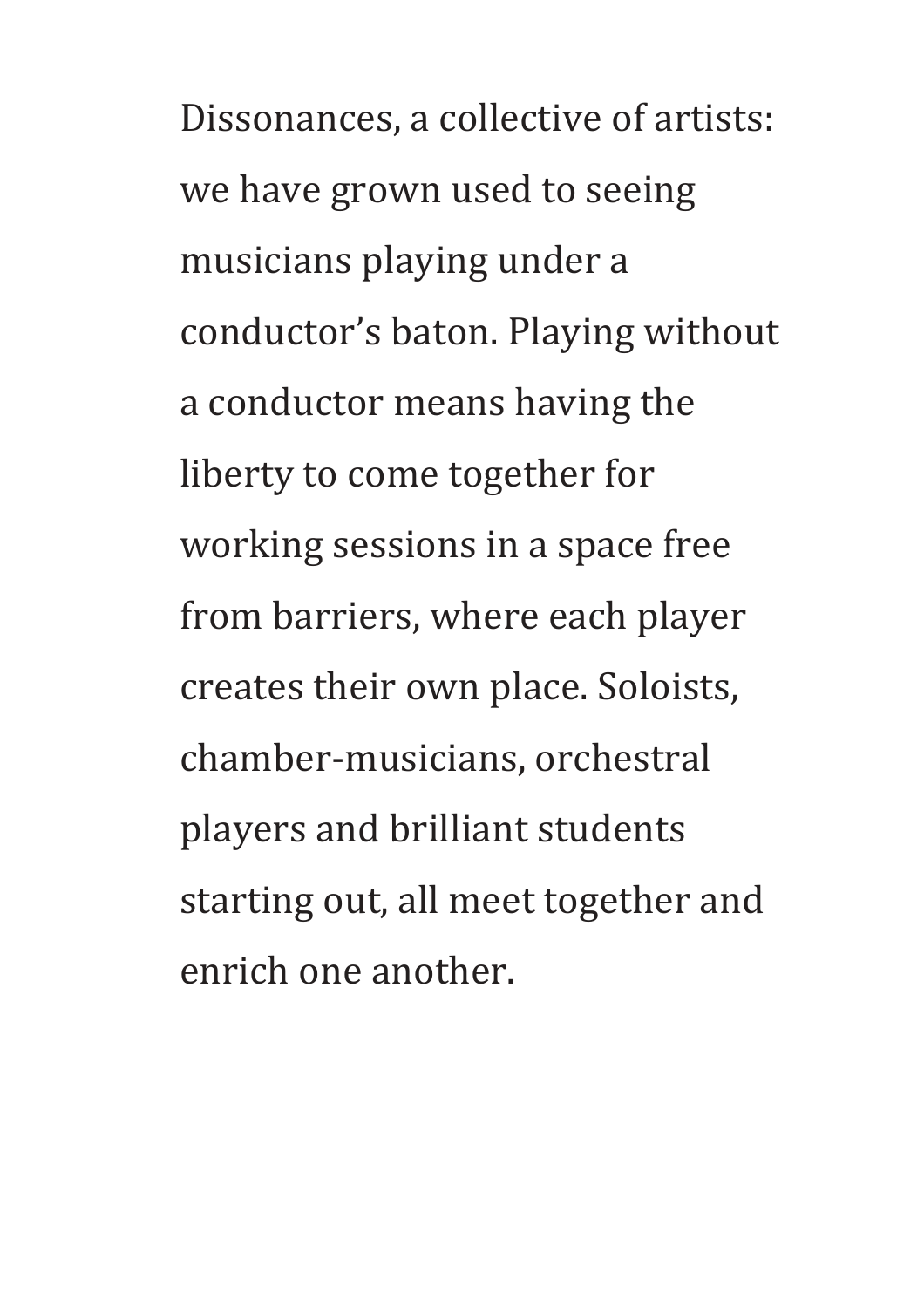Dissonances, a collective of artists: we have grown used to seeing musicians playing under a conductor's baton. Playing without a conductor means having the liberty to come together for working sessions in a space free from barriers, where each player creates their own place. Soloists, chamber-musicians, orchestral players and brilliant students starting out, all meet together and enrich one another.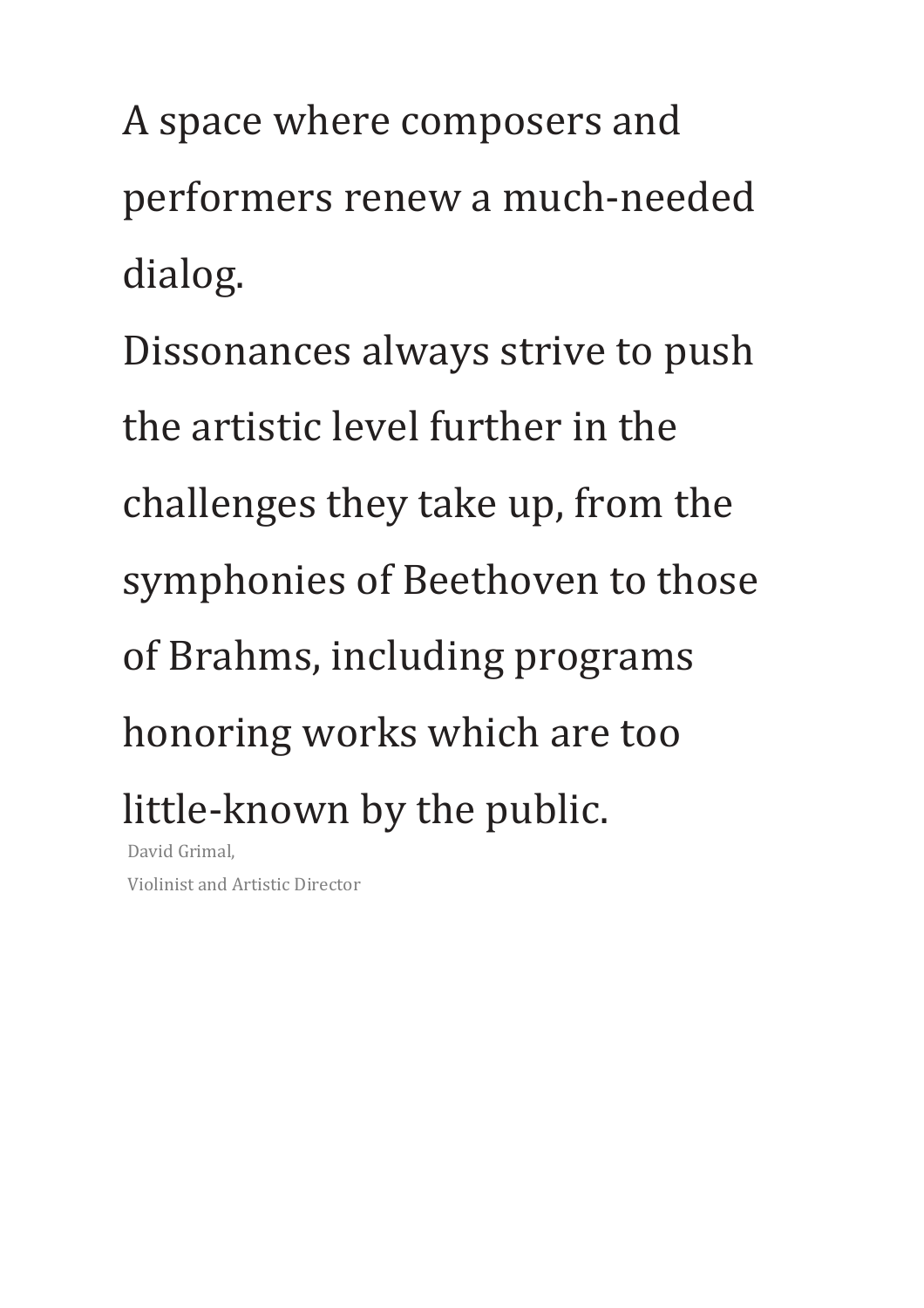A space where composers and performers renew a much-needed dialog.

Dissonances always strive to push the artistic level further in the challenges they take up, from the symphonies of Beethoven to those of Brahms, including programs honoring works which are too little-known by the public.

David Grimal, Violinist and Artistic Director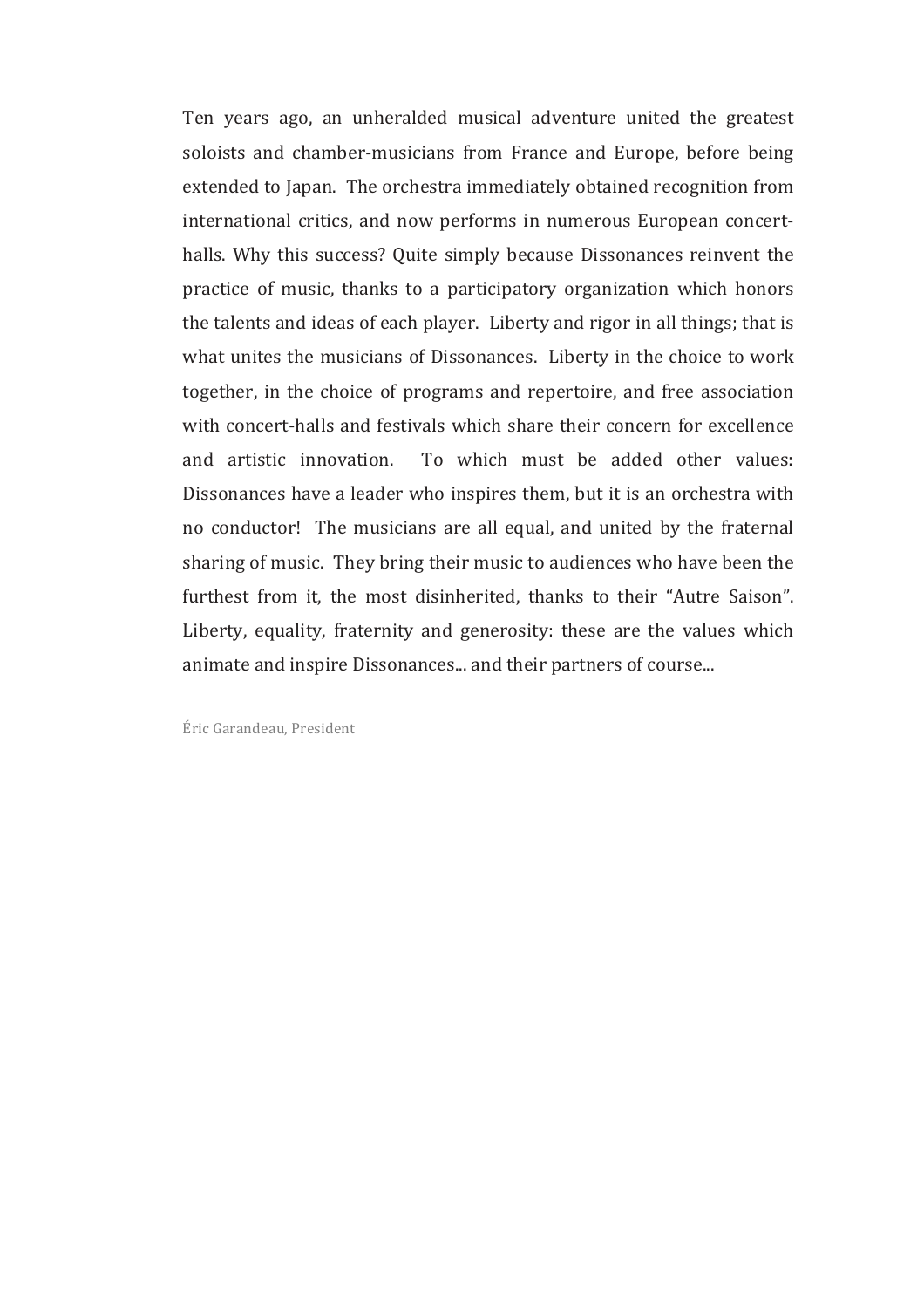Ten years ago, an unheralded musical adventure united the greatest soloists and chamber-musicians from France and Europe, before being extended to Japan. The orchestra immediately obtained recognition from international critics, and now performs in numerous European concerthalls. Why this success? Quite simply because Dissonances reinvent the practice of music, thanks to a participatory organization which honors the talents and ideas of each player. Liberty and rigor in all things; that is what unites the musicians of Dissonances. Liberty in the choice to work together, in the choice of programs and repertoire, and free association with concert-halls and festivals which share their concern for excellence and artistic innovation. To which must be added other values: Dissonances have a leader who inspires them, but it is an orchestra with no conductor! The musicians are all equal, and united by the fraternal sharing of music. They bring their music to audiences who have been the furthest from it, the most disinherited, thanks to their "Autre Saison". Liberty, equality, fraternity and generosity: these are the values which animate and inspire Dissonances... and their partners of course...

Éric Garandeau, President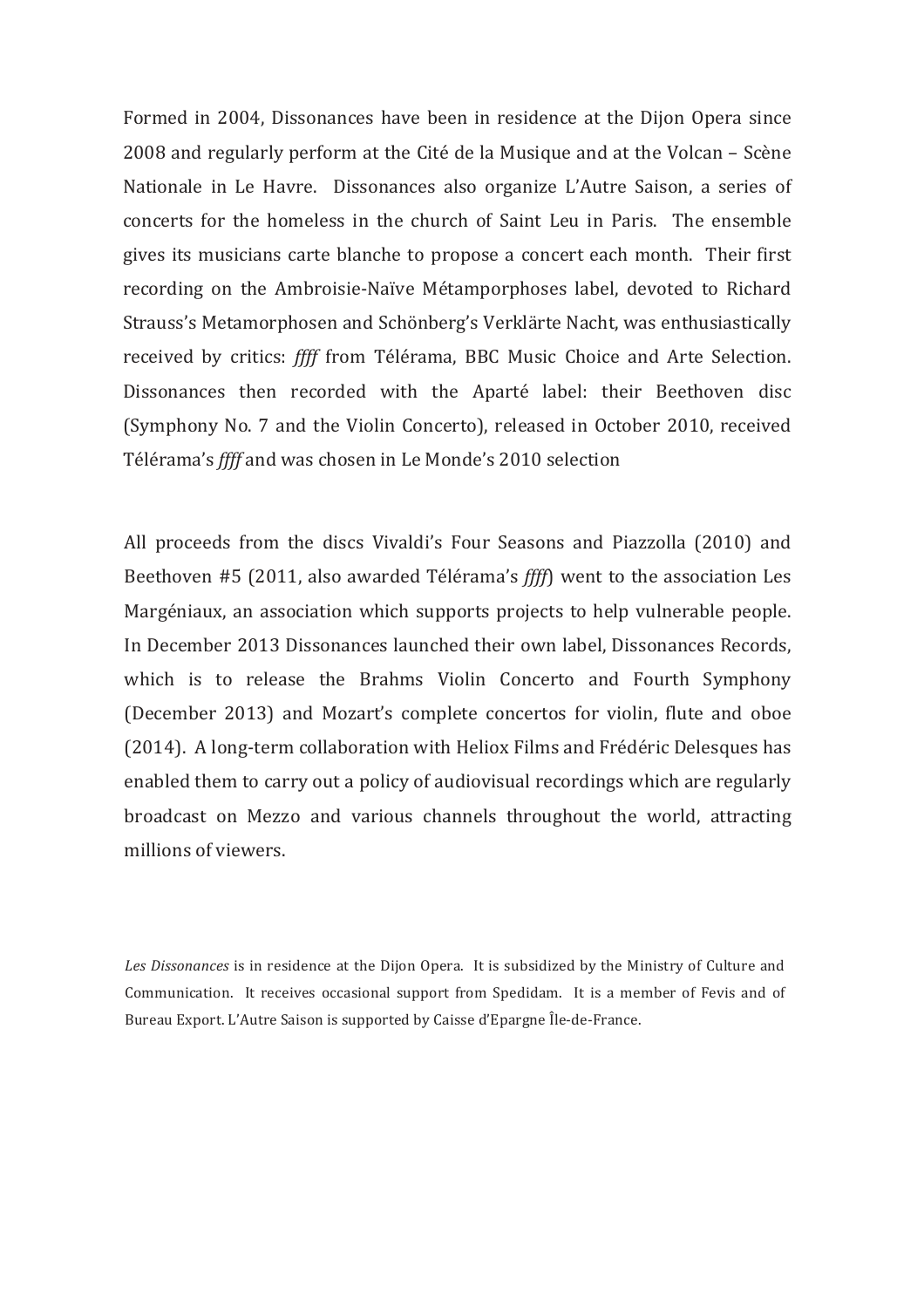Formed in 2004, Dissonances have been in residence at the Dijon Opera since 2008 and regularly perform at the Cité de la Musique and at the Volcan - Scène Nationale in Le Havre. Dissonances also organize L'Autre Saison, a series of concerts for the homeless in the church of Saint Leu in Paris. The ensemble gives its musicians carte blanche to propose a concert each month. Their first recording on the Ambroisie-Naïve Métamporphoses label, devoted to Richard Strauss's Metamorphosen and Schönberg's Verklärte Nacht, was enthusiastically received by critics: *ffff* from Télérama, BBC Music Choice and Arte Selection. Dissonances then recorded with the Aparté label: their Beethoven disc (Symphony No. 7 and the Violin Concerto), released in October 2010, received Télérama's *ffff* and was chosen in Le Monde's 2010 selection

All proceeds from the discs Vivaldi's Four Seasons and Piazzolla (2010) and Beethoven #5 (2011, also awarded Télérama's *ffff*) went to the association Les Margéniaux, an association which supports projects to help vulnerable people. In December 2013 Dissonances launched their own label, Dissonances Records, which is to release the Brahms Violin Concerto and Fourth Symphony (December 2013) and Mozart's complete concertos for violin, flute and oboe (2014). A long-term collaboration with Heliox Films and Frédéric Delesques has enabled them to carry out a policy of audiovisual recordings which are regularly broadcast on Mezzo and various channels throughout the world, attracting millions of viewers.

Les Dissonances is in residence at the Dijon Opera. It is subsidized by the Ministry of Culture and Communication. It receives occasional support from Spedidam. It is a member of Fevis and of Bureau Export. L'Autre Saison is supported by Caisse d'Epargne Île-de-France.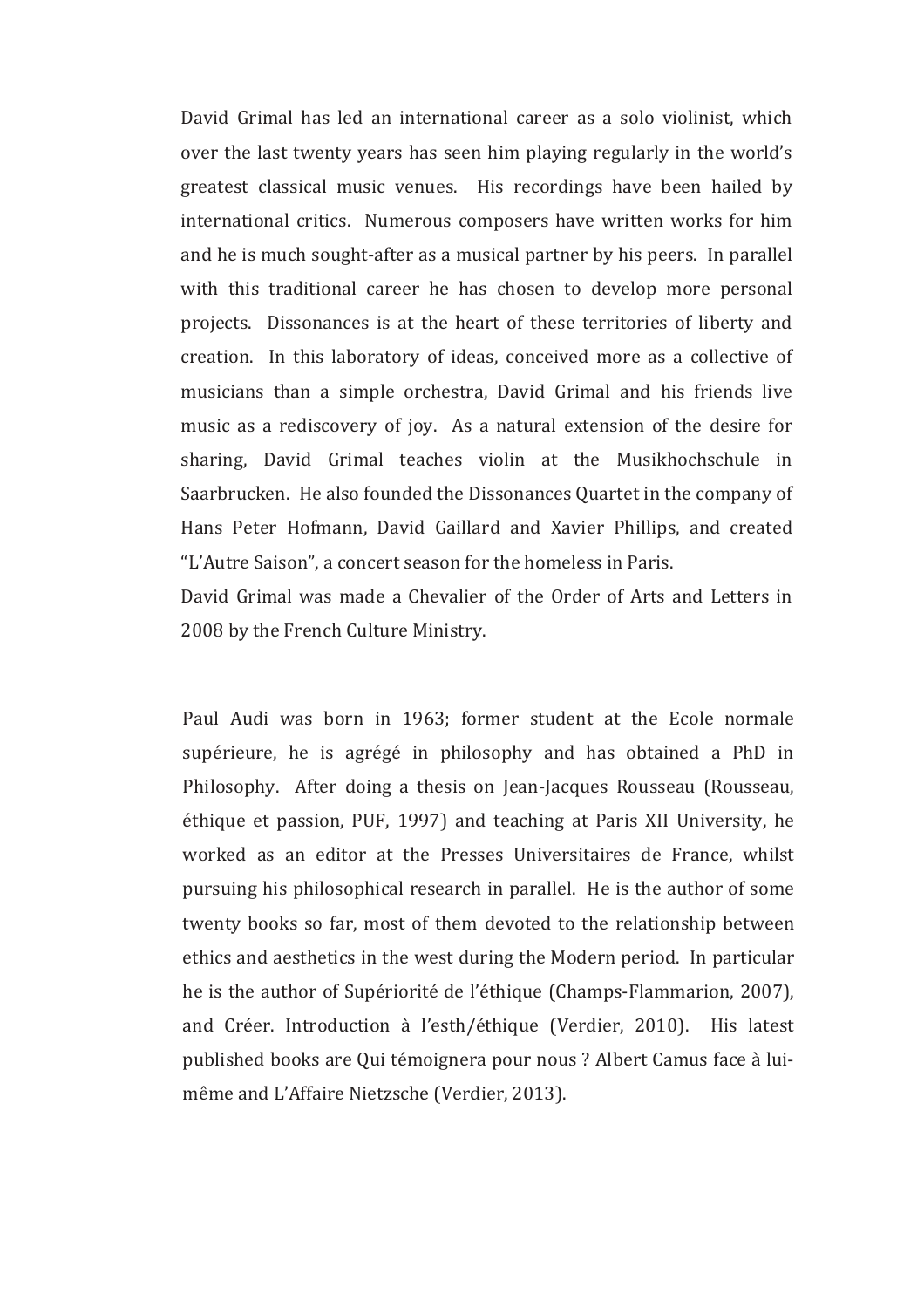David Grimal has led an international career as a solo violinist, which over the last twenty years has seen him playing regularly in the world's greatest classical music venues. His recordings have been hailed by international critics. Numerous composers have written works for him and he is much sought-after as a musical partner by his peers. In parallel with this traditional career he has chosen to develop more personal projects. Dissonances is at the heart of these territories of liberty and creation. In this laboratory of ideas, conceived more as a collective of musicians than a simple orchestra, David Grimal and his friends live music as a rediscovery of joy. As a natural extension of the desire for sharing, David Grimal teaches violin at the Musikhochschule in Saarbrucken. He also founded the Dissonances Quartet in the company of Hans Peter Hofmann, David Gaillard and Xavier Phillips, and created "L'Autre Saison", a concert season for the homeless in Paris.

David Grimal was made a Chevalier of the Order of Arts and Letters in 2008 by the French Culture Ministry.

Paul Audi was born in 1963; former student at the Ecole normale supérieure, he is agrégé in philosophy and has obtained a PhD in Philosophy. After doing a thesis on Jean-Jacques Rousseau (Rousseau, éthique et passion, PUF, 1997) and teaching at Paris XII University, he worked as an editor at the Presses Universitaires de France, whilst pursuing his philosophical research in parallel. He is the author of some twenty books so far, most of them devoted to the relationship between ethics and aesthetics in the west during the Modern period. In particular he is the author of Supériorité de l'éthique (Champs-Flammarion, 2007), and Créer. Introduction à l'esth/éthique (Verdier, 2010). His latest published books are Qui témoignera pour nous ? Albert Camus face à luimême and L'Affaire Nietzsche (Verdier, 2013).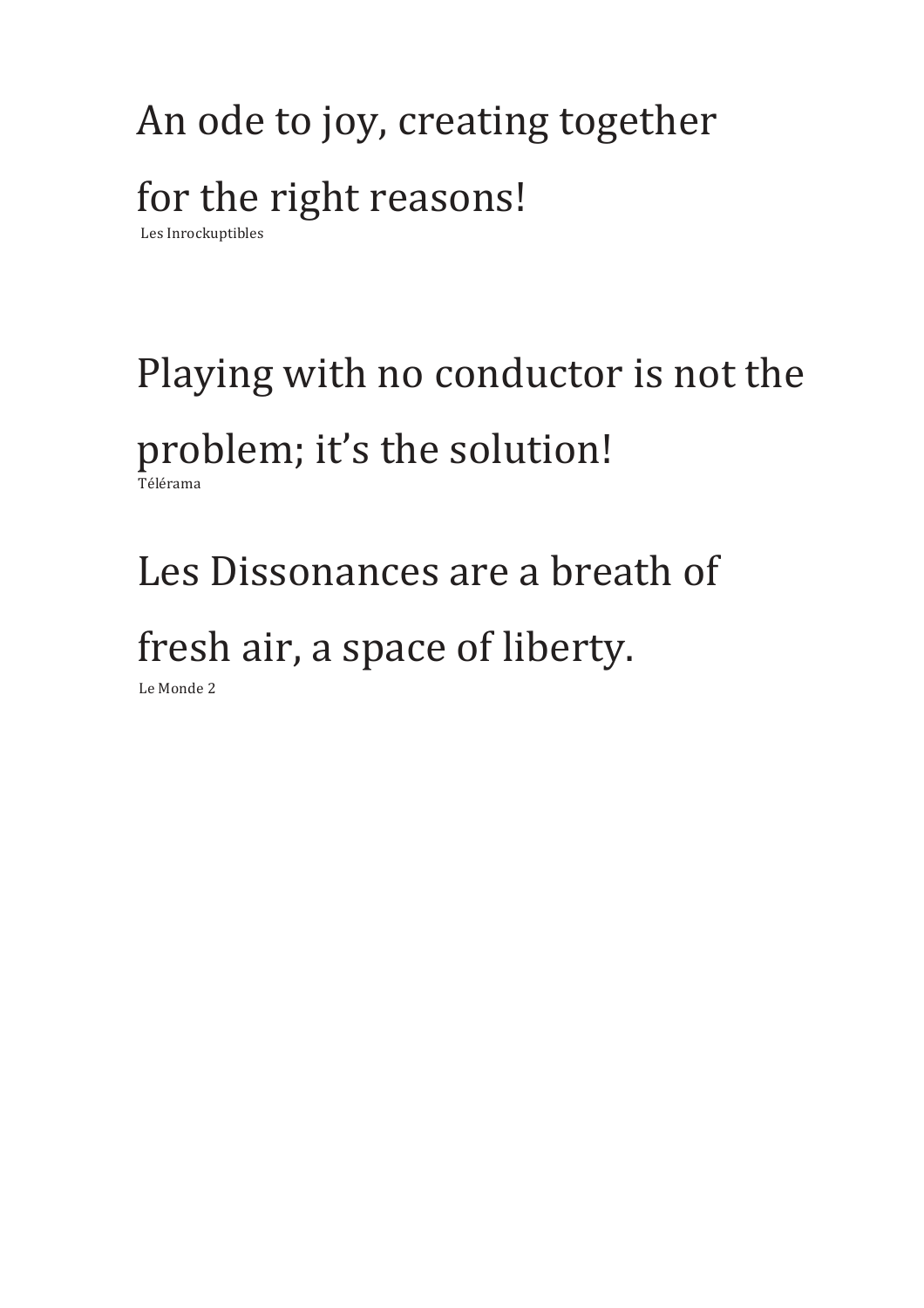## An ode to joy, creating together for the right reasons!

Les Inrockuptibles

## Playing with no conductor is not the

## problem; it's the solution!

Télérama

### Les Dissonances are a breath of

## fresh air, a space of liberty.

Le Monde 2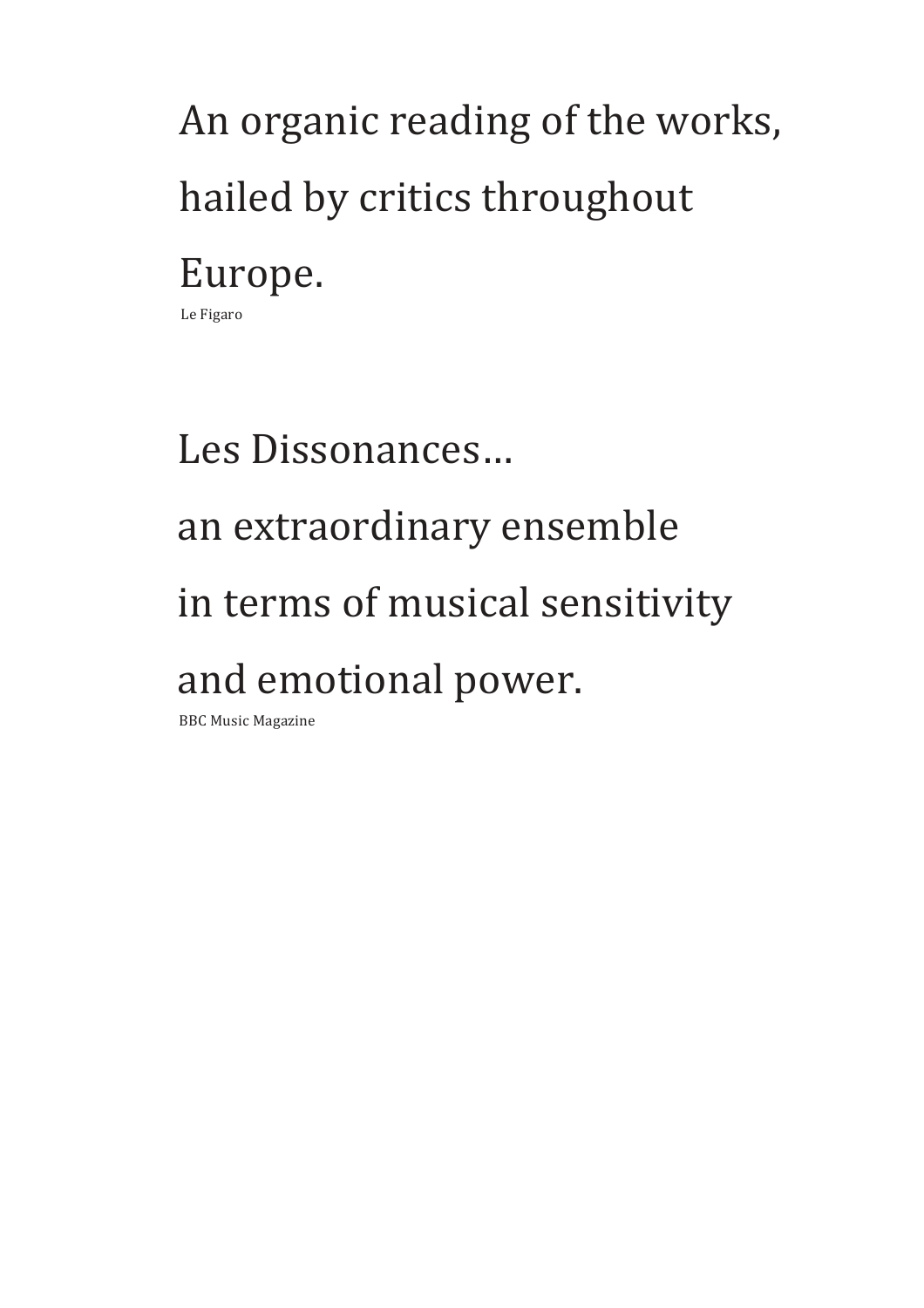An organic reading of the works, hailed by critics throughout Europe. Le Figaro

# Les Dissonances... an extraordinary ensemble in terms of musical sensitivity and emotional power.

**BBC** Music Magazine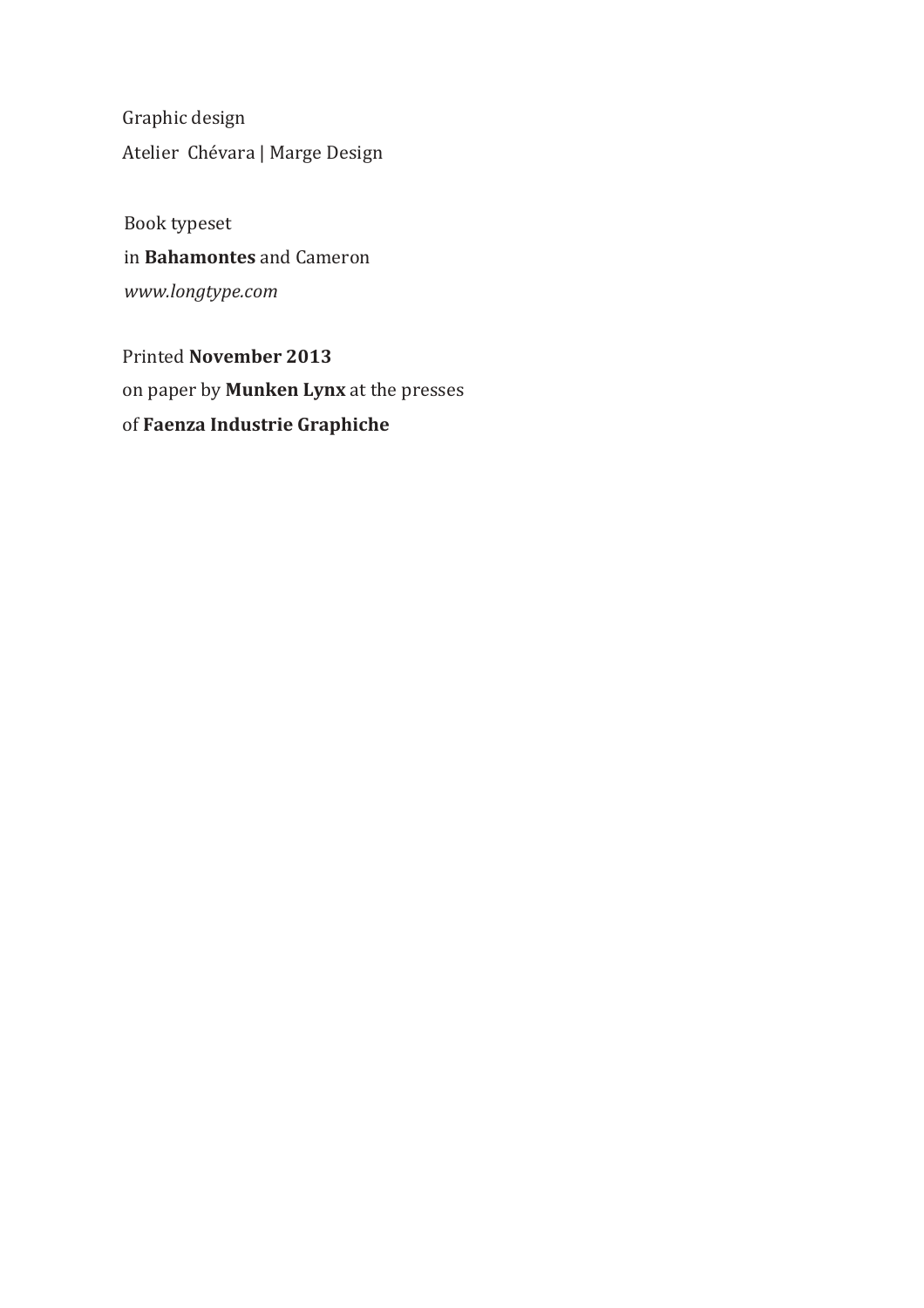Graphic design Atelier Chévara | Marge Design

Book typeset in **Bahamontes** and Cameron *www.longtype.com*

Printed **November 2013** on paper by **Munken Lynx** at the presses of **Faenza Industrie Graphiche**